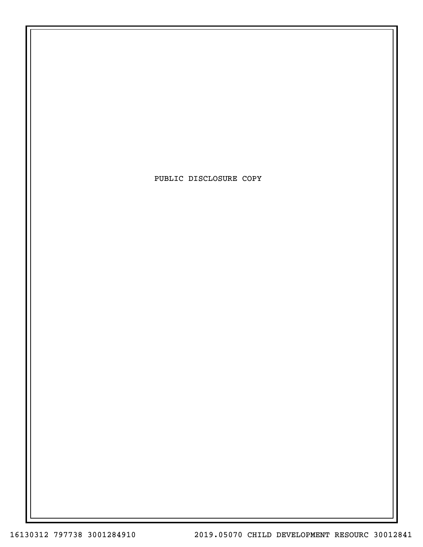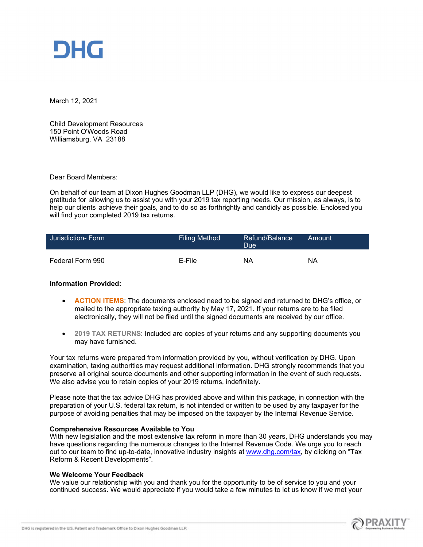

March 12, 2021

Child Development Resources 150 Point O'Woods Road Williamsburg, VA 23188

Dear Board Members:

On behalf of our team at Dixon Hughes Goodman LLP (DHG), we would like to express our deepest gratitude for allowing us to assist you with your 2019 tax reporting needs. Our mission, as always, is to help our clients achieve their goals, and to do so as forthrightly and candidly as possible. Enclosed you will find your completed 2019 tax returns.

| Jurisdiction- Form | <b>Filing Method</b> | ∟Refund/Balance <sup>।</sup><br>Due' | Amount |
|--------------------|----------------------|--------------------------------------|--------|
| Federal Form 990   | E-File               | ΝA                                   | ΝA     |

#### **Information Provided:**

- **ACTION ITEMS**: The documents enclosed need to be signed and returned to DHG's office, or mailed to the appropriate taxing authority by May 17, 2021. If your returns are to be filed electronically, they will not be filed until the signed documents are received by our office.
- **2019 TAX RETURNS**: Included are copies of your returns and any supporting documents you may have furnished.

Your tax returns were prepared from information provided by you, without verification by DHG. Upon examination, taxing authorities may request additional information. DHG strongly recommends that you preserve all original source documents and other supporting information in the event of such requests. We also advise you to retain copies of your 2019 returns, indefinitely.

Please note that the tax advice DHG has provided above and within this package, in connection with the preparation of your U.S. federal tax return, is not intended or written to be used by any taxpayer for the purpose of avoiding penalties that may be imposed on the taxpayer by the Internal Revenue Service.

#### **Comprehensive Resources Available to You**

With new legislation and the most extensive tax reform in more than 30 years, DHG understands you may have questions regarding the numerous changes to the Internal Revenue Code. We urge you to reach out to our team to find up-to-date, innovative industry insights at [www.dhg.com/tax,](file:///C:/Users/mj9918/AppData/Roaming/WK/Correspondence/Temp/u40fdn14.anm/www.dhg.com/tax) by clicking on "Tax Reform & Recent Developments".

#### **We Welcome Your Feedback**

We value our relationship with you and thank you for the opportunity to be of service to you and your continued success. We would appreciate if you would take a few minutes to let us know if we met your

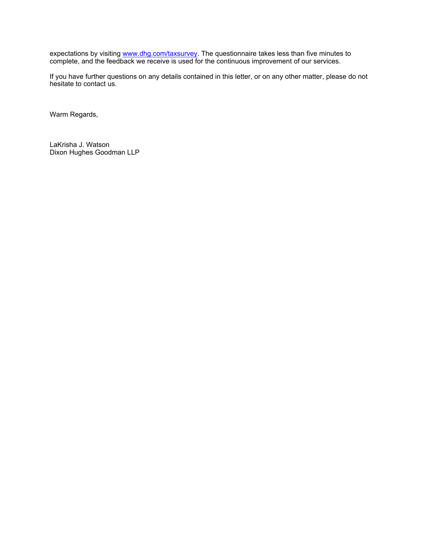expectations by visiting <u>www.dhg.com/taxsurvey</u>. The questionnaire takes less than five minutes to complete, and the feedback we receive is used for the continuous improvement of our services.

If you have further questions on any details contained in this letter, or on any other matter, please do not hesitate to contact us.

Warm Regards,

LaKrisha J. Watson Dixon Hughes Goodman LLP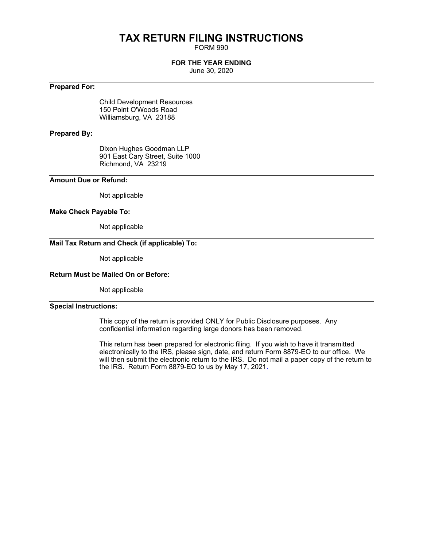## **TAX RETURN FILING INSTRUCTIONS**

FORM 990

#### **FOR THE YEAR ENDING**

June 30, 2020

#### **Prepared For:**

Child Development Resources 150 Point O'Woods Road Williamsburg, VA 23188

#### **Prepared By:**

Dixon Hughes Goodman LLP 901 East Cary Street, Suite 1000 Richmond, VA 23219

#### **Amount Due or Refund:**

Not applicable

#### **Make Check Payable To:**

Not applicable

#### **Mail Tax Return and Check (if applicable) To:**

Not applicable

#### **Return Must be Mailed On or Before:**

Not applicable

#### **Special Instructions:**

This copy of the return is provided ONLY for Public Disclosure purposes. Any confidential information regarding large donors has been removed.

This return has been prepared for electronic filing. If you wish to have it transmitted electronically to the IRS, please sign, date, and return Form 8879-EO to our office. We will then submit the electronic return to the IRS. Do not mail a paper copy of the return to the IRS. Return Form 8879-EO to us by May 17, 2021.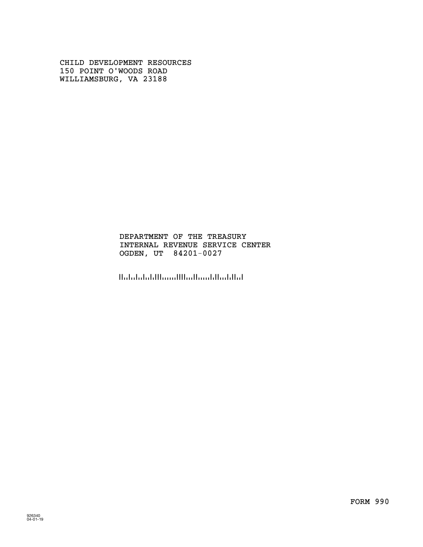CHILD DEVELOPMENT RESOURCES 150 POINT O'WOODS ROAD WILLIAMSBURG, VA 23188

#### INTERNAL REVENUE SERVICE CENTER OGDEN, UT 84201-0027 DEPARTMENT OF THE TREASURY

الماليانية المستالية الاستنبا البلينانيلينا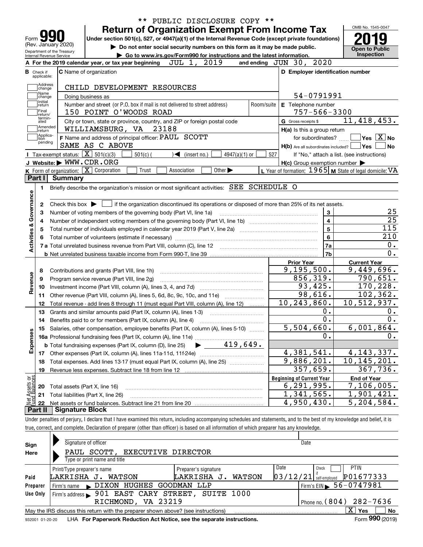| Form                      | Internal Revenue Service | (Rev. January 2020)<br>Department of the Treasury | PUBLIC DISCLOSURE COPY **<br><b>Return of Organization Exempt From Income Tax</b><br>Under section 501(c), 527, or 4947(a)(1) of the Internal Revenue Code (except private foundations)<br>Do not enter social security numbers on this form as it may be made public.<br>Go to www.irs.gov/Form990 for instructions and the latest information. |                                                           | OMB No. 1545-0047<br><b>Open to Public</b><br><b>Inspection</b> |
|---------------------------|--------------------------|---------------------------------------------------|--------------------------------------------------------------------------------------------------------------------------------------------------------------------------------------------------------------------------------------------------------------------------------------------------------------------------------------------------|-----------------------------------------------------------|-----------------------------------------------------------------|
|                           |                          |                                                   | 2019<br>JUL 1,<br>A For the 2019 calendar year, or tax year beginning                                                                                                                                                                                                                                                                            | and ending JUN 30, 2020                                   |                                                                 |
| <b>B</b> Check if         |                          |                                                   | <b>C</b> Name of organization                                                                                                                                                                                                                                                                                                                    | D Employer identification number                          |                                                                 |
|                           | applicable:              |                                                   |                                                                                                                                                                                                                                                                                                                                                  |                                                           |                                                                 |
|                           | Address<br>change        |                                                   | CHILD DEVELOPMENT RESOURCES                                                                                                                                                                                                                                                                                                                      |                                                           |                                                                 |
|                           | Name<br>change           |                                                   | Doing business as                                                                                                                                                                                                                                                                                                                                | 54-0791991                                                |                                                                 |
|                           | Initial<br>return        |                                                   | Number and street (or P.O. box if mail is not delivered to street address)<br>Room/suite                                                                                                                                                                                                                                                         | E Telephone number                                        |                                                                 |
|                           | Final<br>Ireturn/        |                                                   | 150 POINT O'WOODS ROAD                                                                                                                                                                                                                                                                                                                           | $757 - 566 - 3300$                                        |                                                                 |
|                           | termin-<br>ated          |                                                   | City or town, state or province, country, and ZIP or foreign postal code                                                                                                                                                                                                                                                                         | G Gross receipts \$                                       | 11,418,453.                                                     |
|                           | Amended<br>∣return       |                                                   | WILLIAMSBURG, VA<br>23188                                                                                                                                                                                                                                                                                                                        | $H(a)$ is this a group return                             |                                                                 |
|                           | Applica-<br>tion         |                                                   | F Name and address of principal officer: PAUL SCOTT                                                                                                                                                                                                                                                                                              | for subordinates?                                         | $\sqrt{}$ Yes $\sqrt{}$ X $\sqrt{}$ No                          |
|                           | pending                  |                                                   | SAME AS C ABOVE                                                                                                                                                                                                                                                                                                                                  | $H(b)$ Are all subordinates included? $\Box$ Yes          | l No                                                            |
|                           |                          |                                                   | Tax-exempt status: $\boxed{\mathbf{X}}$ 501(c)(3)<br>$4947(a)(1)$ or<br>$501(c)$ (<br>$\triangleleft$ (insert no.)                                                                                                                                                                                                                               | 527                                                       | If "No," attach a list. (see instructions)                      |
|                           |                          |                                                   | J Website: WWW.CDR.ORG                                                                                                                                                                                                                                                                                                                           | $H(c)$ Group exemption number $\blacktriangleright$       |                                                                 |
|                           |                          |                                                   | K Form of organization: X Corporation<br>Other $\blacktriangleright$<br>Trust<br>Association                                                                                                                                                                                                                                                     | L Year of formation: $1965$ M State of legal domicile: VA |                                                                 |
| Part I                    |                          | <b>Summary</b>                                    |                                                                                                                                                                                                                                                                                                                                                  |                                                           |                                                                 |
|                           | 1.                       |                                                   | Briefly describe the organization's mission or most significant activities: SEE SCHEDULE O                                                                                                                                                                                                                                                       |                                                           |                                                                 |
|                           |                          |                                                   |                                                                                                                                                                                                                                                                                                                                                  |                                                           |                                                                 |
|                           | 2                        |                                                   | if the organization discontinued its operations or disposed of more than 25% of its net assets.<br>Check this box $\blacktriangleright$ $\parallel$                                                                                                                                                                                              |                                                           |                                                                 |
|                           | З                        |                                                   | Number of voting members of the governing body (Part VI, line 1a)                                                                                                                                                                                                                                                                                | 3                                                         | 25                                                              |
|                           | 4                        |                                                   |                                                                                                                                                                                                                                                                                                                                                  | 4                                                         | $\overline{25}$                                                 |
|                           | 5                        |                                                   |                                                                                                                                                                                                                                                                                                                                                  | $\overline{5}$                                            | 115                                                             |
|                           |                          |                                                   |                                                                                                                                                                                                                                                                                                                                                  | $\bf 6$                                                   | 210                                                             |
| Activities & Governance   |                          |                                                   |                                                                                                                                                                                                                                                                                                                                                  | 7a                                                        | 0.                                                              |
|                           |                          |                                                   |                                                                                                                                                                                                                                                                                                                                                  | 7b                                                        | 0.                                                              |
|                           |                          |                                                   |                                                                                                                                                                                                                                                                                                                                                  | <b>Prior Year</b>                                         | <b>Current Year</b>                                             |
|                           | 8                        |                                                   | Contributions and grants (Part VIII, line 1h)                                                                                                                                                                                                                                                                                                    | 9, 195, 500.                                              | 9,449,696.                                                      |
| Revenue                   | 9                        |                                                   | Program service revenue (Part VIII, line 2g)                                                                                                                                                                                                                                                                                                     | 856, 319.                                                 | 790,651.                                                        |
|                           | 10                       |                                                   |                                                                                                                                                                                                                                                                                                                                                  | 93,425.                                                   | 170,228.                                                        |
|                           | 11                       |                                                   | Other revenue (Part VIII, column (A), lines 5, 6d, 8c, 9c, 10c, and 11e)                                                                                                                                                                                                                                                                         | 98,616.                                                   | 102, 362.                                                       |
|                           | 12                       |                                                   | Total revenue - add lines 8 through 11 (must equal Part VIII, column (A), line 12)                                                                                                                                                                                                                                                               | $\overline{10}$ , 243, 860.                               | 10,512,937.                                                     |
|                           | 13                       |                                                   | Grants and similar amounts paid (Part IX, column (A), lines 1-3)                                                                                                                                                                                                                                                                                 | 0.                                                        | 0.                                                              |
|                           | 14                       |                                                   |                                                                                                                                                                                                                                                                                                                                                  | $0$ .                                                     | 0.                                                              |
|                           |                          |                                                   | 15 Salaries, other compensation, employee benefits (Part IX, column (A), lines 5-10)                                                                                                                                                                                                                                                             | 5<br>5,504,660.                                           | 6,001,864.                                                      |
|                           |                          |                                                   |                                                                                                                                                                                                                                                                                                                                                  | 0.                                                        | 0.                                                              |
| Expenses                  |                          |                                                   | 419,649.<br><b>b</b> Total fundraising expenses (Part IX, column (D), line 25)                                                                                                                                                                                                                                                                   |                                                           |                                                                 |
|                           | 17                       |                                                   |                                                                                                                                                                                                                                                                                                                                                  | 4,381,541.                                                | 4, 143, 337.                                                    |
|                           | 18                       |                                                   | Total expenses. Add lines 13-17 (must equal Part IX, column (A), line 25) <i></i>                                                                                                                                                                                                                                                                | $\overline{9,886}$ , 201.                                 | 10,145,201.                                                     |
|                           | 19                       |                                                   | Revenue less expenses. Subtract line 18 from line 12                                                                                                                                                                                                                                                                                             | 357,659.                                                  | $\overline{367}$ , 736.                                         |
|                           |                          |                                                   |                                                                                                                                                                                                                                                                                                                                                  | <b>Beginning of Current Year</b>                          | <b>End of Year</b>                                              |
| t Assets or<br>d Balances | 20                       |                                                   | Total assets (Part X, line 16)                                                                                                                                                                                                                                                                                                                   | 6, 291, 995.                                              | 7,106,005.                                                      |
|                           | 21                       |                                                   | Total liabilities (Part X, line 26)                                                                                                                                                                                                                                                                                                              | $\overline{1}$ , 341, 565.                                | 1,901,421.                                                      |
|                           | -22                      |                                                   |                                                                                                                                                                                                                                                                                                                                                  | $\overline{4,950,430}$ .                                  | 5,204,584.                                                      |
| Part II                   |                          | <b>Signature Block</b>                            |                                                                                                                                                                                                                                                                                                                                                  |                                                           |                                                                 |
|                           |                          |                                                   | Under penalties of perjury, I declare that I have examined this return, including accompanying schedules and statements, and to the best of my knowledge and belief, it is                                                                                                                                                                       |                                                           |                                                                 |
|                           |                          |                                                   | true, correct, and complete. Declaration of preparer (other than officer) is based on all information of which preparer has any knowledge.                                                                                                                                                                                                       |                                                           |                                                                 |
|                           |                          |                                                   |                                                                                                                                                                                                                                                                                                                                                  |                                                           |                                                                 |
| Sian                      |                          |                                                   | Signature of officer                                                                                                                                                                                                                                                                                                                             | Date                                                      |                                                                 |

| Sign     | Signature of officer                                                                                       |                       | Date                                       |  |  |  |  |  |  |  |  |
|----------|------------------------------------------------------------------------------------------------------------|-----------------------|--------------------------------------------|--|--|--|--|--|--|--|--|
| Here     | PAUL SCOTT, EXECUTIVE DIRECTOR                                                                             |                       |                                            |  |  |  |  |  |  |  |  |
|          | Type or print name and title                                                                               |                       |                                            |  |  |  |  |  |  |  |  |
|          | Print/Type preparer's name                                                                                 | Preparer's signature  | Date<br><b>PTIN</b><br>Check               |  |  |  |  |  |  |  |  |
| Paid     | LAKRISHA J. WATSON                                                                                         | LAKRISHA J.<br>WATSON | P01677333<br>$03/12/21$ self-employed      |  |  |  |  |  |  |  |  |
| Preparer | Firm's name DIXON HUGHES GOODMAN LLP                                                                       |                       | $1$ Firm's EIN $\triangleright$ 56-0747981 |  |  |  |  |  |  |  |  |
| Use Only | Firm's address > 901 EAST CARY STREET, SUITE 1000                                                          |                       |                                            |  |  |  |  |  |  |  |  |
|          | RICHMOND, VA 23219                                                                                         |                       | Phone no. $(804)$ 282-7636                 |  |  |  |  |  |  |  |  |
|          | х<br><b>No</b><br>Yes<br>May the IRS discuss this return with the preparer shown above? (see instructions) |                       |                                            |  |  |  |  |  |  |  |  |
|          |                                                                                                            |                       | $\mathbf{a} \mathbf{a} \mathbf{b}$         |  |  |  |  |  |  |  |  |

932001 01-20-20 LHA **For Paperwork Reduction Act Notice, see the separate instructions. Form 990 (2019)** 

**990**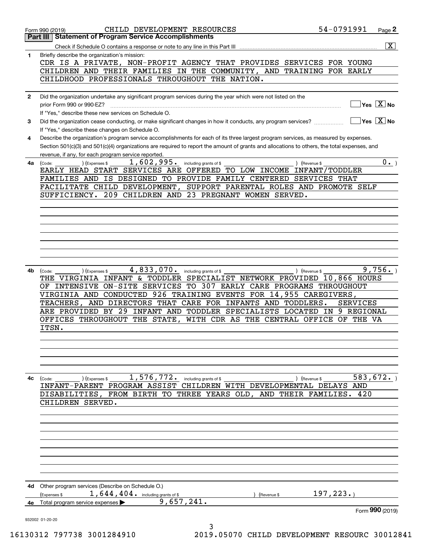|              | CHILD DEVELOPMENT RESOURCES<br>Form 990 (2019)                                                                                                                                                                                                                                       | 54-0791991       | Page 2                                 |
|--------------|--------------------------------------------------------------------------------------------------------------------------------------------------------------------------------------------------------------------------------------------------------------------------------------|------------------|----------------------------------------|
|              | <b>Statement of Program Service Accomplishments</b><br>Part III                                                                                                                                                                                                                      |                  |                                        |
| 1            | Check if Schedule O contains a response or note to any line in this Part III<br>Briefly describe the organization's mission:                                                                                                                                                         |                  | $\overline{\mathtt{x}}$                |
|              | CDR IS A PRIVATE, NON-PROFIT AGENCY THAT PROVIDES SERVICES FOR YOUNG                                                                                                                                                                                                                 |                  |                                        |
|              | CHILDREN AND THEIR FAMILIES IN THE COMMUNITY, AND TRAINING FOR EARLY                                                                                                                                                                                                                 |                  |                                        |
|              | CHILDHOOD PROFESSIONALS THROUGHOUT THE NATION.                                                                                                                                                                                                                                       |                  |                                        |
| $\mathbf{2}$ | Did the organization undertake any significant program services during the year which were not listed on the                                                                                                                                                                         |                  |                                        |
|              | prior Form 990 or 990-EZ?                                                                                                                                                                                                                                                            |                  | $\sqrt{}$ Yes $\sqrt{}$ X $\sqrt{}$ No |
|              | If "Yes," describe these new services on Schedule O.                                                                                                                                                                                                                                 |                  |                                        |
| 3            | Did the organization cease conducting, or make significant changes in how it conducts, any program services?                                                                                                                                                                         |                  | $\sqrt{}$ Yes $\sqrt{}$ X $\sqrt{}$ No |
|              | If "Yes," describe these changes on Schedule O.                                                                                                                                                                                                                                      |                  |                                        |
| 4            | Describe the organization's program service accomplishments for each of its three largest program services, as measured by expenses.<br>Section 501(c)(3) and 501(c)(4) organizations are required to report the amount of grants and allocations to others, the total expenses, and |                  |                                        |
|              | revenue, if any, for each program service reported.                                                                                                                                                                                                                                  |                  |                                        |
| 4a           | 1,602,995.<br>(Expenses \$<br>including grants of \$<br>) (Revenue \$<br>(Code:                                                                                                                                                                                                      |                  | $0 \cdot$                              |
|              | EARLY HEAD START SERVICES ARE OFFERED TO LOW INCOME                                                                                                                                                                                                                                  | INFANT/TODDLER   |                                        |
|              | FAMILIES AND IS DESIGNED TO PROVIDE FAMILY CENTERED SERVICES THAT                                                                                                                                                                                                                    |                  |                                        |
|              | SUPPORT PARENTAL ROLES AND PROMOTE SELF<br>FACILITATE CHILD DEVELOPMENT,<br>209 CHILDREN AND 23 PREGNANT WOMEN SERVED.<br>SUFFICIENCY.                                                                                                                                               |                  |                                        |
|              |                                                                                                                                                                                                                                                                                      |                  |                                        |
|              |                                                                                                                                                                                                                                                                                      |                  |                                        |
|              |                                                                                                                                                                                                                                                                                      |                  |                                        |
|              |                                                                                                                                                                                                                                                                                      |                  |                                        |
|              |                                                                                                                                                                                                                                                                                      |                  |                                        |
|              |                                                                                                                                                                                                                                                                                      |                  |                                        |
|              |                                                                                                                                                                                                                                                                                      |                  |                                        |
| 4b           | 4,833,070.<br>including grants of \$<br>) (Revenue \$<br>(Expenses \$<br>(Code:                                                                                                                                                                                                      |                  | 9,756.                                 |
|              | THE VIRGINIA INFANT & TODDLER SPECIALIST NETWORK PROVIDED 10,866 HOURS                                                                                                                                                                                                               |                  |                                        |
|              | OF INTENSIVE ON-SITE SERVICES TO 307 EARLY CARE PROGRAMS THROUGHOUT                                                                                                                                                                                                                  |                  |                                        |
|              | VIRGINIA AND CONDUCTED 926 TRAINING EVENTS FOR 14,955 CAREGIVERS,<br>AND DIRECTORS THAT CARE FOR INFANTS AND TODDLERS.<br>TEACHERS,                                                                                                                                                  | <b>SERVICES</b>  |                                        |
|              | INFANT AND TODDLER SPECIALISTS LOCATED<br>ARE PROVIDED BY 29                                                                                                                                                                                                                         | 9 REGIONAL<br>IN |                                        |
|              | WITH CDR AS THE CENTRAL OFFICE<br>OFFICES THROUGHOUT<br>THE STATE,                                                                                                                                                                                                                   | OF THE VA        |                                        |
|              | ITSN.                                                                                                                                                                                                                                                                                |                  |                                        |
|              |                                                                                                                                                                                                                                                                                      |                  |                                        |
|              |                                                                                                                                                                                                                                                                                      |                  |                                        |
|              |                                                                                                                                                                                                                                                                                      |                  |                                        |
|              |                                                                                                                                                                                                                                                                                      |                  |                                        |
| 4с           | 1,576,772. including grants of \$<br>(Expenses \$<br>) (Revenue \$<br>(Code:                                                                                                                                                                                                         | 583,672.         |                                        |
|              | INFANT-PARENT PROGRAM ASSIST CHILDREN WITH DEVELOPMENTAL DELAYS AND                                                                                                                                                                                                                  |                  |                                        |
|              | DISABILITIES, FROM BIRTH TO THREE YEARS OLD, AND THEIR FAMILIES.                                                                                                                                                                                                                     | 420              |                                        |
|              | CHILDREN SERVED.                                                                                                                                                                                                                                                                     |                  |                                        |
|              |                                                                                                                                                                                                                                                                                      |                  |                                        |
|              |                                                                                                                                                                                                                                                                                      |                  |                                        |
|              |                                                                                                                                                                                                                                                                                      |                  |                                        |
|              |                                                                                                                                                                                                                                                                                      |                  |                                        |
|              |                                                                                                                                                                                                                                                                                      |                  |                                        |
|              |                                                                                                                                                                                                                                                                                      |                  |                                        |
|              |                                                                                                                                                                                                                                                                                      |                  |                                        |
| 4d -         | Other program services (Describe on Schedule O.)                                                                                                                                                                                                                                     |                  |                                        |
|              | 1, 644, 404. including grants of \$<br>(Expenses \$<br>(Revenue \$                                                                                                                                                                                                                   | 197, 223.        |                                        |
| 4е           | 9,657,241.<br>Total program service expenses                                                                                                                                                                                                                                         | Form 990 (2019)  |                                        |
|              | 932002 01-20-20                                                                                                                                                                                                                                                                      |                  |                                        |
|              | 3                                                                                                                                                                                                                                                                                    |                  |                                        |

16130312 797738 3001284910 2019.05070 CHILD DEVELOPMENT RESOURC 30012841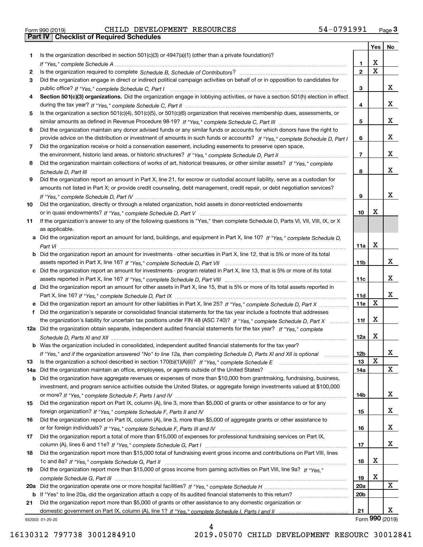|  | Form 990 (2019) |  |
|--|-----------------|--|

Form 990 (2019) Page **3Part IV Checklist of Required Schedules** CHILD DEVELOPMENT RESOURCES 54-0791991

|     |                                                                                                                                       |                 | Yes                     | No              |
|-----|---------------------------------------------------------------------------------------------------------------------------------------|-----------------|-------------------------|-----------------|
| 1.  | Is the organization described in section $501(c)(3)$ or $4947(a)(1)$ (other than a private foundation)?                               |                 |                         |                 |
|     |                                                                                                                                       | 1               | X                       |                 |
| 2   |                                                                                                                                       | $\overline{2}$  | $\overline{\mathbf{x}}$ |                 |
| 3   | Did the organization engage in direct or indirect political campaign activities on behalf of or in opposition to candidates for       |                 |                         |                 |
|     |                                                                                                                                       | 3               |                         | x               |
| 4   | Section 501(c)(3) organizations. Did the organization engage in lobbying activities, or have a section 501(h) election in effect      |                 |                         |                 |
|     |                                                                                                                                       | 4               |                         | x               |
| 5   | Is the organization a section 501(c)(4), 501(c)(5), or 501(c)(6) organization that receives membership dues, assessments, or          |                 |                         |                 |
|     |                                                                                                                                       | 5               |                         | x               |
| 6   | Did the organization maintain any donor advised funds or any similar funds or accounts for which donors have the right to             |                 |                         |                 |
|     | provide advice on the distribution or investment of amounts in such funds or accounts? If "Yes," complete Schedule D, Part I          | 6               |                         | x               |
| 7   | Did the organization receive or hold a conservation easement, including easements to preserve open space,                             |                 |                         |                 |
|     |                                                                                                                                       | $\overline{7}$  |                         | x               |
| 8   | Did the organization maintain collections of works of art, historical treasures, or other similar assets? If "Yes," complete          |                 |                         | x               |
|     |                                                                                                                                       | 8               |                         |                 |
| 9   | Did the organization report an amount in Part X, line 21, for escrow or custodial account liability, serve as a custodian for         |                 |                         |                 |
|     | amounts not listed in Part X; or provide credit counseling, debt management, credit repair, or debt negotiation services?             | 9               |                         | x               |
| 10  | Did the organization, directly or through a related organization, hold assets in donor-restricted endowments                          |                 |                         |                 |
|     |                                                                                                                                       | 10              | Х                       |                 |
| 11  | If the organization's answer to any of the following questions is "Yes," then complete Schedule D, Parts VI, VII, VIII, IX, or X      |                 |                         |                 |
|     | as applicable.                                                                                                                        |                 |                         |                 |
|     | a Did the organization report an amount for land, buildings, and equipment in Part X, line 10? If "Yes," complete Schedule D,         |                 |                         |                 |
|     |                                                                                                                                       | 11a             | Х                       |                 |
|     | <b>b</b> Did the organization report an amount for investments - other securities in Part X, line 12, that is 5% or more of its total |                 |                         |                 |
|     |                                                                                                                                       | 11 <sub>b</sub> |                         | х               |
|     | c Did the organization report an amount for investments - program related in Part X, line 13, that is 5% or more of its total         |                 |                         |                 |
|     |                                                                                                                                       | 11c             |                         | X.              |
|     | d Did the organization report an amount for other assets in Part X, line 15, that is 5% or more of its total assets reported in       |                 |                         |                 |
|     |                                                                                                                                       | 11d             |                         | x               |
|     |                                                                                                                                       | 11e             | X                       |                 |
| f   | Did the organization's separate or consolidated financial statements for the tax year include a footnote that addresses               |                 |                         |                 |
|     | the organization's liability for uncertain tax positions under FIN 48 (ASC 740)? If "Yes," complete Schedule D, Part X                | 11f             | Х                       |                 |
|     | 12a Did the organization obtain separate, independent audited financial statements for the tax year? If "Yes," complete               |                 |                         |                 |
|     |                                                                                                                                       | 12a             | Х                       |                 |
|     | <b>b</b> Was the organization included in consolidated, independent audited financial statements for the tax year?                    |                 |                         |                 |
|     | If "Yes," and if the organization answered "No" to line 12a, then completing Schedule D, Parts XI and XII is optional manum           | 12b             |                         | A               |
| 13  |                                                                                                                                       | 13              | Х                       |                 |
| 14a | Did the organization maintain an office, employees, or agents outside of the United States?                                           | 14a             |                         | x               |
|     | <b>b</b> Did the organization have aggregate revenues or expenses of more than \$10,000 from grantmaking, fundraising, business,      |                 |                         |                 |
|     | investment, and program service activities outside the United States, or aggregate foreign investments valued at \$100,000            |                 |                         |                 |
|     |                                                                                                                                       | 14b             |                         | X.              |
| 15  | Did the organization report on Part IX, column (A), line 3, more than \$5,000 of grants or other assistance to or for any             |                 |                         | x               |
|     | Did the organization report on Part IX, column (A), line 3, more than \$5,000 of aggregate grants or other assistance to              | 15              |                         |                 |
| 16  |                                                                                                                                       |                 |                         | x               |
| 17  | Did the organization report a total of more than \$15,000 of expenses for professional fundraising services on Part IX,               | 16              |                         |                 |
|     |                                                                                                                                       | 17              |                         | x               |
| 18  | Did the organization report more than \$15,000 total of fundraising event gross income and contributions on Part VIII, lines          |                 |                         |                 |
|     |                                                                                                                                       | 18              | х                       |                 |
| 19  | Did the organization report more than \$15,000 of gross income from gaming activities on Part VIII, line 9a? If "Yes."                |                 |                         |                 |
|     |                                                                                                                                       | 19              | х                       |                 |
|     |                                                                                                                                       | 20a             |                         | x               |
|     | b If "Yes" to line 20a, did the organization attach a copy of its audited financial statements to this return?                        | 20b             |                         |                 |
| 21  | Did the organization report more than \$5,000 of grants or other assistance to any domestic organization or                           |                 |                         |                 |
|     |                                                                                                                                       | 21              |                         | x               |
|     | 932003 01-20-20                                                                                                                       |                 |                         | Form 990 (2019) |

932003 01-20-20

4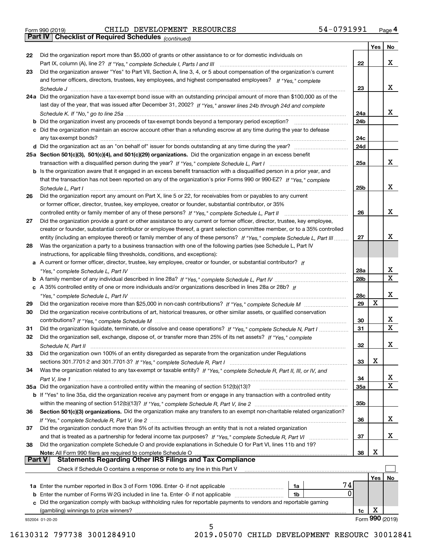| Form 990 (2019) |  |  |
|-----------------|--|--|

# Form 990 (2019) Page **4Part IV Checklist of Required Schedules** CHILD DEVELOPMENT RESOURCES 54-0791991

*(continued)*

|               |                                                                                                                                                                                                    |     | Yes | No              |
|---------------|----------------------------------------------------------------------------------------------------------------------------------------------------------------------------------------------------|-----|-----|-----------------|
| 22            | Did the organization report more than \$5,000 of grants or other assistance to or for domestic individuals on                                                                                      |     |     |                 |
|               |                                                                                                                                                                                                    | 22  |     | x               |
| 23            | Did the organization answer "Yes" to Part VII, Section A, line 3, 4, or 5 about compensation of the organization's current                                                                         |     |     |                 |
|               | and former officers, directors, trustees, key employees, and highest compensated employees? If "Yes," complete                                                                                     |     |     | x               |
|               |                                                                                                                                                                                                    | 23  |     |                 |
|               | 24a Did the organization have a tax-exempt bond issue with an outstanding principal amount of more than \$100,000 as of the                                                                        |     |     |                 |
|               | last day of the year, that was issued after December 31, 2002? If "Yes," answer lines 24b through 24d and complete                                                                                 |     |     |                 |
|               |                                                                                                                                                                                                    | 24a |     | x               |
|               | <b>b</b> Did the organization invest any proceeds of tax-exempt bonds beyond a temporary period exception?                                                                                         | 24b |     |                 |
|               | c Did the organization maintain an escrow account other than a refunding escrow at any time during the year to defease                                                                             |     |     |                 |
|               |                                                                                                                                                                                                    | 24c |     |                 |
|               |                                                                                                                                                                                                    | 24d |     |                 |
|               | 25a Section 501(c)(3), 501(c)(4), and 501(c)(29) organizations. Did the organization engage in an excess benefit                                                                                   |     |     |                 |
|               |                                                                                                                                                                                                    | 25a |     | X.              |
|               | b Is the organization aware that it engaged in an excess benefit transaction with a disqualified person in a prior year, and                                                                       |     |     |                 |
|               | that the transaction has not been reported on any of the organization's prior Forms 990 or 990-EZ? If "Yes," complete                                                                              |     |     | x               |
|               | Schedule L, Part I                                                                                                                                                                                 | 25b |     |                 |
| 26            | Did the organization report any amount on Part X, line 5 or 22, for receivables from or payables to any current                                                                                    |     |     |                 |
|               | or former officer, director, trustee, key employee, creator or founder, substantial contributor, or 35%                                                                                            |     |     | x               |
|               |                                                                                                                                                                                                    | 26  |     |                 |
| 27            | Did the organization provide a grant or other assistance to any current or former officer, director, trustee, key employee,                                                                        |     |     |                 |
|               | creator or founder, substantial contributor or employee thereof, a grant selection committee member, or to a 35% controlled                                                                        |     |     | x               |
|               | entity (including an employee thereof) or family member of any of these persons? If "Yes," complete Schedule L, Part III                                                                           | 27  |     |                 |
| 28            | Was the organization a party to a business transaction with one of the following parties (see Schedule L, Part IV                                                                                  |     |     |                 |
|               | instructions, for applicable filing thresholds, conditions, and exceptions):<br>a A current or former officer, director, trustee, key employee, creator or founder, or substantial contributor? If |     |     |                 |
|               |                                                                                                                                                                                                    | 28a |     | x               |
|               |                                                                                                                                                                                                    | 28b |     | X               |
|               | c A 35% controlled entity of one or more individuals and/or organizations described in lines 28a or 28b? If                                                                                        |     |     |                 |
|               |                                                                                                                                                                                                    | 28c |     | х               |
| 29            |                                                                                                                                                                                                    | 29  | х   |                 |
| 30            | Did the organization receive contributions of art, historical treasures, or other similar assets, or qualified conservation                                                                        |     |     |                 |
|               |                                                                                                                                                                                                    | 30  |     | x               |
| 31            | Did the organization liquidate, terminate, or dissolve and cease operations? If "Yes," complete Schedule N, Part I                                                                                 | 31  |     | X               |
| 32            | Did the organization sell, exchange, dispose of, or transfer more than 25% of its net assets? If "Yes," complete                                                                                   |     |     |                 |
|               |                                                                                                                                                                                                    | 32  |     | х               |
| 33            | Did the organization own 100% of an entity disregarded as separate from the organization under Regulations                                                                                         |     |     |                 |
|               |                                                                                                                                                                                                    | 33  | Χ   |                 |
| 34            | Was the organization related to any tax-exempt or taxable entity? If "Yes," complete Schedule R, Part II, III, or IV, and                                                                          |     |     |                 |
|               |                                                                                                                                                                                                    | 34  |     | х               |
|               | 35a Did the organization have a controlled entity within the meaning of section 512(b)(13)?                                                                                                        | 35a |     | X               |
|               | <b>b</b> If "Yes" to line 35a, did the organization receive any payment from or engage in any transaction with a controlled entity                                                                 |     |     |                 |
|               |                                                                                                                                                                                                    | 35b |     |                 |
| 36            | Section 501(c)(3) organizations. Did the organization make any transfers to an exempt non-charitable related organization?                                                                         |     |     |                 |
|               |                                                                                                                                                                                                    | 36  |     | x               |
| 37            | Did the organization conduct more than 5% of its activities through an entity that is not a related organization                                                                                   |     |     |                 |
|               |                                                                                                                                                                                                    | 37  |     | х               |
| 38            | Did the organization complete Schedule O and provide explanations in Schedule O for Part VI, lines 11b and 19?                                                                                     |     |     |                 |
|               | Note: All Form 990 filers are required to complete Schedule O                                                                                                                                      | 38  | X   |                 |
| <b>Part V</b> | <b>Statements Regarding Other IRS Filings and Tax Compliance</b>                                                                                                                                   |     |     |                 |
|               | Check if Schedule O contains a response or note to any line in this Part V                                                                                                                         |     |     |                 |
|               |                                                                                                                                                                                                    |     | Yes | No              |
|               | 74<br>1a                                                                                                                                                                                           |     |     |                 |
|               | 0<br><b>b</b> Enter the number of Forms W-2G included in line 1a. Enter -0- if not applicable<br>1b                                                                                                |     |     |                 |
|               | c Did the organization comply with backup withholding rules for reportable payments to vendors and reportable gaming                                                                               |     |     |                 |
|               | (gambling) winnings to prize winners?                                                                                                                                                              | 1c  | X   |                 |
|               | 932004 01-20-20                                                                                                                                                                                    |     |     | Form 990 (2019) |
|               | 5                                                                                                                                                                                                  |     |     |                 |

16130312 797738 3001284910 2019.05070 CHILD DEVELOPMENT RESOURC 30012841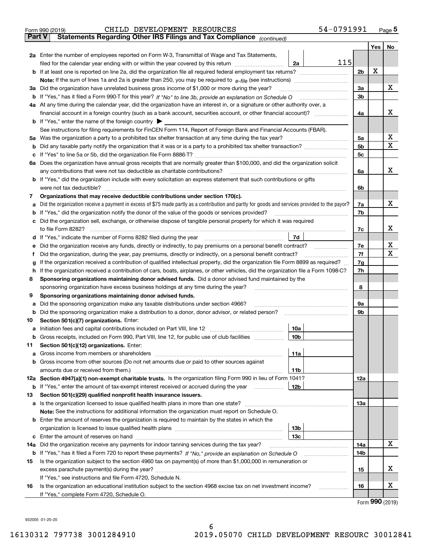|               | 54-0791991<br>CHILD DEVELOPMENT RESOURCES<br>Form 990 (2019)                                                                                                                                                                                                                       |                |     | $_{\text{Page}}$ 5          |  |  |  |
|---------------|------------------------------------------------------------------------------------------------------------------------------------------------------------------------------------------------------------------------------------------------------------------------------------|----------------|-----|-----------------------------|--|--|--|
| <b>Part V</b> | Statements Regarding Other IRS Filings and Tax Compliance (continued)                                                                                                                                                                                                              |                |     |                             |  |  |  |
|               |                                                                                                                                                                                                                                                                                    |                | Yes | No                          |  |  |  |
|               | 2a Enter the number of employees reported on Form W-3, Transmittal of Wage and Tax Statements,                                                                                                                                                                                     |                |     |                             |  |  |  |
|               | 115<br>filed for the calendar year ending with or within the year covered by this return [11] [11] filed for the calendar year ending with or within the year covered by this return<br>2a                                                                                         |                |     |                             |  |  |  |
|               |                                                                                                                                                                                                                                                                                    | 2 <sub>b</sub> | x   |                             |  |  |  |
|               |                                                                                                                                                                                                                                                                                    |                |     |                             |  |  |  |
| За            | Did the organization have unrelated business gross income of \$1,000 or more during the year?                                                                                                                                                                                      | 3a             |     | х                           |  |  |  |
|               |                                                                                                                                                                                                                                                                                    | 3 <sub>b</sub> |     |                             |  |  |  |
|               | 4a At any time during the calendar year, did the organization have an interest in, or a signature or other authority over, a                                                                                                                                                       |                |     |                             |  |  |  |
|               |                                                                                                                                                                                                                                                                                    | 4a             |     | х                           |  |  |  |
|               | <b>b</b> If "Yes," enter the name of the foreign country $\blacktriangleright$                                                                                                                                                                                                     |                |     |                             |  |  |  |
|               | See instructions for filing requirements for FinCEN Form 114, Report of Foreign Bank and Financial Accounts (FBAR).                                                                                                                                                                |                |     |                             |  |  |  |
| 5a            | Was the organization a party to a prohibited tax shelter transaction at any time during the tax year?                                                                                                                                                                              | 5a             |     | x                           |  |  |  |
| b             |                                                                                                                                                                                                                                                                                    | 5 <sub>b</sub> |     | х                           |  |  |  |
| с             |                                                                                                                                                                                                                                                                                    | 5c             |     |                             |  |  |  |
|               | 6a Does the organization have annual gross receipts that are normally greater than \$100,000, and did the organization solicit                                                                                                                                                     |                |     |                             |  |  |  |
|               | any contributions that were not tax deductible as charitable contributions?                                                                                                                                                                                                        | 6a             |     | x                           |  |  |  |
|               | <b>b</b> If "Yes," did the organization include with every solicitation an express statement that such contributions or gifts                                                                                                                                                      |                |     |                             |  |  |  |
|               | were not tax deductible?                                                                                                                                                                                                                                                           | 6b             |     |                             |  |  |  |
| 7             | Organizations that may receive deductible contributions under section 170(c).                                                                                                                                                                                                      |                |     |                             |  |  |  |
| а             | Did the organization receive a payment in excess of \$75 made partly as a contribution and partly for goods and services provided to the payor?                                                                                                                                    | 7a             |     | х                           |  |  |  |
| b             | If "Yes," did the organization notify the donor of the value of the goods or services provided?                                                                                                                                                                                    | 7b             |     |                             |  |  |  |
| с             | Did the organization sell, exchange, or otherwise dispose of tangible personal property for which it was required                                                                                                                                                                  |                |     |                             |  |  |  |
|               |                                                                                                                                                                                                                                                                                    | 7c             |     | х                           |  |  |  |
| d             | 7d                                                                                                                                                                                                                                                                                 |                |     |                             |  |  |  |
| е             |                                                                                                                                                                                                                                                                                    | 7e             |     | х                           |  |  |  |
| f             | Did the organization, during the year, pay premiums, directly or indirectly, on a personal benefit contract?                                                                                                                                                                       | 7f             |     | х                           |  |  |  |
|               | If the organization received a contribution of qualified intellectual property, did the organization file Form 8899 as required?                                                                                                                                                   | 7g             |     |                             |  |  |  |
| h             | g                                                                                                                                                                                                                                                                                  |                |     |                             |  |  |  |
|               | If the organization received a contribution of cars, boats, airplanes, or other vehicles, did the organization file a Form 1098-C?                                                                                                                                                 | 7h             |     |                             |  |  |  |
| 8             | Sponsoring organizations maintaining donor advised funds. Did a donor advised fund maintained by the                                                                                                                                                                               | 8              |     |                             |  |  |  |
|               | sponsoring organization have excess business holdings at any time during the year?                                                                                                                                                                                                 |                |     |                             |  |  |  |
| 9             | Sponsoring organizations maintaining donor advised funds.                                                                                                                                                                                                                          |                |     |                             |  |  |  |
| а             | Did the sponsoring organization make any taxable distributions under section 4966?                                                                                                                                                                                                 | 9а<br>9b       |     |                             |  |  |  |
| b             | Did the sponsoring organization make a distribution to a donor, donor advisor, or related person?                                                                                                                                                                                  |                |     |                             |  |  |  |
| 10            | Section 501(c)(7) organizations. Enter:                                                                                                                                                                                                                                            |                |     |                             |  |  |  |
|               | 10a<br>a Initiation fees and capital contributions included on Part VIII, line 12 [111] [11] [11] Initiation fees and capital contributions included on Part VIII, line 12<br> 10b <br>Gross receipts, included on Form 990, Part VIII, line 12, for public use of club facilities |                |     |                             |  |  |  |
|               |                                                                                                                                                                                                                                                                                    |                |     |                             |  |  |  |
| 11            | Section 501(c)(12) organizations. Enter:                                                                                                                                                                                                                                           |                |     |                             |  |  |  |
| a             | Gross income from members or shareholders<br>11a                                                                                                                                                                                                                                   |                |     |                             |  |  |  |
| b             | Gross income from other sources (Do not net amounts due or paid to other sources against                                                                                                                                                                                           |                |     |                             |  |  |  |
|               | 11 <sub>b</sub><br>12a Section 4947(a)(1) non-exempt charitable trusts. Is the organization filing Form 990 in lieu of Form 1041?                                                                                                                                                  |                |     |                             |  |  |  |
|               |                                                                                                                                                                                                                                                                                    | 12a            |     |                             |  |  |  |
|               | 12b<br><b>b</b> If "Yes," enter the amount of tax-exempt interest received or accrued during the year                                                                                                                                                                              |                |     |                             |  |  |  |
| 13            | Section 501(c)(29) qualified nonprofit health insurance issuers.                                                                                                                                                                                                                   |                |     |                             |  |  |  |
|               | a Is the organization licensed to issue qualified health plans in more than one state?                                                                                                                                                                                             | 13a            |     |                             |  |  |  |
|               | Note: See the instructions for additional information the organization must report on Schedule O.                                                                                                                                                                                  |                |     |                             |  |  |  |
| b             | Enter the amount of reserves the organization is required to maintain by the states in which the                                                                                                                                                                                   |                |     |                             |  |  |  |
|               | 13 <sub>b</sub>                                                                                                                                                                                                                                                                    |                |     |                             |  |  |  |
|               | 13 <sub>c</sub>                                                                                                                                                                                                                                                                    |                |     |                             |  |  |  |
| 14a           | Did the organization receive any payments for indoor tanning services during the tax year?                                                                                                                                                                                         | 14a            |     | X                           |  |  |  |
|               | <b>b</b> If "Yes," has it filed a Form 720 to report these payments? If "No," provide an explanation on Schedule O                                                                                                                                                                 | 14b            |     |                             |  |  |  |
| 15            | Is the organization subject to the section 4960 tax on payment(s) of more than \$1,000,000 in remuneration or                                                                                                                                                                      |                |     |                             |  |  |  |
|               |                                                                                                                                                                                                                                                                                    | 15             |     | x                           |  |  |  |
|               | If "Yes," see instructions and file Form 4720, Schedule N.                                                                                                                                                                                                                         |                |     |                             |  |  |  |
| 16            | Is the organization an educational institution subject to the section 4968 excise tax on net investment income?                                                                                                                                                                    | 16             |     | х                           |  |  |  |
|               | If "Yes," complete Form 4720, Schedule O.                                                                                                                                                                                                                                          |                |     | $F_{\text{arm}}$ 990 (2010) |  |  |  |
|               |                                                                                                                                                                                                                                                                                    |                |     |                             |  |  |  |

Form (2019) **990**

932005 01-20-20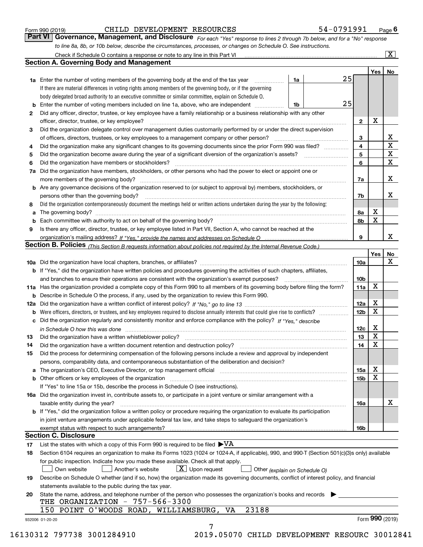| Form 990 (2019) |  |  |
|-----------------|--|--|
|                 |  |  |

#### CHILD DEVELOPMENT RESOURCES 54-0791991

*For each "Yes" response to lines 2 through 7b below, and for a "No" response to line 8a, 8b, or 10b below, describe the circumstances, processes, or changes on Schedule O. See instructions.* Form 990 (2019) **CHILD DEVELOPMENT RESOURCES** 54 – 0791991 <sub>Page</sub> 6<br>**Part VI Governance, Management, and Disclosure** *For each "Yes" response to lines 2 through 7b below, and for a "No" response* 

|    |                                                                                                                                                                               |    |    |                 | Yes   No        |             |
|----|-------------------------------------------------------------------------------------------------------------------------------------------------------------------------------|----|----|-----------------|-----------------|-------------|
|    | <b>1a</b> Enter the number of voting members of the governing body at the end of the tax year                                                                                 | 1a | 25 |                 |                 |             |
|    | If there are material differences in voting rights among members of the governing body, or if the governing                                                                   |    |    |                 |                 |             |
|    | body delegated broad authority to an executive committee or similar committee, explain on Schedule O.                                                                         |    |    |                 |                 |             |
|    | <b>b</b> Enter the number of voting members included on line 1a, above, who are independent <i>manumum</i>                                                                    | 1b | 25 |                 |                 |             |
| 2  | Did any officer, director, trustee, or key employee have a family relationship or a business relationship with any other                                                      |    |    |                 |                 |             |
|    | officer, director, trustee, or key employee?                                                                                                                                  |    |    | $\mathbf{2}$    | X               |             |
| 3  | Did the organization delegate control over management duties customarily performed by or under the direct supervision                                                         |    |    |                 |                 |             |
|    |                                                                                                                                                                               |    |    | 3               |                 | X           |
| 4  | Did the organization make any significant changes to its governing documents since the prior Form 990 was filed?                                                              |    |    | $\overline{4}$  |                 | $\mathbf X$ |
| 5  |                                                                                                                                                                               |    |    | 5               |                 | X           |
| 6  |                                                                                                                                                                               |    |    | 6               |                 | $\mathbf X$ |
| 7a | Did the organization have members, stockholders, or other persons who had the power to elect or appoint one or                                                                |    |    |                 |                 |             |
|    |                                                                                                                                                                               |    |    | 7a              |                 | x           |
|    | <b>b</b> Are any governance decisions of the organization reserved to (or subject to approval by) members, stockholders, or                                                   |    |    |                 |                 |             |
|    | persons other than the governing body?                                                                                                                                        |    |    | 7b              |                 | х           |
| 8  | Did the organization contemporaneously document the meetings held or written actions undertaken during the year by the following:                                             |    |    |                 |                 |             |
| a  |                                                                                                                                                                               |    |    | 8a              | X               |             |
|    |                                                                                                                                                                               |    |    | 8b              | X               |             |
| 9  | Is there any officer, director, trustee, or key employee listed in Part VII, Section A, who cannot be reached at the                                                          |    |    |                 |                 |             |
|    |                                                                                                                                                                               |    |    | 9               |                 | x           |
|    | Section B. Policies (This Section B requests information about policies not required by the Internal Revenue Code.)                                                           |    |    |                 |                 |             |
|    |                                                                                                                                                                               |    |    |                 | Yes             | No          |
|    |                                                                                                                                                                               |    |    | 10a             |                 | X           |
|    |                                                                                                                                                                               |    |    |                 |                 |             |
|    | <b>b</b> If "Yes," did the organization have written policies and procedures governing the activities of such chapters, affiliates,                                           |    |    |                 |                 |             |
|    |                                                                                                                                                                               |    |    | 10 <sub>b</sub> | X               |             |
|    | 11a Has the organization provided a complete copy of this Form 990 to all members of its governing body before filing the form?                                               |    |    | 11a             |                 |             |
|    | <b>b</b> Describe in Schedule O the process, if any, used by the organization to review this Form 990.                                                                        |    |    |                 |                 |             |
|    |                                                                                                                                                                               |    |    | 12a             | X               |             |
| b  |                                                                                                                                                                               |    |    | 12 <sub>b</sub> | X               |             |
|    | c Did the organization regularly and consistently monitor and enforce compliance with the policy? If "Yes." describe                                                          |    |    |                 |                 |             |
|    | in Schedule O how this was done manufactured and continuum control of the Schedule O how this was done manufactured and continuum control of the Schedule O how this was done |    |    | 12c             | X               |             |
| 13 |                                                                                                                                                                               |    |    | 13              | X               |             |
| 14 | Did the organization have a written document retention and destruction policy? manufactured and the organization have a written document retention and destruction policy?    |    |    | 14              | X               |             |
| 15 | Did the process for determining compensation of the following persons include a review and approval by independent                                                            |    |    |                 |                 |             |
|    | persons, comparability data, and contemporaneous substantiation of the deliberation and decision?                                                                             |    |    |                 |                 |             |
|    |                                                                                                                                                                               |    |    | 15a             | X               |             |
|    |                                                                                                                                                                               |    |    | 15 <sub>b</sub> | X               |             |
|    | If "Yes" to line 15a or 15b, describe the process in Schedule O (see instructions).                                                                                           |    |    |                 |                 |             |
|    | 16a Did the organization invest in, contribute assets to, or participate in a joint venture or similar arrangement with a                                                     |    |    |                 |                 |             |
|    | taxable entity during the year?                                                                                                                                               |    |    | 16a             |                 | X           |
|    | b If "Yes," did the organization follow a written policy or procedure requiring the organization to evaluate its participation                                                |    |    |                 |                 |             |
|    | in joint venture arrangements under applicable federal tax law, and take steps to safeguard the organization's                                                                |    |    |                 |                 |             |
|    | exempt status with respect to such arrangements?                                                                                                                              |    |    | 16 <sub>b</sub> |                 |             |
|    | <b>Section C. Disclosure</b>                                                                                                                                                  |    |    |                 |                 |             |
| 17 | List the states with which a copy of this Form 990 is required to be filed $\blacktriangleright\text{VA}$                                                                     |    |    |                 |                 |             |
| 18 | Section 6104 requires an organization to make its Forms 1023 (1024 or 1024-A, if applicable), 990, and 990-T (Section 501(c)(3)s only) available                              |    |    |                 |                 |             |
|    | for public inspection. Indicate how you made these available. Check all that apply.                                                                                           |    |    |                 |                 |             |
|    | $\lfloor x \rfloor$ Upon request<br>Own website<br>Another's website<br>Other (explain on Schedule O)                                                                         |    |    |                 |                 |             |
| 19 | Describe on Schedule O whether (and if so, how) the organization made its governing documents, conflict of interest policy, and financial                                     |    |    |                 |                 |             |
|    | statements available to the public during the tax year.                                                                                                                       |    |    |                 |                 |             |
| 20 | State the name, address, and telephone number of the person who possesses the organization's books and records                                                                |    |    |                 |                 |             |
|    | THE ORGANIZATION - 757-566-3300                                                                                                                                               |    |    |                 |                 |             |
|    | 23188<br>150 POINT O'WOODS ROAD, WILLIAMSBURG, VA                                                                                                                             |    |    |                 |                 |             |
|    |                                                                                                                                                                               |    |    |                 | Form 990 (2019) |             |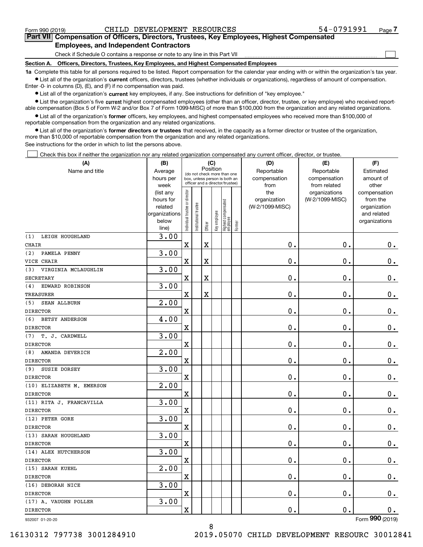$\mathcal{L}^{\text{max}}$ 

## **7Part VII Compensation of Officers, Directors, Trustees, Key Employees, Highest Compensated Employees, and Independent Contractors**

Check if Schedule O contains a response or note to any line in this Part VII

**Section A. Officers, Directors, Trustees, Key Employees, and Highest Compensated Employees**

**1a**  Complete this table for all persons required to be listed. Report compensation for the calendar year ending with or within the organization's tax year. **•** List all of the organization's current officers, directors, trustees (whether individuals or organizations), regardless of amount of compensation.

Enter -0- in columns (D), (E), and (F) if no compensation was paid.

 $\bullet$  List all of the organization's  $\,$ current key employees, if any. See instructions for definition of "key employee."

**•** List the organization's five current highest compensated employees (other than an officer, director, trustee, or key employee) who received reportable compensation (Box 5 of Form W-2 and/or Box 7 of Form 1099-MISC) of more than \$100,000 from the organization and any related organizations.

**•** List all of the organization's former officers, key employees, and highest compensated employees who received more than \$100,000 of reportable compensation from the organization and any related organizations.

**former directors or trustees**  ¥ List all of the organization's that received, in the capacity as a former director or trustee of the organization, more than \$10,000 of reportable compensation from the organization and any related organizations.

See instructions for the order in which to list the persons above.

Check this box if neither the organization nor any related organization compensated any current officer, director, or trustee.  $\mathcal{L}^{\text{max}}$ 

| (A)                          | (B)                    | (C)                            |                                                                  | (D)         | (E)          | (F)                              |           |                     |                                  |                          |
|------------------------------|------------------------|--------------------------------|------------------------------------------------------------------|-------------|--------------|----------------------------------|-----------|---------------------|----------------------------------|--------------------------|
| Name and title               | Average                |                                | Position<br>(do not check more than one                          |             | Reportable   | Reportable                       | Estimated |                     |                                  |                          |
|                              | hours per              |                                | box, unless person is both an<br>officer and a director/trustee) |             |              |                                  |           | compensation        | compensation                     | amount of                |
|                              | week                   |                                |                                                                  |             |              |                                  |           | from                | from related                     | other                    |
|                              | (list any<br>hours for |                                |                                                                  |             |              |                                  |           | the<br>organization | organizations<br>(W-2/1099-MISC) | compensation<br>from the |
|                              | related                |                                |                                                                  |             |              |                                  |           | (W-2/1099-MISC)     |                                  | organization             |
|                              | organizations          |                                |                                                                  |             |              |                                  |           |                     |                                  | and related              |
|                              | below                  | Individual trustee or director | Institutional trustee                                            |             | Key employee |                                  |           |                     |                                  | organizations            |
|                              | line)                  |                                |                                                                  | Officer     |              | Highest compensated<br> employee | Former    |                     |                                  |                          |
| LEIGH HOUGHLAND<br>(1)       | 3.00                   |                                |                                                                  |             |              |                                  |           |                     |                                  |                          |
| <b>CHAIR</b>                 |                        | $\mathbf X$                    |                                                                  | $\rm X$     |              |                                  |           | $\mathbf 0$ .       | $\mathbf 0$ .                    | $0_{.}$                  |
| (2)<br>PAMELA PENNY          | 3.00                   |                                |                                                                  |             |              |                                  |           |                     |                                  |                          |
| VICE CHAIR                   |                        | $\overline{\mathbf{X}}$        |                                                                  | X           |              |                                  |           | 0.                  | $\mathbf 0$ .                    | $\mathbf 0$ .            |
| (3)<br>VIRGINIA MCLAUGHLIN   | 3.00                   |                                |                                                                  |             |              |                                  |           |                     |                                  |                          |
| <b>SECRETARY</b>             |                        | $\rm X$                        |                                                                  | $\mathbf X$ |              |                                  |           | $\mathbf 0$ .       | $\mathbf 0$ .                    | $\mathbf 0$ .            |
| EDWARD ROBINSON<br>(4)       | 3.00                   |                                |                                                                  |             |              |                                  |           |                     |                                  |                          |
| <b>TREASURER</b>             |                        | $\overline{\textbf{X}}$        |                                                                  | $\mathbf X$ |              |                                  |           | 0.                  | $\mathbf 0$ .                    | $0$ .                    |
| <b>SEAN ALLBURN</b><br>(5)   | $\overline{2.00}$      |                                |                                                                  |             |              |                                  |           |                     |                                  |                          |
| <b>DIRECTOR</b>              |                        | $\rm X$                        |                                                                  |             |              |                                  |           | 0.                  | 0.                               | $\mathbf 0$ .            |
| (6)<br><b>BETSY ANDERSON</b> | 4.00                   |                                |                                                                  |             |              |                                  |           |                     |                                  |                          |
| <b>DIRECTOR</b>              |                        | X                              |                                                                  |             |              |                                  |           | 0.                  | 0.                               | $\mathbf 0$ .            |
| T. J. CARDWELL<br>(7)        | 3.00                   |                                |                                                                  |             |              |                                  |           |                     |                                  |                          |
| <b>DIRECTOR</b>              |                        | $\overline{\textbf{X}}$        |                                                                  |             |              |                                  |           | $\mathbf{0}$ .      | $\mathbf 0$ .                    | $\mathbf 0$ .            |
| AMANDA DEVERICH<br>(8)       | 2.00                   |                                |                                                                  |             |              |                                  |           |                     |                                  |                          |
| <b>DIRECTOR</b>              |                        | $\overline{\mathbf{X}}$        |                                                                  |             |              |                                  |           | 0.                  | 0.                               | $\mathbf 0$ .            |
| SUSIE DORSEY<br>(9)          | 3.00                   |                                |                                                                  |             |              |                                  |           |                     |                                  |                          |
| <b>DIRECTOR</b>              |                        | $\overline{\mathbf{X}}$        |                                                                  |             |              |                                  |           | 0.                  | $\mathbf 0$ .                    | $\mathbf 0$ .            |
| (10) ELIZABETH M. EMERSON    | 2.00                   |                                |                                                                  |             |              |                                  |           |                     |                                  |                          |
| <b>DIRECTOR</b>              |                        | $\overline{\mathbf{X}}$        |                                                                  |             |              |                                  |           | 0.                  | $\mathbf 0$ .                    | $0$ .                    |
| (11) RITA J. FRANCAVILLA     | 3.00                   |                                |                                                                  |             |              |                                  |           |                     |                                  |                          |
| <b>DIRECTOR</b>              |                        | $\overline{\textbf{X}}$        |                                                                  |             |              |                                  |           | $\mathbf 0$ .       | 0.                               | $\mathbf 0$ .            |
| (12) PETER GORE              | 3.00                   |                                |                                                                  |             |              |                                  |           |                     |                                  |                          |
| <b>DIRECTOR</b>              |                        | $\overline{\mathbf{X}}$        |                                                                  |             |              |                                  |           | $\mathbf 0$ .       | $\mathbf 0$ .                    | $\mathbf 0$ .            |
| (13) SARAH HOUGHLAND         | 3.00                   |                                |                                                                  |             |              |                                  |           |                     |                                  |                          |
| <b>DIRECTOR</b>              |                        | $\overline{\text{X}}$          |                                                                  |             |              |                                  |           | $\mathbf 0$ .       | $\mathbf 0$ .                    | $0_{.}$                  |
| (14) ALEX HUTCHERSON         | 3.00                   |                                |                                                                  |             |              |                                  |           |                     |                                  |                          |
| <b>DIRECTOR</b>              |                        | $\mathbf X$                    |                                                                  |             |              |                                  |           | 0.                  | $\mathbf 0$ .                    | $0_{.}$                  |
| (15) SARAH KUEHL             | 2.00                   |                                |                                                                  |             |              |                                  |           |                     |                                  |                          |
| <b>DIRECTOR</b>              |                        | $\overline{\textbf{X}}$        |                                                                  |             |              |                                  |           | 0.                  | $\mathbf 0$ .                    | $\mathbf 0$ .            |
| (16) DEBORAH NICE            | 3.00                   |                                |                                                                  |             |              |                                  |           |                     |                                  |                          |
| <b>DIRECTOR</b>              |                        | $\overline{\mathbf{X}}$        |                                                                  |             |              |                                  |           | 0.                  | $\mathbf 0$ .                    | $\mathbf 0$ .            |
| (17) A. VAUGHN POLLER        | 3.00                   |                                |                                                                  |             |              |                                  |           |                     |                                  |                          |
| <b>DIRECTOR</b>              |                        | X                              |                                                                  |             |              |                                  |           | 0.                  | $\mathbf 0$ .                    | 0.                       |

932007 01-20-20

8 16130312 797738 3001284910 2019.05070 CHILD DEVELOPMENT RESOURC 30012841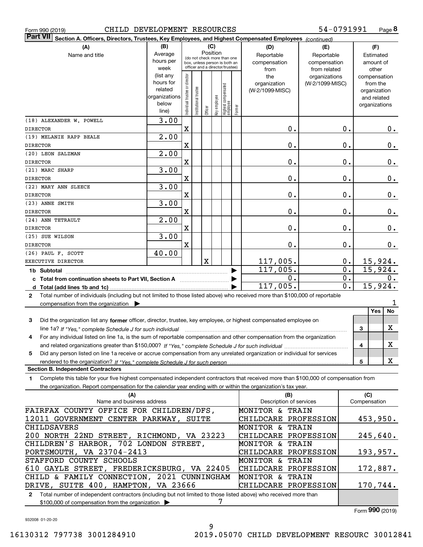|  | rm 990 (2019) |  |
|--|---------------|--|
|  |               |  |

**8** 54-0791991

| <b>Part VII</b><br>Section A. Officers, Directors, Trustees, Key Employees, and Highest Compensated Employees (continued)                 |                                                                                |                                |                                 |         |              |                                  |        |                            |                 |               |                             |       |
|-------------------------------------------------------------------------------------------------------------------------------------------|--------------------------------------------------------------------------------|--------------------------------|---------------------------------|---------|--------------|----------------------------------|--------|----------------------------|-----------------|---------------|-----------------------------|-------|
| (A)                                                                                                                                       | (B)                                                                            |                                |                                 |         | (C)          |                                  |        | (D)                        | (F)<br>(E)      |               |                             |       |
| Name and title                                                                                                                            | Average                                                                        |                                | (do not check more than one     |         | Position     |                                  |        | Reportable                 | Reportable      |               | Estimated                   |       |
|                                                                                                                                           | hours per                                                                      |                                | box, unless person is both an   |         |              |                                  |        | compensation               | compensation    |               | amount of                   |       |
|                                                                                                                                           | week                                                                           |                                | officer and a director/trustee) |         |              |                                  |        | from                       | from related    |               | other                       |       |
|                                                                                                                                           | (list any<br>hours for                                                         |                                |                                 |         |              |                                  |        | the                        | organizations   |               | compensation                |       |
|                                                                                                                                           | related                                                                        |                                |                                 |         |              |                                  |        | organization               | (W-2/1099-MISC) |               | from the                    |       |
|                                                                                                                                           | organizations                                                                  |                                |                                 |         |              |                                  |        | (W-2/1099-MISC)            |                 |               | organization<br>and related |       |
|                                                                                                                                           | below                                                                          | Individual trustee or director | Institutional trustee           |         |              |                                  |        |                            |                 |               | organizations               |       |
|                                                                                                                                           | line)                                                                          |                                |                                 | Officer | Key employee | Highest compensated<br> employee | Former |                            |                 |               |                             |       |
| (18) ALEXANDER W. POWELL                                                                                                                  | 3.00                                                                           |                                |                                 |         |              |                                  |        |                            |                 |               |                             |       |
| <b>DIRECTOR</b>                                                                                                                           |                                                                                | $\mathbf X$                    |                                 |         |              |                                  |        | $\mathbf 0$ .              |                 | 0.            |                             | 0.    |
| (19) MELANIE RAPP BEALE                                                                                                                   | 2.00                                                                           |                                |                                 |         |              |                                  |        |                            |                 |               |                             |       |
| <b>DIRECTOR</b>                                                                                                                           |                                                                                | X                              |                                 |         |              |                                  |        | $\mathbf 0$ .              |                 | 0.            |                             | 0.    |
| (20) LEON SALZMAN                                                                                                                         | 2.00                                                                           |                                |                                 |         |              |                                  |        |                            |                 |               |                             |       |
| <b>DIRECTOR</b>                                                                                                                           |                                                                                | X                              |                                 |         |              |                                  |        | $\mathbf 0$ .              |                 | $\mathbf 0$ . |                             | $0$ . |
| (21) MARC SHARP                                                                                                                           | 3.00                                                                           |                                |                                 |         |              |                                  |        |                            |                 |               |                             |       |
| <b>DIRECTOR</b>                                                                                                                           |                                                                                | X                              |                                 |         |              |                                  |        | $\mathbf 0$ .              |                 | $\mathbf 0$ . |                             | $0$ . |
| (22) MARY ANN SLEECE                                                                                                                      | 3.00                                                                           |                                |                                 |         |              |                                  |        |                            |                 |               |                             |       |
| <b>DIRECTOR</b>                                                                                                                           |                                                                                | X                              |                                 |         |              |                                  |        | $\mathbf 0$ .              |                 | $\mathbf 0$ . |                             | 0.    |
| (23) ANNE SMITH                                                                                                                           | 3.00                                                                           |                                |                                 |         |              |                                  |        |                            |                 |               |                             |       |
| <b>DIRECTOR</b>                                                                                                                           |                                                                                | $\mathbf x$                    |                                 |         |              |                                  |        | $\mathbf 0$ .              |                 | $\mathbf 0$ . |                             | 0.    |
| (24) ANN TETRAULT                                                                                                                         | 2.00                                                                           |                                |                                 |         |              |                                  |        |                            |                 |               |                             |       |
| <b>DIRECTOR</b>                                                                                                                           |                                                                                | $\mathbf X$                    |                                 |         |              |                                  |        | $\mathbf 0$ .              |                 | $\mathbf 0$ . |                             | 0.    |
| (25) SUE WILSON                                                                                                                           | 3.00                                                                           |                                |                                 |         |              |                                  |        |                            |                 |               |                             |       |
| <b>DIRECTOR</b>                                                                                                                           |                                                                                | X                              |                                 |         |              |                                  |        | 0.                         |                 | $\mathbf 0$ . |                             | 0.    |
| (26) PAUL F. SCOTT                                                                                                                        | 40.00                                                                          |                                |                                 |         |              |                                  |        |                            |                 |               |                             |       |
| EXECUTIVE DIRECTOR                                                                                                                        |                                                                                |                                |                                 | X       |              |                                  |        | 117,005.                   |                 | 0.            | 15,924.                     |       |
| 1b Subtotal                                                                                                                               |                                                                                |                                |                                 |         |              |                                  |        | 117,005.                   |                 | 0.            | 15,924.                     |       |
| c Total from continuation sheets to Part VII, Section A [111] [12] Total from continuation sheets to Part VII, Section A                  |                                                                                |                                |                                 |         |              |                                  |        | О.                         |                 | 0.            |                             | 0.    |
|                                                                                                                                           |                                                                                |                                |                                 |         |              |                                  |        | 117,005.                   |                 | 0.            | 15,924.                     |       |
| Total number of individuals (including but not limited to those listed above) who received more than \$100,000 of reportable<br>2         |                                                                                |                                |                                 |         |              |                                  |        |                            |                 |               |                             |       |
| compensation from the organization $\blacktriangleright$                                                                                  |                                                                                |                                |                                 |         |              |                                  |        |                            |                 |               |                             | 1     |
|                                                                                                                                           |                                                                                |                                |                                 |         |              |                                  |        |                            |                 |               | <b>Yes</b>                  | No    |
| Did the organization list any former officer, director, trustee, key employee, or highest compensated employee on<br>3                    |                                                                                |                                |                                 |         |              |                                  |        |                            |                 |               |                             |       |
|                                                                                                                                           |                                                                                |                                |                                 |         |              |                                  |        |                            |                 |               | 3                           | х     |
| For any individual listed on line 1a, is the sum of reportable compensation and other compensation from the organization<br>4             |                                                                                |                                |                                 |         |              |                                  |        |                            |                 |               |                             |       |
|                                                                                                                                           |                                                                                |                                |                                 |         |              |                                  |        |                            |                 |               | 4                           | X     |
| Did any person listed on line 1a receive or accrue compensation from any unrelated organization or individual for services<br>5           |                                                                                |                                |                                 |         |              |                                  |        |                            |                 |               |                             |       |
|                                                                                                                                           |                                                                                |                                |                                 |         |              |                                  |        |                            |                 |               | 5                           | X     |
| <b>Section B. Independent Contractors</b>                                                                                                 |                                                                                |                                |                                 |         |              |                                  |        |                            |                 |               |                             |       |
| Complete this table for your five highest compensated independent contractors that received more than \$100,000 of compensation from<br>1 |                                                                                |                                |                                 |         |              |                                  |        |                            |                 |               |                             |       |
| the organization. Report compensation for the calendar year ending with or within the organization's tax year.                            |                                                                                |                                |                                 |         |              |                                  |        |                            |                 |               |                             |       |
| (A)                                                                                                                                       |                                                                                |                                |                                 |         |              |                                  |        | (B)                        |                 |               | (C)                         |       |
| Name and business address                                                                                                                 |                                                                                |                                |                                 |         |              |                                  |        | Description of services    |                 |               | Compensation                |       |
| FAIRFAX COUNTY OFFICE FOR CHILDREN/DFS,                                                                                                   |                                                                                |                                |                                 |         |              |                                  |        | <b>MONITOR &amp; TRAIN</b> |                 |               |                             |       |
| 12011 GOVERNMENT CENTER PARKWAY, SUITE                                                                                                    |                                                                                |                                |                                 |         |              |                                  |        | CHILDCARE PROFESSION       |                 |               | 453,950.                    |       |
| <b>MONITOR &amp; TRAIN</b><br><b>CHILDSAVERS</b>                                                                                          |                                                                                |                                |                                 |         |              |                                  |        |                            |                 |               |                             |       |
| 200 NORTH 22ND STREET, RICHMOND, VA 23223                                                                                                 |                                                                                |                                |                                 |         |              |                                  |        | CHILDCARE PROFESSION       |                 |               | 245,640.                    |       |
|                                                                                                                                           | CHILDREN'S HARBOR, 702 LONDON STREET,<br><b>MONITOR &amp; TRAIN</b>            |                                |                                 |         |              |                                  |        |                            |                 |               |                             |       |
| PORTSMOUTH, VA 23704-2413                                                                                                                 |                                                                                |                                |                                 |         |              |                                  |        | CHILDCARE PROFESSION       |                 |               | 193,957.                    |       |
| STAFFORD COUNTY SCHOOLS                                                                                                                   | MONITOR & TRAIN                                                                |                                |                                 |         |              |                                  |        |                            |                 |               |                             |       |
|                                                                                                                                           | 610 GAYLE STREET, FREDERICKSBURG, VA 22405<br>CHILDCARE PROFESSION<br>172,887. |                                |                                 |         |              |                                  |        |                            |                 |               |                             |       |
| CHILD & FAMILY CONNECTION, 2021 CUNNINGHAM                                                                                                |                                                                                |                                |                                 |         |              |                                  |        | MONITOR & TRAIN            |                 |               |                             |       |
| DRIVE, SUITE 400, HAMPTON, VA 23666                                                                                                       |                                                                                |                                |                                 |         |              |                                  |        | CHILDCARE PROFESSION       |                 |               | 170,744.                    |       |

**2**Total number of independent contractors (including but not limited to those listed above) who received more than \$100,000 of compensation from the organization  $\blacktriangleright$ 7

Form (2019) **990**

932008 01-20-20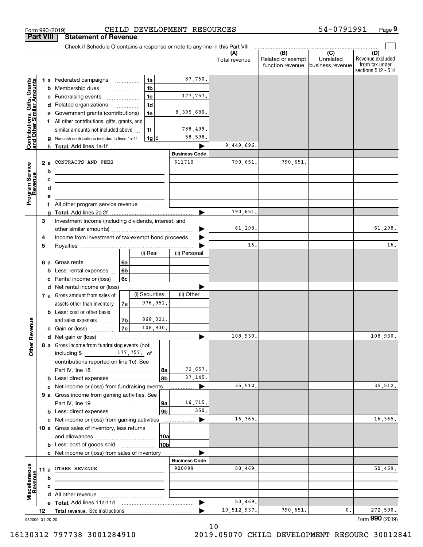| <b>Part VIII</b><br>Gifts, Grants<br>Contributions, Gifts, Grants<br>and Other Similar Amounts |                 | <b>Statement of Revenue</b><br>Check if Schedule O contains a response or note to any line in this Part VIII |                                      |                |                |                      |                      |                                                           |                                                   |                                                                 |
|------------------------------------------------------------------------------------------------|-----------------|--------------------------------------------------------------------------------------------------------------|--------------------------------------|----------------|----------------|----------------------|----------------------|-----------------------------------------------------------|---------------------------------------------------|-----------------------------------------------------------------|
|                                                                                                |                 |                                                                                                              |                                      |                |                |                      |                      |                                                           |                                                   |                                                                 |
|                                                                                                |                 |                                                                                                              |                                      |                |                |                      |                      |                                                           |                                                   |                                                                 |
|                                                                                                |                 |                                                                                                              |                                      |                |                |                      | (A)<br>Total revenue | $\overline{(B)}$<br>Related or exempt<br>function revenue | $\overline{(C)}$<br>Unrelated<br>business revenue | (D)<br>Revenue excluded<br>from tax under<br>sections 512 - 514 |
|                                                                                                |                 |                                                                                                              |                                      | 1a             |                | 87,760.              |                      |                                                           |                                                   |                                                                 |
|                                                                                                |                 | 1 a Federated campaigns<br><b>b</b> Membership dues                                                          |                                      | 1 <sub>b</sub> |                |                      |                      |                                                           |                                                   |                                                                 |
|                                                                                                |                 | c Fundraising events                                                                                         | $\ldots \ldots \ldots \ldots \ldots$ | 1 <sub>c</sub> |                | 177,757.             |                      |                                                           |                                                   |                                                                 |
|                                                                                                |                 | d Related organizations                                                                                      |                                      | 1 <sub>d</sub> |                |                      |                      |                                                           |                                                   |                                                                 |
|                                                                                                |                 | e Government grants (contributions)                                                                          |                                      | 1e             |                | 8,395,680.           |                      |                                                           |                                                   |                                                                 |
|                                                                                                |                 | f All other contributions, gifts, grants, and                                                                |                                      |                |                |                      |                      |                                                           |                                                   |                                                                 |
|                                                                                                |                 | similar amounts not included above                                                                           |                                      | 1f             |                | 788,499.             |                      |                                                           |                                                   |                                                                 |
|                                                                                                |                 | g Noncash contributions included in lines 1a-1f                                                              |                                      | $1g$ \$        |                | 58,598.              |                      |                                                           |                                                   |                                                                 |
|                                                                                                |                 |                                                                                                              |                                      |                |                |                      | 9,449,696.           |                                                           |                                                   |                                                                 |
|                                                                                                |                 |                                                                                                              |                                      |                |                | <b>Business Code</b> |                      |                                                           |                                                   |                                                                 |
|                                                                                                | 2 a             | CONTRACTS AND FEES                                                                                           |                                      |                |                | 611710               | 790,651.             | 790,651.                                                  |                                                   |                                                                 |
| Program Service<br>Revenue                                                                     | b               |                                                                                                              |                                      |                |                |                      |                      |                                                           |                                                   |                                                                 |
|                                                                                                | с               |                                                                                                              |                                      |                |                |                      |                      |                                                           |                                                   |                                                                 |
|                                                                                                | d               | <u> 1989 - Johann Stein, mars an deus an deus Amerikaanse komme</u>                                          |                                      |                |                |                      |                      |                                                           |                                                   |                                                                 |
|                                                                                                | е               |                                                                                                              |                                      |                |                |                      |                      |                                                           |                                                   |                                                                 |
|                                                                                                |                 |                                                                                                              |                                      |                |                |                      |                      |                                                           |                                                   |                                                                 |
|                                                                                                |                 |                                                                                                              |                                      |                |                |                      | 790,651.             |                                                           |                                                   |                                                                 |
|                                                                                                | З               | Investment income (including dividends, interest, and                                                        |                                      |                |                |                      |                      |                                                           |                                                   |                                                                 |
|                                                                                                |                 |                                                                                                              |                                      |                |                |                      | 61,298.              |                                                           |                                                   | 61,298.                                                         |
|                                                                                                | 4               | Income from investment of tax-exempt bond proceeds                                                           |                                      |                |                |                      |                      |                                                           |                                                   |                                                                 |
|                                                                                                | 5               |                                                                                                              |                                      |                |                |                      | 16.                  |                                                           |                                                   | 16.                                                             |
|                                                                                                |                 |                                                                                                              |                                      | (i) Real       |                | (ii) Personal        |                      |                                                           |                                                   |                                                                 |
|                                                                                                | 6а              | Gross rents                                                                                                  | 6a                                   |                |                |                      |                      |                                                           |                                                   |                                                                 |
|                                                                                                | b               | Less: rental expenses                                                                                        | 6b                                   |                |                |                      |                      |                                                           |                                                   |                                                                 |
|                                                                                                | c               | Rental income or (loss)                                                                                      | 6с                                   |                |                |                      |                      |                                                           |                                                   |                                                                 |
|                                                                                                |                 | d Net rental income or (loss)                                                                                |                                      |                |                |                      |                      |                                                           |                                                   |                                                                 |
|                                                                                                |                 | 7 a Gross amount from sales of                                                                               |                                      | (i) Securities |                | (ii) Other           |                      |                                                           |                                                   |                                                                 |
|                                                                                                |                 | assets other than inventory                                                                                  | 7a                                   | 976,951.       |                |                      |                      |                                                           |                                                   |                                                                 |
|                                                                                                |                 | <b>b</b> Less: cost or other basis                                                                           |                                      |                |                |                      |                      |                                                           |                                                   |                                                                 |
|                                                                                                |                 | and sales expenses                                                                                           | 7b                                   | 868,021.       |                |                      |                      |                                                           |                                                   |                                                                 |
| evenue                                                                                         |                 | c Gain or (loss)                                                                                             | 7c                                   | 108,930.       |                |                      |                      |                                                           |                                                   |                                                                 |
| Œ.                                                                                             |                 |                                                                                                              |                                      |                |                |                      | 108,930.             |                                                           |                                                   | 108,930.                                                        |
| Other                                                                                          |                 | 8 a Gross income from fundraising events (not                                                                |                                      |                |                |                      |                      |                                                           |                                                   |                                                                 |
|                                                                                                |                 | including \$<br>177, 757. of                                                                                 |                                      |                |                |                      |                      |                                                           |                                                   |                                                                 |
|                                                                                                |                 | contributions reported on line 1c). See                                                                      |                                      |                |                | 72,657.              |                      |                                                           |                                                   |                                                                 |
|                                                                                                |                 |                                                                                                              |                                      |                | 8a<br>8b       | 37, 145.             |                      |                                                           |                                                   |                                                                 |
|                                                                                                |                 | <b>b</b> Less: direct expenses <i></i>                                                                       |                                      |                |                | ▶                    | 35,512.              |                                                           |                                                   | 35,512.                                                         |
|                                                                                                |                 | c Net income or (loss) from fundraising events                                                               |                                      |                |                |                      |                      |                                                           |                                                   |                                                                 |
|                                                                                                |                 | 9 a Gross income from gaming activities. See                                                                 |                                      |                | 9a             | 16,715.              |                      |                                                           |                                                   |                                                                 |
|                                                                                                |                 |                                                                                                              |                                      |                | 9 <sub>b</sub> | 350.                 |                      |                                                           |                                                   |                                                                 |
|                                                                                                |                 | c Net income or (loss) from gaming activities                                                                |                                      |                |                | ▶                    | 16,365.              |                                                           |                                                   | 16,365.                                                         |
|                                                                                                |                 | 10 a Gross sales of inventory, less returns                                                                  |                                      |                |                |                      |                      |                                                           |                                                   |                                                                 |
|                                                                                                |                 |                                                                                                              |                                      |                | 10a            |                      |                      |                                                           |                                                   |                                                                 |
|                                                                                                |                 | <b>b</b> Less: cost of goods sold                                                                            |                                      |                | 10b            |                      |                      |                                                           |                                                   |                                                                 |
|                                                                                                |                 | c Net income or (loss) from sales of inventory                                                               |                                      |                |                |                      |                      |                                                           |                                                   |                                                                 |
|                                                                                                |                 |                                                                                                              |                                      |                |                | <b>Business Code</b> |                      |                                                           |                                                   |                                                                 |
|                                                                                                |                 | 11 a OTHER REVENUE                                                                                           |                                      |                |                | 900099               | 50,469.              |                                                           |                                                   | 50,469.                                                         |
|                                                                                                | b               |                                                                                                              |                                      |                |                |                      |                      |                                                           |                                                   |                                                                 |
|                                                                                                | c               |                                                                                                              |                                      |                |                |                      |                      |                                                           |                                                   |                                                                 |
| Miscellaneous<br>Revenue                                                                       |                 |                                                                                                              |                                      |                |                |                      |                      |                                                           |                                                   |                                                                 |
|                                                                                                |                 |                                                                                                              |                                      |                |                | ▶                    | 50,469.              |                                                           |                                                   |                                                                 |
|                                                                                                | 12              |                                                                                                              |                                      |                |                |                      | 10,512,937.          | 790,651.                                                  | 0.                                                | 272,590.                                                        |
|                                                                                                | 932009 01-20-20 |                                                                                                              |                                      |                |                |                      |                      |                                                           |                                                   | Form 990 (2019)                                                 |

10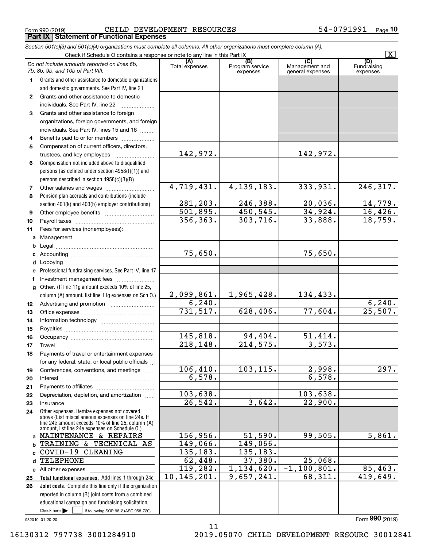Form 990 (2019) Page CHILD DEVELOPMENT RESOURCES 54-0791991 **Part IX Statement of Functional Expenses**

|                  | Section 501(c)(3) and 501(c)(4) organizations must complete all columns. All other organizations must complete column (A).                                                                                 |                       |                                    |                                                      |                                |
|------------------|------------------------------------------------------------------------------------------------------------------------------------------------------------------------------------------------------------|-----------------------|------------------------------------|------------------------------------------------------|--------------------------------|
|                  | Check if Schedule O contains a response or note to any line in this Part IX                                                                                                                                |                       |                                    |                                                      | $\overline{\mathbf{X}}$        |
|                  | Do not include amounts reported on lines 6b,<br>7b, 8b, 9b, and 10b of Part VIII.                                                                                                                          | (A)<br>Total expenses | (B)<br>Program service<br>expenses | $\overline{C}$<br>Management and<br>general expenses | (D)<br>Fundraising<br>expenses |
| 1.               | Grants and other assistance to domestic organizations                                                                                                                                                      |                       |                                    |                                                      |                                |
|                  | and domestic governments. See Part IV, line 21                                                                                                                                                             |                       |                                    |                                                      |                                |
| $\mathbf{2}$     | Grants and other assistance to domestic                                                                                                                                                                    |                       |                                    |                                                      |                                |
|                  | individuals. See Part IV, line 22                                                                                                                                                                          |                       |                                    |                                                      |                                |
| 3                | Grants and other assistance to foreign                                                                                                                                                                     |                       |                                    |                                                      |                                |
|                  | organizations, foreign governments, and foreign                                                                                                                                                            |                       |                                    |                                                      |                                |
|                  | individuals. See Part IV, lines 15 and 16                                                                                                                                                                  |                       |                                    |                                                      |                                |
| 4                | Benefits paid to or for members                                                                                                                                                                            |                       |                                    |                                                      |                                |
| 5                | Compensation of current officers, directors,                                                                                                                                                               |                       |                                    |                                                      |                                |
|                  |                                                                                                                                                                                                            | 142,972.              |                                    | 142,972.                                             |                                |
| 6                | Compensation not included above to disqualified                                                                                                                                                            |                       |                                    |                                                      |                                |
|                  | persons (as defined under section 4958(f)(1)) and                                                                                                                                                          |                       |                                    |                                                      |                                |
|                  | persons described in section 4958(c)(3)(B)<br><b>Concert</b>                                                                                                                                               |                       |                                    |                                                      |                                |
| 7                |                                                                                                                                                                                                            | 4,719,431.            | 4, 139, 183.                       | 333,931.                                             | 246, 317.                      |
| 8                | Pension plan accruals and contributions (include                                                                                                                                                           |                       |                                    |                                                      |                                |
|                  | section 401(k) and 403(b) employer contributions)                                                                                                                                                          | 281,203.              | 246,388.                           | 20,036.                                              | $\frac{14,779.}{16,426.}$      |
| 9                |                                                                                                                                                                                                            | 501,895.              | 450, 545.                          | 34,924.                                              |                                |
| 10               |                                                                                                                                                                                                            | 356, 363.             | 303, 716.                          | 33,888.                                              | 18,759.                        |
| 11               | Fees for services (nonemployees):                                                                                                                                                                          |                       |                                    |                                                      |                                |
| a                |                                                                                                                                                                                                            |                       |                                    |                                                      |                                |
| b                |                                                                                                                                                                                                            |                       |                                    |                                                      |                                |
| с                |                                                                                                                                                                                                            | 75,650.               |                                    | 75,650.                                              |                                |
| d                |                                                                                                                                                                                                            |                       |                                    |                                                      |                                |
| е                | Professional fundraising services. See Part IV, line 17                                                                                                                                                    |                       |                                    |                                                      |                                |
| f                | Investment management fees                                                                                                                                                                                 |                       |                                    |                                                      |                                |
| g                | Other. (If line 11g amount exceeds 10% of line 25,                                                                                                                                                         |                       |                                    |                                                      |                                |
|                  | column (A) amount, list line 11g expenses on Sch O.)                                                                                                                                                       | 2,099,861.            | 1,965,428.                         | 134,433.                                             |                                |
| 12 <sup>12</sup> |                                                                                                                                                                                                            | 6, 240.               |                                    |                                                      | 6, 240.                        |
| 13               |                                                                                                                                                                                                            | 731, 517.             | 628,406.                           | 77,604.                                              | 25,507.                        |
| 14               |                                                                                                                                                                                                            |                       |                                    |                                                      |                                |
| 15               |                                                                                                                                                                                                            |                       |                                    |                                                      |                                |
| 16               |                                                                                                                                                                                                            | 145,818.              | 94,404.                            | 51,414.                                              |                                |
| 17               |                                                                                                                                                                                                            | 218,148.              | 214,575.                           | 3,573.                                               |                                |
| 18               | Payments of travel or entertainment expenses                                                                                                                                                               |                       |                                    |                                                      |                                |
|                  | for any federal, state, or local public officials                                                                                                                                                          |                       |                                    |                                                      |                                |
| 19               | Conferences, conventions, and meetings                                                                                                                                                                     | 106, 410.             | 103, 115.                          | 2,998.                                               | 297.                           |
| 20               | Interest                                                                                                                                                                                                   | 6,578.                |                                    | 6,578.                                               |                                |
| 21               |                                                                                                                                                                                                            |                       |                                    |                                                      |                                |
| 22               | Depreciation, depletion, and amortization                                                                                                                                                                  | 103,638.              |                                    | 103,638.                                             |                                |
| 23               | Insurance                                                                                                                                                                                                  | 26, 542.              | 3,642.                             | 22,900.                                              |                                |
| 24               | Other expenses. Itemize expenses not covered<br>above (List miscellaneous expenses on line 24e. If<br>line 24e amount exceeds 10% of line 25, column (A)<br>amount, list line 24e expenses on Schedule O.) |                       |                                    |                                                      |                                |
|                  | a MAINTENANCE & REPAIRS                                                                                                                                                                                    | 156,956.              | 51,590.                            | 99,505.                                              | 5,861.                         |
| b                | TRAINING & TECHNICAL AS                                                                                                                                                                                    | 149,066.              | 149,066.                           |                                                      |                                |
| C.               | COVID-19 CLEANING                                                                                                                                                                                          | 135,183.              | 135,183.                           |                                                      |                                |
| d                | <b>TELEPHONE</b>                                                                                                                                                                                           | 62,448.               | 37,380.                            | 25,068.                                              |                                |
|                  | e All other expenses                                                                                                                                                                                       | 119,282.              | 1,134,620.                         | $-1, 100, 801.$                                      | 85,463.                        |
| 25               | Total functional expenses. Add lines 1 through 24e                                                                                                                                                         | 10, 145, 201.         | 9,657,241.                         | 68,311.                                              | 419,649.                       |
| 26               | <b>Joint costs.</b> Complete this line only if the organization                                                                                                                                            |                       |                                    |                                                      |                                |
|                  | reported in column (B) joint costs from a combined                                                                                                                                                         |                       |                                    |                                                      |                                |
|                  | educational campaign and fundraising solicitation.                                                                                                                                                         |                       |                                    |                                                      |                                |
|                  | Check here $\blacktriangleright$<br>if following SOP 98-2 (ASC 958-720)                                                                                                                                    |                       |                                    |                                                      |                                |

11

932010 01-20-20

Form (2019) **990**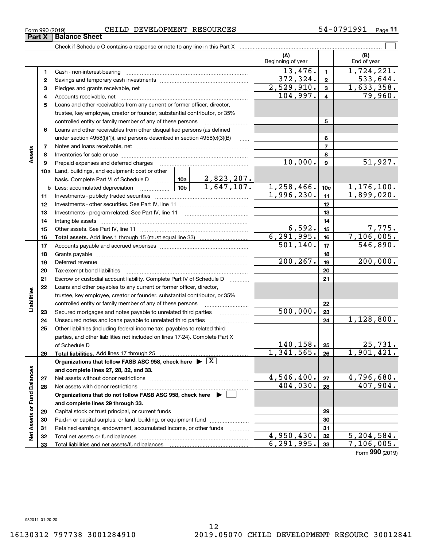**33**

Total liabilities and net assets/fund balances

**33**

 $6,291,995.$  33 7,106,005.

Form (2019) **990**

| Form 990 (2019) | CHILD DEVELOPMENT RESOURCES | 54-0791991<br>Page |
|-----------------|-----------------------------|--------------------|
|-----------------|-----------------------------|--------------------|

|                             |    | Check if Schedule O contains a response or note to any line in this Part X                                                                                                                                                     |           |                   |                          |                  |                        |
|-----------------------------|----|--------------------------------------------------------------------------------------------------------------------------------------------------------------------------------------------------------------------------------|-----------|-------------------|--------------------------|------------------|------------------------|
|                             |    |                                                                                                                                                                                                                                |           |                   | (A)<br>Beginning of year |                  | (B)<br>End of year     |
|                             | 1  | Cash - non-interest-bearing                                                                                                                                                                                                    |           |                   | 13,476.                  | $\mathbf{1}$     | 1,724,221.             |
|                             | 2  |                                                                                                                                                                                                                                |           |                   | 372, 324.                | $\overline{2}$   | 533, 644.              |
|                             | з  |                                                                                                                                                                                                                                |           |                   | 2,529,910.               | $\mathbf{3}$     | 1,633,358.             |
|                             | 4  |                                                                                                                                                                                                                                |           |                   | 104,997.                 | $\overline{4}$   | 79,960.                |
|                             | 5  | Loans and other receivables from any current or former officer, director,                                                                                                                                                      |           |                   |                          |                  |                        |
|                             |    | trustee, key employee, creator or founder, substantial contributor, or 35%                                                                                                                                                     |           |                   |                          |                  |                        |
|                             |    | controlled entity or family member of any of these persons                                                                                                                                                                     |           |                   |                          | 5                |                        |
|                             | 6  | Loans and other receivables from other disqualified persons (as defined                                                                                                                                                        |           |                   |                          |                  |                        |
|                             |    | under section $4958(f)(1)$ , and persons described in section $4958(c)(3)(B)$                                                                                                                                                  |           | 1.1.1.1           |                          | 6                |                        |
|                             | 7  |                                                                                                                                                                                                                                |           |                   |                          | $\overline{7}$   |                        |
| Assets                      | 8  |                                                                                                                                                                                                                                |           |                   |                          | 8                |                        |
|                             | 9  | Prepaid expenses and deferred charges                                                                                                                                                                                          |           |                   | 10,000.                  | $\boldsymbol{9}$ | 51,927.                |
|                             |    | 10a Land, buildings, and equipment: cost or other                                                                                                                                                                              |           |                   |                          |                  |                        |
|                             |    | basis. Complete Part VI of Schedule D    10a   2,823,207.                                                                                                                                                                      |           |                   |                          |                  |                        |
|                             |    | <u>  10b</u>  <br><b>b</b> Less: accumulated depreciation                                                                                                                                                                      |           | 1,647,107.        | 1,258,466.               | 10 <sub>c</sub>  | 1, 176, 100.           |
|                             | 11 |                                                                                                                                                                                                                                |           |                   | 1,996,230.               | 11               | 1,899,020.             |
|                             | 12 |                                                                                                                                                                                                                                |           |                   |                          | 12               |                        |
|                             | 13 |                                                                                                                                                                                                                                |           | 13                |                          |                  |                        |
|                             | 14 |                                                                                                                                                                                                                                |           | 14                |                          |                  |                        |
|                             | 15 |                                                                                                                                                                                                                                |           |                   | 6,592.                   | 15               | 7,775.                 |
|                             | 16 |                                                                                                                                                                                                                                |           |                   | 6, 291, 995.             | 16               | 7,106,005.             |
|                             | 17 |                                                                                                                                                                                                                                | 501, 140. | 17                | 546,890.                 |                  |                        |
|                             | 18 |                                                                                                                                                                                                                                |           |                   | 18                       |                  |                        |
|                             | 19 | Deferred revenue manual contracts and contracts are contracted and contract and contract are contracted and contract are contracted and contract are contracted and contract are contracted and contract are contracted and co |           |                   | 200, 267.                | 19               | 200,000.               |
|                             | 20 |                                                                                                                                                                                                                                |           |                   |                          | 20               |                        |
|                             | 21 | Escrow or custodial account liability. Complete Part IV of Schedule D                                                                                                                                                          |           |                   |                          | 21               |                        |
|                             | 22 | Loans and other payables to any current or former officer, director,                                                                                                                                                           |           |                   |                          |                  |                        |
|                             |    | trustee, key employee, creator or founder, substantial contributor, or 35%                                                                                                                                                     |           |                   |                          |                  |                        |
| Liabilities                 |    | controlled entity or family member of any of these persons                                                                                                                                                                     |           |                   |                          | 22               |                        |
|                             | 23 | Secured mortgages and notes payable to unrelated third parties                                                                                                                                                                 |           |                   | 500,000.                 | 23               |                        |
|                             | 24 | Unsecured notes and loans payable to unrelated third parties                                                                                                                                                                   |           |                   |                          | 24               | 1,128,800.             |
|                             | 25 | Other liabilities (including federal income tax, payables to related third                                                                                                                                                     |           |                   |                          |                  |                        |
|                             |    | parties, and other liabilities not included on lines 17-24). Complete Part X                                                                                                                                                   |           |                   |                          |                  |                        |
|                             |    | of Schedule D                                                                                                                                                                                                                  |           |                   | 140, 158.                | 25               | 25,731.                |
|                             | 26 | Total liabilities. Add lines 17 through 25                                                                                                                                                                                     |           |                   | 1,341,565.               | 26               | 1,901,421.             |
|                             |    | Organizations that follow FASB ASC 958, check here $\blacktriangleright \boxed{X}$                                                                                                                                             |           |                   |                          |                  |                        |
|                             |    | and complete lines 27, 28, 32, and 33.                                                                                                                                                                                         |           |                   |                          |                  |                        |
|                             | 27 | Net assets without donor restrictions                                                                                                                                                                                          |           |                   | 4,546,400.<br>404,030.   | 27               | 4,796,680.<br>407,904. |
|                             | 28 | Net assets with donor restrictions                                                                                                                                                                                             |           | 28                |                          |                  |                        |
|                             |    | Organizations that do not follow FASB ASC 958, check here $\blacktriangleright$                                                                                                                                                |           |                   |                          |                  |                        |
| Net Assets or Fund Balances |    | and complete lines 29 through 33.                                                                                                                                                                                              |           |                   |                          |                  |                        |
|                             | 29 |                                                                                                                                                                                                                                |           |                   |                          | 29               |                        |
|                             | 30 | Paid-in or capital surplus, or land, building, or equipment fund                                                                                                                                                               |           |                   |                          | 30               |                        |
|                             | 31 | Retained earnings, endowment, accumulated income, or other funds                                                                                                                                                               |           | 1.1.1.1.1.1.1.1.1 | 4,950,430.               | 31               | 5, 204, 584.           |
|                             | 32 |                                                                                                                                                                                                                                |           | 32                |                          |                  |                        |

**Part X Balance Sheet**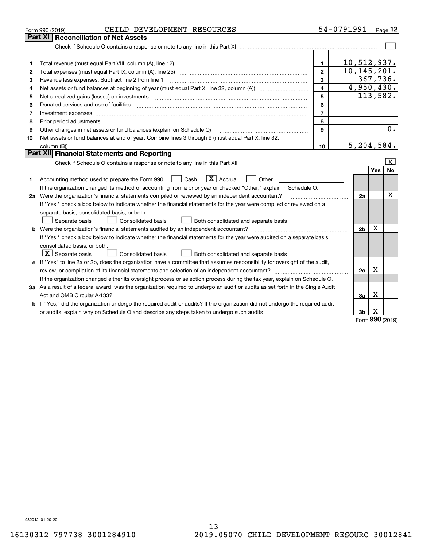|    | CHILD DEVELOPMENT RESOURCES<br>Form 990 (2019)                                                                                       |                | 54-0791991     |                          | Page $12$       |
|----|--------------------------------------------------------------------------------------------------------------------------------------|----------------|----------------|--------------------------|-----------------|
|    | Part XI<br><b>Reconciliation of Net Assets</b>                                                                                       |                |                |                          |                 |
|    |                                                                                                                                      |                |                |                          |                 |
|    |                                                                                                                                      |                |                |                          |                 |
| 1  |                                                                                                                                      | $\mathbf{1}$   | 10,512,937.    |                          |                 |
| 2  | Total expenses (must equal Part IX, column (A), line 25)                                                                             | $\mathbf{2}$   | 10, 145, 201.  |                          |                 |
| з  | Revenue less expenses. Subtract line 2 from line 1                                                                                   | 3              |                |                          | 367,736.        |
| 4  | Net assets or fund balances at beginning of year (must equal Part X, line 32, column (A)) <i></i>                                    | 4              | 4,950,430.     |                          |                 |
| 5  |                                                                                                                                      | 5              | $-113,582.$    |                          |                 |
| 6  |                                                                                                                                      | 6              |                |                          |                 |
| 7  | Investment expenses www.communication.com/www.communication.com/www.communication.com/www.com                                        | $\overline{7}$ |                |                          |                 |
| 8  |                                                                                                                                      | 8              |                |                          |                 |
| 9  | Other changes in net assets or fund balances (explain on Schedule O)                                                                 | 9              |                |                          | 0.              |
| 10 | Net assets or fund balances at end of year. Combine lines 3 through 9 (must equal Part X, line 32,                                   |                |                |                          |                 |
|    |                                                                                                                                      | 10             | 5, 204, 584.   |                          |                 |
|    | Part XII Financial Statements and Reporting                                                                                          |                |                |                          |                 |
|    |                                                                                                                                      |                |                |                          | $\vert X \vert$ |
|    |                                                                                                                                      |                |                | Yes                      | <b>No</b>       |
| 1. | $\boxed{\text{X}}$ Accrual<br>Accounting method used to prepare the Form 990: <u>[</u> Cash<br>Other<br>$\mathbf{1}$                 |                |                |                          |                 |
|    | If the organization changed its method of accounting from a prior year or checked "Other," explain in Schedule O.                    |                |                |                          |                 |
|    | 2a Were the organization's financial statements compiled or reviewed by an independent accountant?                                   |                | 2a             |                          | х               |
|    | If "Yes," check a box below to indicate whether the financial statements for the year were compiled or reviewed on a                 |                |                |                          |                 |
|    | separate basis, consolidated basis, or both:                                                                                         |                |                |                          |                 |
|    | Both consolidated and separate basis<br>Separate basis<br><b>Consolidated basis</b>                                                  |                |                |                          |                 |
|    | <b>b</b> Were the organization's financial statements audited by an independent accountant?                                          |                | 2 <sub>b</sub> | Х                        |                 |
|    | If "Yes," check a box below to indicate whether the financial statements for the year were audited on a separate basis,              |                |                |                          |                 |
|    | consolidated basis, or both:                                                                                                         |                |                |                          |                 |
|    | $ \mathbf{X} $ Separate basis<br><b>Consolidated basis</b><br>Both consolidated and separate basis                                   |                |                |                          |                 |
|    | c If "Yes" to line 2a or 2b, does the organization have a committee that assumes responsibility for oversight of the audit,          |                |                |                          |                 |
|    |                                                                                                                                      |                | 2c             | Х                        |                 |
|    | If the organization changed either its oversight process or selection process during the tax year, explain on Schedule O.            |                |                |                          |                 |
|    | 3a As a result of a federal award, was the organization required to undergo an audit or audits as set forth in the Single Audit      |                |                |                          |                 |
|    |                                                                                                                                      |                | Зa             | х                        |                 |
|    | <b>b</b> If "Yes," did the organization undergo the required audit or audits? If the organization did not undergo the required audit |                |                |                          |                 |
|    |                                                                                                                                      |                | 3 <sub>b</sub> | х                        |                 |
|    |                                                                                                                                      |                |                | $\overline{\phantom{a}}$ |                 |

Form (2019) **990**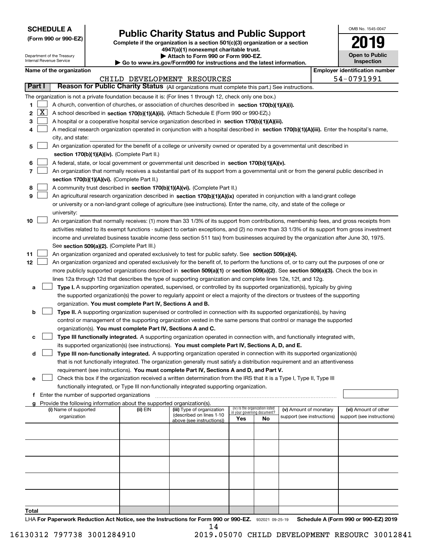| <b>SCHEDULE A</b> |
|-------------------|
|-------------------|

## **Public Charity Status and Public Support**

| <b>SCHEDULE A</b>                                      |                                                                                                                                                                            | OMB No. 1545-0047                          |
|--------------------------------------------------------|----------------------------------------------------------------------------------------------------------------------------------------------------------------------------|--------------------------------------------|
| (Form 990 or 990-EZ)                                   | <b>Public Charity Status and Public Support</b><br>Complete if the organization is a section 501(c)(3) organization or a section<br>4947(a)(1) nonexempt charitable trust. | 2019                                       |
| Department of the Treasury<br>Internal Revenue Service | Attach to Form 990 or Form 990-EZ.<br>$\triangleright$ Go to www.irs.gov/Form990 for instructions and the latest information.                                              | <b>Open to Public</b><br><b>Inspection</b> |
| Name of the organization                               |                                                                                                                                                                            | <b>Employer identification number</b>      |
|                                                        | DEVELOPMENT RESOURCES<br>CHILD                                                                                                                                             | 54-0791991                                 |
| $D_{\alpha+1}$                                         | <b>Decean for Dublie Charity Ctatus</b> $\omega$                                                                                                                           |                                            |

|  | Name of the organization |
|--|--------------------------|
|--|--------------------------|

|                            |                                                                                                                                               |          | CHILD DEVELOPMENT RESOURCES |                                    |    |                            |  | 54-0791991                 |  |  |  |
|----------------------------|-----------------------------------------------------------------------------------------------------------------------------------------------|----------|-----------------------------|------------------------------------|----|----------------------------|--|----------------------------|--|--|--|
| Part I                     | Reason for Public Charity Status (All organizations must complete this part.) See instructions.                                               |          |                             |                                    |    |                            |  |                            |  |  |  |
|                            | The organization is not a private foundation because it is: (For lines 1 through 12, check only one box.)                                     |          |                             |                                    |    |                            |  |                            |  |  |  |
| 1                          | A church, convention of churches, or association of churches described in section $170(b)(1)(A)(i)$ .                                         |          |                             |                                    |    |                            |  |                            |  |  |  |
| $\overline{\text{X}}$<br>2 | A school described in section 170(b)(1)(A)(ii). (Attach Schedule E (Form 990 or 990-EZ).)                                                     |          |                             |                                    |    |                            |  |                            |  |  |  |
| з                          | A hospital or a cooperative hospital service organization described in section 170(b)(1)(A)(iii).                                             |          |                             |                                    |    |                            |  |                            |  |  |  |
| 4                          | A medical research organization operated in conjunction with a hospital described in section 170(b)(1)(A)(iii). Enter the hospital's name,    |          |                             |                                    |    |                            |  |                            |  |  |  |
|                            | city, and state:                                                                                                                              |          |                             |                                    |    |                            |  |                            |  |  |  |
| 5                          | An organization operated for the benefit of a college or university owned or operated by a governmental unit described in                     |          |                             |                                    |    |                            |  |                            |  |  |  |
|                            | section 170(b)(1)(A)(iv). (Complete Part II.)                                                                                                 |          |                             |                                    |    |                            |  |                            |  |  |  |
| 6                          | A federal, state, or local government or governmental unit described in section 170(b)(1)(A)(v).                                              |          |                             |                                    |    |                            |  |                            |  |  |  |
| 7                          | An organization that normally receives a substantial part of its support from a governmental unit or from the general public described in     |          |                             |                                    |    |                            |  |                            |  |  |  |
|                            | section 170(b)(1)(A)(vi). (Complete Part II.)                                                                                                 |          |                             |                                    |    |                            |  |                            |  |  |  |
| 8                          | A community trust described in section 170(b)(1)(A)(vi). (Complete Part II.)                                                                  |          |                             |                                    |    |                            |  |                            |  |  |  |
| 9                          | An agricultural research organization described in section 170(b)(1)(A)(ix) operated in conjunction with a land-grant college                 |          |                             |                                    |    |                            |  |                            |  |  |  |
|                            | or university or a non-land-grant college of agriculture (see instructions). Enter the name, city, and state of the college or                |          |                             |                                    |    |                            |  |                            |  |  |  |
|                            | university:                                                                                                                                   |          |                             |                                    |    |                            |  |                            |  |  |  |
| 10                         | An organization that normally receives: (1) more than 33 1/3% of its support from contributions, membership fees, and gross receipts from     |          |                             |                                    |    |                            |  |                            |  |  |  |
|                            | activities related to its exempt functions - subject to certain exceptions, and (2) no more than 33 1/3% of its support from gross investment |          |                             |                                    |    |                            |  |                            |  |  |  |
|                            | income and unrelated business taxable income (less section 511 tax) from businesses acquired by the organization after June 30, 1975.         |          |                             |                                    |    |                            |  |                            |  |  |  |
|                            | See section 509(a)(2). (Complete Part III.)                                                                                                   |          |                             |                                    |    |                            |  |                            |  |  |  |
| 11                         | An organization organized and operated exclusively to test for public safety. See section 509(a)(4).                                          |          |                             |                                    |    |                            |  |                            |  |  |  |
| 12                         | An organization organized and operated exclusively for the benefit of, to perform the functions of, or to carry out the purposes of one or    |          |                             |                                    |    |                            |  |                            |  |  |  |
|                            | more publicly supported organizations described in section 509(a)(1) or section 509(a)(2). See section 509(a)(3). Check the box in            |          |                             |                                    |    |                            |  |                            |  |  |  |
|                            | lines 12a through 12d that describes the type of supporting organization and complete lines 12e, 12f, and 12g.                                |          |                             |                                    |    |                            |  |                            |  |  |  |
| a                          | Type I. A supporting organization operated, supervised, or controlled by its supported organization(s), typically by giving                   |          |                             |                                    |    |                            |  |                            |  |  |  |
|                            | the supported organization(s) the power to regularly appoint or elect a majority of the directors or trustees of the supporting               |          |                             |                                    |    |                            |  |                            |  |  |  |
|                            | organization. You must complete Part IV, Sections A and B.                                                                                    |          |                             |                                    |    |                            |  |                            |  |  |  |
| b                          | Type II. A supporting organization supervised or controlled in connection with its supported organization(s), by having                       |          |                             |                                    |    |                            |  |                            |  |  |  |
|                            | control or management of the supporting organization vested in the same persons that control or manage the supported                          |          |                             |                                    |    |                            |  |                            |  |  |  |
|                            | organization(s). You must complete Part IV, Sections A and C.                                                                                 |          |                             |                                    |    |                            |  |                            |  |  |  |
| с                          | Type III functionally integrated. A supporting organization operated in connection with, and functionally integrated with,                    |          |                             |                                    |    |                            |  |                            |  |  |  |
|                            | its supported organization(s) (see instructions). You must complete Part IV, Sections A, D, and E.                                            |          |                             |                                    |    |                            |  |                            |  |  |  |
| d                          | Type III non-functionally integrated. A supporting organization operated in connection with its supported organization(s)                     |          |                             |                                    |    |                            |  |                            |  |  |  |
|                            | that is not functionally integrated. The organization generally must satisfy a distribution requirement and an attentiveness                  |          |                             |                                    |    |                            |  |                            |  |  |  |
|                            | requirement (see instructions). You must complete Part IV, Sections A and D, and Part V.                                                      |          |                             |                                    |    |                            |  |                            |  |  |  |
| е                          | Check this box if the organization received a written determination from the IRS that it is a Type I, Type II, Type III                       |          |                             |                                    |    |                            |  |                            |  |  |  |
|                            | functionally integrated, or Type III non-functionally integrated supporting organization.                                                     |          |                             |                                    |    |                            |  |                            |  |  |  |
| f                          | Enter the number of supported organizations<br>Provide the following information about the supported organization(s).                         |          |                             |                                    |    |                            |  |                            |  |  |  |
| a                          | (i) Name of supported                                                                                                                         | (ii) EIN | (iii) Type of organization  | (iv) Is the organization listed    |    | (v) Amount of monetary     |  | (vi) Amount of other       |  |  |  |
|                            | organization                                                                                                                                  |          | (described on lines 1-10    | in your governing document?<br>Yes | No | support (see instructions) |  | support (see instructions) |  |  |  |
|                            |                                                                                                                                               |          | above (see instructions))   |                                    |    |                            |  |                            |  |  |  |
|                            |                                                                                                                                               |          |                             |                                    |    |                            |  |                            |  |  |  |
|                            |                                                                                                                                               |          |                             |                                    |    |                            |  |                            |  |  |  |
|                            |                                                                                                                                               |          |                             |                                    |    |                            |  |                            |  |  |  |
|                            |                                                                                                                                               |          |                             |                                    |    |                            |  |                            |  |  |  |
|                            |                                                                                                                                               |          |                             |                                    |    |                            |  |                            |  |  |  |
|                            |                                                                                                                                               |          |                             |                                    |    |                            |  |                            |  |  |  |
|                            |                                                                                                                                               |          |                             |                                    |    |                            |  |                            |  |  |  |
|                            |                                                                                                                                               |          |                             |                                    |    |                            |  |                            |  |  |  |
|                            |                                                                                                                                               |          |                             |                                    |    |                            |  |                            |  |  |  |
| Total                      |                                                                                                                                               |          |                             |                                    |    |                            |  |                            |  |  |  |

LHA For Paperwork Reduction Act Notice, see the Instructions for Form 990 or 990-EZ. 932021 09-25-19 Schedule A (Form 990 or 990-EZ) 2019 14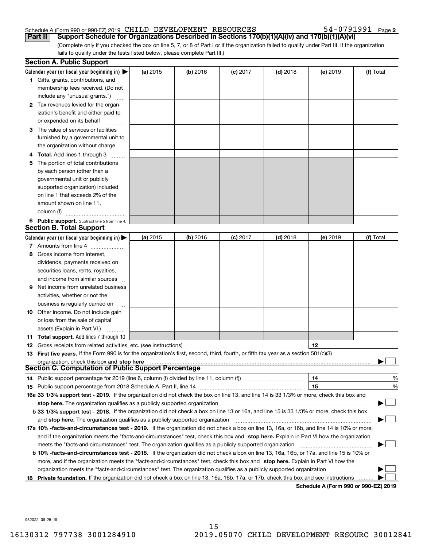#### Schedule A (Form 990 or 990-EZ) 2019 Page CHILD DEVELOPMENT RESOURCES 54-0791991

54-0791991 Page 2

(Complete only if you checked the box on line 5, 7, or 8 of Part I or if the organization failed to qualify under Part III. If the organization fails to qualify under the tests listed below, please complete Part III.) **Part II Support Schedule for Organizations Described in Sections 170(b)(1)(A)(iv) and 170(b)(1)(A)(vi)**

|    | <b>Section A. Public Support</b>                                                                                                               |          |            |            |            |                                              |           |
|----|------------------------------------------------------------------------------------------------------------------------------------------------|----------|------------|------------|------------|----------------------------------------------|-----------|
|    | Calendar year (or fiscal year beginning in) $\blacktriangleright$                                                                              | (a) 2015 | $(b)$ 2016 | $(c)$ 2017 | $(d)$ 2018 | $(e)$ 2019                                   | (f) Total |
|    | <b>1</b> Gifts, grants, contributions, and                                                                                                     |          |            |            |            |                                              |           |
|    | membership fees received. (Do not                                                                                                              |          |            |            |            |                                              |           |
|    | include any "unusual grants.")                                                                                                                 |          |            |            |            |                                              |           |
|    | 2 Tax revenues levied for the organ-                                                                                                           |          |            |            |            |                                              |           |
|    | ization's benefit and either paid to                                                                                                           |          |            |            |            |                                              |           |
|    | or expended on its behalf                                                                                                                      |          |            |            |            |                                              |           |
|    | 3 The value of services or facilities                                                                                                          |          |            |            |            |                                              |           |
|    | furnished by a governmental unit to                                                                                                            |          |            |            |            |                                              |           |
|    | the organization without charge                                                                                                                |          |            |            |            |                                              |           |
|    | 4 Total. Add lines 1 through 3                                                                                                                 |          |            |            |            |                                              |           |
| 5  | The portion of total contributions                                                                                                             |          |            |            |            |                                              |           |
|    | by each person (other than a                                                                                                                   |          |            |            |            |                                              |           |
|    | governmental unit or publicly                                                                                                                  |          |            |            |            |                                              |           |
|    | supported organization) included                                                                                                               |          |            |            |            |                                              |           |
|    | on line 1 that exceeds 2% of the                                                                                                               |          |            |            |            |                                              |           |
|    | amount shown on line 11,                                                                                                                       |          |            |            |            |                                              |           |
|    | column (f)                                                                                                                                     |          |            |            |            |                                              |           |
|    | 6 Public support. Subtract line 5 from line 4.                                                                                                 |          |            |            |            |                                              |           |
|    | Section B. Total Support                                                                                                                       |          |            |            |            |                                              |           |
|    | Calendar year (or fiscal year beginning in) $\blacktriangleright$                                                                              | (a) 2015 | (b) 2016   | $(c)$ 2017 | $(d)$ 2018 | $(e)$ 2019                                   | (f) Total |
|    | 7 Amounts from line 4                                                                                                                          |          |            |            |            |                                              |           |
|    | 8 Gross income from interest,                                                                                                                  |          |            |            |            |                                              |           |
|    | dividends, payments received on                                                                                                                |          |            |            |            |                                              |           |
|    | securities loans, rents, royalties,                                                                                                            |          |            |            |            |                                              |           |
|    | and income from similar sources                                                                                                                |          |            |            |            |                                              |           |
| 9. | Net income from unrelated business                                                                                                             |          |            |            |            |                                              |           |
|    | activities, whether or not the                                                                                                                 |          |            |            |            |                                              |           |
|    | business is regularly carried on                                                                                                               |          |            |            |            |                                              |           |
|    | <b>10</b> Other income. Do not include gain                                                                                                    |          |            |            |            |                                              |           |
|    | or loss from the sale of capital                                                                                                               |          |            |            |            |                                              |           |
|    | assets (Explain in Part VI.)                                                                                                                   |          |            |            |            |                                              |           |
|    | 11 Total support. Add lines 7 through 10                                                                                                       |          |            |            |            |                                              |           |
|    | <b>12</b> Gross receipts from related activities, etc. (see instructions)                                                                      |          |            |            |            | 12                                           |           |
|    | 13 First five years. If the Form 990 is for the organization's first, second, third, fourth, or fifth tax year as a section 501(c)(3)          |          |            |            |            |                                              |           |
|    | organization, check this box and stop here                                                                                                     |          |            |            |            |                                              |           |
|    | Section C. Computation of Public Support Percentage                                                                                            |          |            |            |            |                                              |           |
|    | 14 Public support percentage for 2019 (line 6, column (f) divided by line 11, column (f) <i>manumumumumum</i>                                  |          |            |            |            | 14                                           | %         |
|    |                                                                                                                                                |          |            |            |            | 15                                           | %         |
|    | 16a 33 1/3% support test - 2019. If the organization did not check the box on line 13, and line 14 is 33 1/3% or more, check this box and      |          |            |            |            |                                              |           |
|    | stop here. The organization qualifies as a publicly supported organization                                                                     |          |            |            |            |                                              |           |
|    | b 33 1/3% support test - 2018. If the organization did not check a box on line 13 or 16a, and line 15 is 33 1/3% or more, check this box       |          |            |            |            |                                              |           |
|    | and stop here. The organization qualifies as a publicly supported organization                                                                 |          |            |            |            |                                              |           |
|    | 17a 10% -facts-and-circumstances test - 2019. If the organization did not check a box on line 13, 16a, or 16b, and line 14 is 10% or more,     |          |            |            |            |                                              |           |
|    | and if the organization meets the "facts-and-circumstances" test, check this box and stop here. Explain in Part VI how the organization        |          |            |            |            |                                              |           |
|    | meets the "facts-and-circumstances" test. The organization qualifies as a publicly supported organization                                      |          |            |            |            |                                              |           |
|    | <b>b 10% -facts-and-circumstances test - 2018.</b> If the organization did not check a box on line 13, 16a, 16b, or 17a, and line 15 is 10% or |          |            |            |            |                                              |           |
|    | more, and if the organization meets the "facts-and-circumstances" test, check this box and stop here. Explain in Part VI how the               |          |            |            |            |                                              |           |
|    | organization meets the "facts-and-circumstances" test. The organization qualifies as a publicly supported organization                         |          |            |            |            |                                              |           |
|    | 18 Private foundation. If the organization did not check a box on line 13, 16a, 16b, 17a, or 17b, check this box and see instructions          |          |            |            |            | <b>Cabadula A (Fause 000 av 000 EZ) 0040</b> |           |

**Schedule A (Form 990 or 990-EZ) 2019**

932022 09-25-19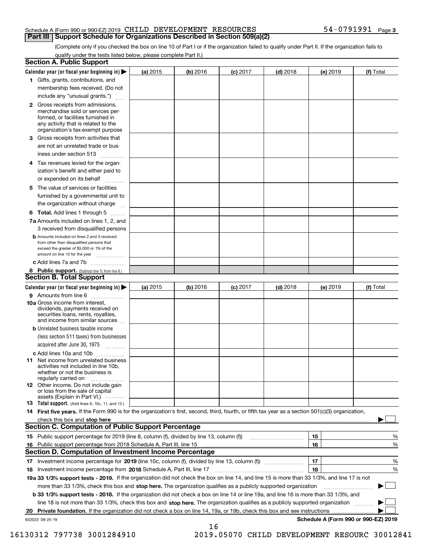#### Schedule A (Form 990 or 990-EZ) 2019 Page CHILD DEVELOPMENT RESOURCES 54-0791991 **Part III Support Schedule for Organizations Described in Section 509(a)(2)**

(Complete only if you checked the box on line 10 of Part I or if the organization failed to qualify under Part II. If the organization fails to qualify under the tests listed below, please complete Part II.)

|    | <b>Section A. Public Support</b>                                                                                                                                                                                               |          |          |                 |            |          |                                      |
|----|--------------------------------------------------------------------------------------------------------------------------------------------------------------------------------------------------------------------------------|----------|----------|-----------------|------------|----------|--------------------------------------|
|    | Calendar year (or fiscal year beginning in) $\blacktriangleright$                                                                                                                                                              | (a) 2015 | (b) 2016 | <b>(c)</b> 2017 | $(d)$ 2018 | (e) 2019 | (f) Total                            |
|    | 1 Gifts, grants, contributions, and                                                                                                                                                                                            |          |          |                 |            |          |                                      |
|    | membership fees received. (Do not                                                                                                                                                                                              |          |          |                 |            |          |                                      |
|    | include any "unusual grants.")                                                                                                                                                                                                 |          |          |                 |            |          |                                      |
|    | <b>2</b> Gross receipts from admissions,<br>merchandise sold or services per-<br>formed, or facilities furnished in<br>any activity that is related to the<br>organization's tax-exempt purpose                                |          |          |                 |            |          |                                      |
|    | 3 Gross receipts from activities that<br>are not an unrelated trade or bus-                                                                                                                                                    |          |          |                 |            |          |                                      |
|    | iness under section 513                                                                                                                                                                                                        |          |          |                 |            |          |                                      |
|    | 4 Tax revenues levied for the organ-<br>ization's benefit and either paid to                                                                                                                                                   |          |          |                 |            |          |                                      |
|    | or expended on its behalf                                                                                                                                                                                                      |          |          |                 |            |          |                                      |
|    | 5 The value of services or facilities<br>furnished by a governmental unit to                                                                                                                                                   |          |          |                 |            |          |                                      |
|    | the organization without charge                                                                                                                                                                                                |          |          |                 |            |          |                                      |
|    | <b>6 Total.</b> Add lines 1 through 5                                                                                                                                                                                          |          |          |                 |            |          |                                      |
|    | 7a Amounts included on lines 1, 2, and<br>3 received from disqualified persons                                                                                                                                                 |          |          |                 |            |          |                                      |
|    | <b>b</b> Amounts included on lines 2 and 3 received<br>from other than disqualified persons that<br>exceed the greater of \$5,000 or 1% of the<br>amount on line 13 for the year                                               |          |          |                 |            |          |                                      |
|    | c Add lines 7a and 7b                                                                                                                                                                                                          |          |          |                 |            |          |                                      |
|    | 8 Public support. (Subtract line 7c from line 6.)<br><b>Section B. Total Support</b>                                                                                                                                           |          |          |                 |            |          |                                      |
|    | Calendar year (or fiscal year beginning in)                                                                                                                                                                                    | (a) 2015 | (b) 2016 | $(c)$ 2017      | $(d)$ 2018 | (e) 2019 | (f) Total                            |
|    | 9 Amounts from line 6                                                                                                                                                                                                          |          |          |                 |            |          |                                      |
|    | <b>10a</b> Gross income from interest,<br>dividends, payments received on<br>securities loans, rents, royalties,<br>and income from similar sources                                                                            |          |          |                 |            |          |                                      |
|    | <b>b</b> Unrelated business taxable income<br>(less section 511 taxes) from businesses                                                                                                                                         |          |          |                 |            |          |                                      |
|    | acquired after June 30, 1975                                                                                                                                                                                                   |          |          |                 |            |          |                                      |
|    | c Add lines 10a and 10b<br>11 Net income from unrelated business<br>activities not included in line 10b,<br>whether or not the business is                                                                                     |          |          |                 |            |          |                                      |
|    | regularly carried on<br><b>12</b> Other income. Do not include gain<br>or loss from the sale of capital<br>assets (Explain in Part VI.)                                                                                        |          |          |                 |            |          |                                      |
|    | 13 Total support. (Add lines 9, 10c, 11, and 12.)                                                                                                                                                                              |          |          |                 |            |          |                                      |
|    | 14 First five years. If the Form 990 is for the organization's first, second, third, fourth, or fifth tax year as a section 501(c)(3) organization,                                                                            |          |          |                 |            |          |                                      |
|    | check this box and stop here measurements and contact the contract of the contract of the contract of the contract of the contract of the contract of the contract of the contract of the contract of the contract of the cont |          |          |                 |            |          |                                      |
|    | <b>Section C. Computation of Public Support Percentage</b>                                                                                                                                                                     |          |          |                 |            |          |                                      |
|    |                                                                                                                                                                                                                                |          |          |                 |            | 15       | %                                    |
| 16 | Public support percentage from 2018 Schedule A, Part III, line 15                                                                                                                                                              |          |          |                 |            | 16       | %                                    |
|    | <b>Section D. Computation of Investment Income Percentage</b>                                                                                                                                                                  |          |          |                 |            |          |                                      |
|    | 17 Investment income percentage for 2019 (line 10c, column (f), divided by line 13, column (f))                                                                                                                                |          |          |                 |            | 17       | %                                    |
|    | 18 Investment income percentage from 2018 Schedule A, Part III, line 17                                                                                                                                                        |          |          |                 |            | 18       | %                                    |
|    | 19a 33 1/3% support tests - 2019. If the organization did not check the box on line 14, and line 15 is more than 33 1/3%, and line 17 is not                                                                                   |          |          |                 |            |          |                                      |
|    | more than 33 1/3%, check this box and stop here. The organization qualifies as a publicly supported organization                                                                                                               |          |          |                 |            |          |                                      |
|    | b 33 1/3% support tests - 2018. If the organization did not check a box on line 14 or line 19a, and line 16 is more than 33 1/3%, and                                                                                          |          |          |                 |            |          |                                      |
|    | line 18 is not more than 33 1/3%, check this box and stop here. The organization qualifies as a publicly supported organization                                                                                                |          |          |                 |            |          |                                      |
| 20 | <b>Private foundation.</b> If the organization did not check a box on line 14, 19a, or 19b, check this box and see instructions                                                                                                |          |          |                 |            |          | .                                    |
|    | 932023 09-25-19                                                                                                                                                                                                                |          | 16       |                 |            |          | Schedule A (Form 990 or 990-EZ) 2019 |

16130312 797738 3001284910 2019.05070 CHILD DEVELOPMENT RESOURC 30012841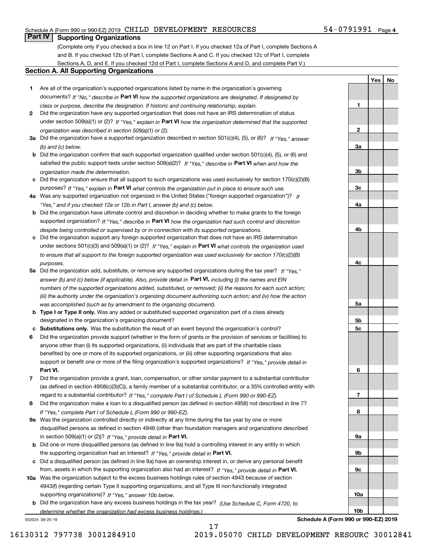#### Schedule A (Form 990 or 990-EZ) 2019 Page CHILD DEVELOPMENT RESOURCES 54-0791991

#### **Part IV Supporting Organizations**

(Complete only if you checked a box in line 12 on Part I. If you checked 12a of Part I, complete Sections A and B. If you checked 12b of Part I, complete Sections A and C. If you checked 12c of Part I, complete Sections A, D, and E. If you checked 12d of Part I, complete Sections A and D, and complete Part V.)

#### **Section A. All Supporting Organizations**

- **1** Are all of the organization's supported organizations listed by name in the organization's governing documents? If "No," describe in **Part VI** how the supported organizations are designated. If designated by *class or purpose, describe the designation. If historic and continuing relationship, explain.*
- **2** Did the organization have any supported organization that does not have an IRS determination of status under section 509(a)(1) or (2)? If "Yes," explain in Part VI how the organization determined that the supported *organization was described in section 509(a)(1) or (2).*
- **3a** Did the organization have a supported organization described in section 501(c)(4), (5), or (6)? If "Yes," answer *(b) and (c) below.*
- **b** Did the organization confirm that each supported organization qualified under section 501(c)(4), (5), or (6) and satisfied the public support tests under section 509(a)(2)? If "Yes," describe in **Part VI** when and how the *organization made the determination.*
- **c**Did the organization ensure that all support to such organizations was used exclusively for section 170(c)(2)(B) purposes? If "Yes," explain in **Part VI** what controls the organization put in place to ensure such use.
- **4a***If* Was any supported organization not organized in the United States ("foreign supported organization")? *"Yes," and if you checked 12a or 12b in Part I, answer (b) and (c) below.*
- **b** Did the organization have ultimate control and discretion in deciding whether to make grants to the foreign supported organization? If "Yes," describe in **Part VI** how the organization had such control and discretion *despite being controlled or supervised by or in connection with its supported organizations.*
- **c** Did the organization support any foreign supported organization that does not have an IRS determination under sections 501(c)(3) and 509(a)(1) or (2)? If "Yes," explain in **Part VI** what controls the organization used *to ensure that all support to the foreign supported organization was used exclusively for section 170(c)(2)(B) purposes.*
- **5a** Did the organization add, substitute, or remove any supported organizations during the tax year? If "Yes," answer (b) and (c) below (if applicable). Also, provide detail in **Part VI,** including (i) the names and EIN *numbers of the supported organizations added, substituted, or removed; (ii) the reasons for each such action; (iii) the authority under the organization's organizing document authorizing such action; and (iv) how the action was accomplished (such as by amendment to the organizing document).*
- **b** Type I or Type II only. Was any added or substituted supported organization part of a class already designated in the organization's organizing document?
- **cSubstitutions only.**  Was the substitution the result of an event beyond the organization's control?
- **6** Did the organization provide support (whether in the form of grants or the provision of services or facilities) to **Part VI.** *If "Yes," provide detail in* support or benefit one or more of the filing organization's supported organizations? anyone other than (i) its supported organizations, (ii) individuals that are part of the charitable class benefited by one or more of its supported organizations, or (iii) other supporting organizations that also
- **7**Did the organization provide a grant, loan, compensation, or other similar payment to a substantial contributor *If "Yes," complete Part I of Schedule L (Form 990 or 990-EZ).* regard to a substantial contributor? (as defined in section 4958(c)(3)(C)), a family member of a substantial contributor, or a 35% controlled entity with
- **8** Did the organization make a loan to a disqualified person (as defined in section 4958) not described in line 7? *If "Yes," complete Part I of Schedule L (Form 990 or 990-EZ).*
- **9a** Was the organization controlled directly or indirectly at any time during the tax year by one or more in section 509(a)(1) or (2))? If "Yes," *provide detail in* <code>Part VI.</code> disqualified persons as defined in section 4946 (other than foundation managers and organizations described
- **b** Did one or more disqualified persons (as defined in line 9a) hold a controlling interest in any entity in which the supporting organization had an interest? If "Yes," provide detail in P**art VI**.
- **c**Did a disqualified person (as defined in line 9a) have an ownership interest in, or derive any personal benefit from, assets in which the supporting organization also had an interest? If "Yes," provide detail in P**art VI.**
- **10a** Was the organization subject to the excess business holdings rules of section 4943 because of section supporting organizations)? If "Yes," answer 10b below. 4943(f) (regarding certain Type II supporting organizations, and all Type III non-functionally integrated
- **b** Did the organization have any excess business holdings in the tax year? (Use Schedule C, Form 4720, to *determine whether the organization had excess business holdings.)*

932024 09-25-19

**Schedule A (Form 990 or 990-EZ) 2019**

54-0791991 Page 4

**1**

**2**

**3a**

**3b**

**3c**

**4a**

**4b**

**4c**

**5a**

**5b5c**

**6**

**7**

**8**

**9a**

**9b**

**9c**

**10a**

**10b**

**YesNo**

17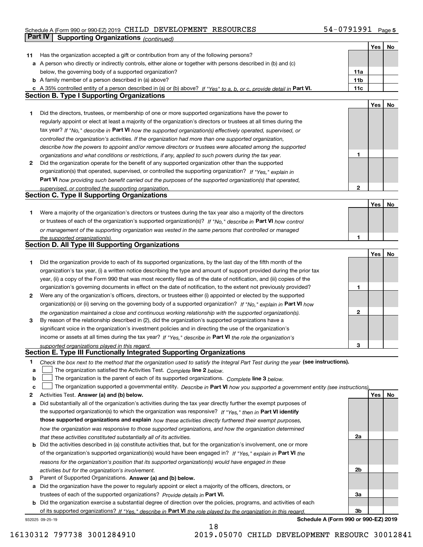#### Schedule A (Form 990 or 990-EZ) 2019 Page CHILD DEVELOPMENT RESOURCES 54-0791991 **Part IV Supporting Organizations** *(continued)*

|    |                                                                                                                                   |                 | Yes | No |
|----|-----------------------------------------------------------------------------------------------------------------------------------|-----------------|-----|----|
| 11 | Has the organization accepted a gift or contribution from any of the following persons?                                           |                 |     |    |
|    | a A person who directly or indirectly controls, either alone or together with persons described in (b) and (c)                    |                 |     |    |
|    | below, the governing body of a supported organization?                                                                            | 11a             |     |    |
|    | <b>b</b> A family member of a person described in (a) above?                                                                      | 11 <sub>b</sub> |     |    |
| c  | A 35% controlled entity of a person described in (a) or (b) above? If "Yes" to a, b, or c, provide detail in Part VI.             | 11c             |     |    |
|    | <b>Section B. Type I Supporting Organizations</b>                                                                                 |                 |     |    |
|    |                                                                                                                                   |                 | Yes | No |
| 1  | Did the directors, trustees, or membership of one or more supported organizations have the power to                               |                 |     |    |
|    | regularly appoint or elect at least a majority of the organization's directors or trustees at all times during the                |                 |     |    |
|    | tax year? If "No," describe in Part VI how the supported organization(s) effectively operated, supervised, or                     |                 |     |    |
|    |                                                                                                                                   |                 |     |    |
|    | controlled the organization's activities. If the organization had more than one supported organization,                           |                 |     |    |
|    | describe how the powers to appoint and/or remove directors or trustees were allocated among the supported                         |                 |     |    |
|    | organizations and what conditions or restrictions, if any, applied to such powers during the tax year.                            | 1               |     |    |
| 2  | Did the organization operate for the benefit of any supported organization other than the supported                               |                 |     |    |
|    | organization(s) that operated, supervised, or controlled the supporting organization? If "Yes," explain in                        |                 |     |    |
|    | Part VI how providing such benefit carried out the purposes of the supported organization(s) that operated,                       |                 |     |    |
|    | supervised, or controlled the supporting organization.                                                                            | $\mathbf{2}$    |     |    |
|    | <b>Section C. Type II Supporting Organizations</b>                                                                                |                 |     |    |
|    |                                                                                                                                   |                 | Yes | No |
| 1  | Were a majority of the organization's directors or trustees during the tax year also a majority of the directors                  |                 |     |    |
|    | or trustees of each of the organization's supported organization(s)? If "No," describe in Part VI how control                     |                 |     |    |
|    | or management of the supporting organization was vested in the same persons that controlled or managed                            |                 |     |    |
|    | the supported organization(s).                                                                                                    | 1               |     |    |
|    | Section D. All Type III Supporting Organizations                                                                                  |                 |     |    |
|    |                                                                                                                                   |                 | Yes | No |
| 1  | Did the organization provide to each of its supported organizations, by the last day of the fifth month of the                    |                 |     |    |
|    | organization's tax year, (i) a written notice describing the type and amount of support provided during the prior tax             |                 |     |    |
|    | year, (ii) a copy of the Form 990 that was most recently filed as of the date of notification, and (iii) copies of the            |                 |     |    |
|    | organization's governing documents in effect on the date of notification, to the extent not previously provided?                  | 1               |     |    |
| 2  | Were any of the organization's officers, directors, or trustees either (i) appointed or elected by the supported                  |                 |     |    |
|    | organization(s) or (ii) serving on the governing body of a supported organization? If "No," explain in Part VI how                |                 |     |    |
|    | the organization maintained a close and continuous working relationship with the supported organization(s).                       | $\mathbf{2}$    |     |    |
| 3  | By reason of the relationship described in (2), did the organization's supported organizations have a                             |                 |     |    |
|    | significant voice in the organization's investment policies and in directing the use of the organization's                        |                 |     |    |
|    | income or assets at all times during the tax year? If "Yes," describe in Part VI the role the organization's                      |                 |     |    |
|    | supported organizations played in this regard.                                                                                    | З               |     |    |
|    | Section E. Type III Functionally Integrated Supporting Organizations                                                              |                 |     |    |
| 1  | Check the box next to the method that the organization used to satisfy the Integral Part Test during the year (see instructions). |                 |     |    |
| a  | The organization satisfied the Activities Test. Complete line 2 below.                                                            |                 |     |    |
| b  | The organization is the parent of each of its supported organizations. Complete line 3 below.                                     |                 |     |    |
|    |                                                                                                                                   |                 |     |    |
| c  | The organization supported a governmental entity. Describe in Part VI how you supported a government entity (see instructions),   |                 |     |    |
| 2  | Activities Test. Answer (a) and (b) below.                                                                                        |                 | Yes | No |
| а  | Did substantially all of the organization's activities during the tax year directly further the exempt purposes of                |                 |     |    |
|    | the supported organization(s) to which the organization was responsive? If "Yes," then in Part VI identify                        |                 |     |    |
|    | those supported organizations and explain how these activities directly furthered their exempt purposes,                          |                 |     |    |
|    | how the organization was responsive to those supported organizations, and how the organization determined                         |                 |     |    |
|    | that these activities constituted substantially all of its activities.                                                            | 2a              |     |    |
| b  | Did the activities described in (a) constitute activities that, but for the organization's involvement, one or more               |                 |     |    |
|    | of the organization's supported organization(s) would have been engaged in? If "Yes," explain in Part VI the                      |                 |     |    |
|    | reasons for the organization's position that its supported organization(s) would have engaged in these                            |                 |     |    |
|    | activities but for the organization's involvement.                                                                                | 2b              |     |    |
| З  | Parent of Supported Organizations. Answer (a) and (b) below.                                                                      |                 |     |    |
| а  | Did the organization have the power to regularly appoint or elect a majority of the officers, directors, or                       |                 |     |    |
|    | trustees of each of the supported organizations? Provide details in Part VI.                                                      | За              |     |    |
| b  | Did the organization exercise a substantial degree of direction over the policies, programs, and activities of each               |                 |     |    |
|    | of its supported organizations? If "Yes," describe in Part VI the role played by the organization in this regard.                 | 3b              |     |    |
|    |                                                                                                                                   |                 |     |    |

18

932025 09-25-19

**Schedule A (Form 990 or 990-EZ) 2019**

16130312 797738 3001284910 2019.05070 CHILD DEVELOPMENT RESOURC 30012841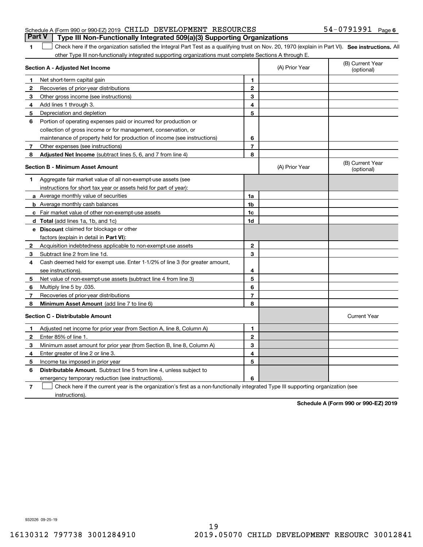|   | Schedule A (Form 990 or 990-EZ) 2019 CHILD DEVELOPMENT RESOURCES                                                                               |   |                | 54-0791991<br>Page             |  |  |  |
|---|------------------------------------------------------------------------------------------------------------------------------------------------|---|----------------|--------------------------------|--|--|--|
|   | <b>Part V</b><br>Type III Non-Functionally Integrated 509(a)(3) Supporting Organizations                                                       |   |                |                                |  |  |  |
|   | Check here if the organization satisfied the Integral Part Test as a qualifying trust on Nov. 20, 1970 (explain in Part VI). See instructions. |   |                |                                |  |  |  |
|   | other Type III non-functionally integrated supporting organizations must complete Sections A through E.                                        |   |                |                                |  |  |  |
|   | Section A - Adjusted Net Income                                                                                                                |   | (A) Prior Year | (B) Current Year<br>(optional) |  |  |  |
|   | Net short-term capital gain                                                                                                                    |   |                |                                |  |  |  |
|   | Recoveries of prior-year distributions                                                                                                         | 2 |                |                                |  |  |  |
| 3 | Other gross income (see instructions)                                                                                                          | 3 |                |                                |  |  |  |
|   |                                                                                                                                                |   |                |                                |  |  |  |

**6**

# **SEP 10. See instructions.** All antegral Part Test as a qualifying trust on Nov. 20, 1970 (explain in Part VI). See instructions. All

| З            | Other gross income (see instructions)                                                                                             | з              |                |                                |  |
|--------------|-----------------------------------------------------------------------------------------------------------------------------------|----------------|----------------|--------------------------------|--|
| 4            | Add lines 1 through 3.                                                                                                            | 4              |                |                                |  |
| 5.           | Depreciation and depletion                                                                                                        | 5              |                |                                |  |
| 6            | Portion of operating expenses paid or incurred for production or                                                                  |                |                |                                |  |
|              | collection of gross income or for management, conservation, or                                                                    |                |                |                                |  |
|              | maintenance of property held for production of income (see instructions)                                                          | 6              |                |                                |  |
| 7            | Other expenses (see instructions)                                                                                                 | $\overline{7}$ |                |                                |  |
| 8            | Adjusted Net Income (subtract lines 5, 6, and 7 from line 4)                                                                      | 8              |                |                                |  |
|              | <b>Section B - Minimum Asset Amount</b>                                                                                           |                | (A) Prior Year | (B) Current Year<br>(optional) |  |
| 1            | Aggregate fair market value of all non-exempt-use assets (see                                                                     |                |                |                                |  |
|              | instructions for short tax year or assets held for part of year):                                                                 |                |                |                                |  |
|              | a Average monthly value of securities                                                                                             | 1a             |                |                                |  |
|              | <b>b</b> Average monthly cash balances                                                                                            | 1b             |                |                                |  |
|              | <b>c</b> Fair market value of other non-exempt-use assets                                                                         | 1c             |                |                                |  |
|              | d Total (add lines 1a, 1b, and 1c)                                                                                                | 1d             |                |                                |  |
|              | e Discount claimed for blockage or other                                                                                          |                |                |                                |  |
|              | factors (explain in detail in Part VI):                                                                                           |                |                |                                |  |
| $\mathbf{2}$ | Acquisition indebtedness applicable to non-exempt-use assets                                                                      | $\mathbf{2}$   |                |                                |  |
| 3            | Subtract line 2 from line 1d.                                                                                                     | 3              |                |                                |  |
| 4            | Cash deemed held for exempt use. Enter 1-1/2% of line 3 (for greater amount,                                                      |                |                |                                |  |
|              | see instructions)                                                                                                                 | 4              |                |                                |  |
| 5            | Net value of non-exempt-use assets (subtract line 4 from line 3)                                                                  | 5              |                |                                |  |
| 6            | Multiply line 5 by .035.                                                                                                          | 6              |                |                                |  |
| 7            | Recoveries of prior-year distributions                                                                                            | $\overline{7}$ |                |                                |  |
| 8            | Minimum Asset Amount (add line 7 to line 6)                                                                                       | 8              |                |                                |  |
|              | <b>Section C - Distributable Amount</b>                                                                                           |                |                | <b>Current Year</b>            |  |
| 1            | Adjusted net income for prior year (from Section A, line 8, Column A)                                                             | 1              |                |                                |  |
| $\mathbf{2}$ | Enter 85% of line 1.                                                                                                              | $\mathbf{2}$   |                |                                |  |
| 3            | Minimum asset amount for prior year (from Section B, line 8, Column A)                                                            | 3              |                |                                |  |
| 4            | Enter greater of line 2 or line 3.                                                                                                | 4              |                |                                |  |
| 5            | Income tax imposed in prior year                                                                                                  | 5              |                |                                |  |
| 6            | <b>Distributable Amount.</b> Subtract line 5 from line 4, unless subject to                                                       |                |                |                                |  |
|              | emergency temporary reduction (see instructions)                                                                                  | 6              |                |                                |  |
| 7            | Check here if the current year is the organization's first as a non-functionally integrated Type III supporting organization (see |                |                |                                |  |

instructions).

**Schedule A (Form 990 or 990-EZ) 2019**

932026 09-25-19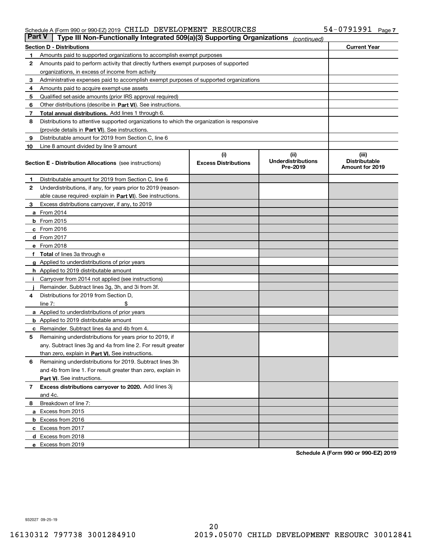#### Schedule A (Form 990 or 990-EZ) 2019 Page CHILD DEVELOPMENT RESOURCES 54-0791991

| <b>Part V</b> | Type III Non-Functionally Integrated 509(a)(3) Supporting Organizations                    |                             | (continued)                           |                                         |  |
|---------------|--------------------------------------------------------------------------------------------|-----------------------------|---------------------------------------|-----------------------------------------|--|
|               | <b>Section D - Distributions</b>                                                           |                             |                                       | <b>Current Year</b>                     |  |
| 1             | Amounts paid to supported organizations to accomplish exempt purposes                      |                             |                                       |                                         |  |
| 2             | Amounts paid to perform activity that directly furthers exempt purposes of supported       |                             |                                       |                                         |  |
|               | organizations, in excess of income from activity                                           |                             |                                       |                                         |  |
| з             | Administrative expenses paid to accomplish exempt purposes of supported organizations      |                             |                                       |                                         |  |
| 4             | Amounts paid to acquire exempt-use assets                                                  |                             |                                       |                                         |  |
| 5             | Qualified set-aside amounts (prior IRS approval required)                                  |                             |                                       |                                         |  |
| 6             | Other distributions (describe in Part VI). See instructions.                               |                             |                                       |                                         |  |
| 7             | Total annual distributions. Add lines 1 through 6.                                         |                             |                                       |                                         |  |
| 8             | Distributions to attentive supported organizations to which the organization is responsive |                             |                                       |                                         |  |
|               | (provide details in Part VI). See instructions.                                            |                             |                                       |                                         |  |
| 9             | Distributable amount for 2019 from Section C, line 6                                       |                             |                                       |                                         |  |
| 10            | Line 8 amount divided by line 9 amount                                                     |                             |                                       |                                         |  |
|               |                                                                                            | (i)                         | (iii)                                 | (iii)                                   |  |
|               | <b>Section E - Distribution Allocations</b> (see instructions)                             | <b>Excess Distributions</b> | <b>Underdistributions</b><br>Pre-2019 | <b>Distributable</b><br>Amount for 2019 |  |
| 1             | Distributable amount for 2019 from Section C, line 6                                       |                             |                                       |                                         |  |
| 2             | Underdistributions, if any, for years prior to 2019 (reason-                               |                             |                                       |                                         |  |
|               | able cause required- explain in Part VI). See instructions.                                |                             |                                       |                                         |  |
| з             | Excess distributions carryover, if any, to 2019                                            |                             |                                       |                                         |  |
|               | <b>a</b> From 2014                                                                         |                             |                                       |                                         |  |
|               | <b>b</b> From $2015$                                                                       |                             |                                       |                                         |  |
|               | $c$ From 2016                                                                              |                             |                                       |                                         |  |
|               | <b>d</b> From 2017                                                                         |                             |                                       |                                         |  |
|               | e From 2018                                                                                |                             |                                       |                                         |  |
|               | Total of lines 3a through e                                                                |                             |                                       |                                         |  |
|               | <b>g</b> Applied to underdistributions of prior years                                      |                             |                                       |                                         |  |
|               | <b>h</b> Applied to 2019 distributable amount                                              |                             |                                       |                                         |  |
|               | Carryover from 2014 not applied (see instructions)                                         |                             |                                       |                                         |  |
|               | Remainder. Subtract lines 3g, 3h, and 3i from 3f.                                          |                             |                                       |                                         |  |
| 4             | Distributions for 2019 from Section D,                                                     |                             |                                       |                                         |  |
|               | line $7:$                                                                                  |                             |                                       |                                         |  |
|               | <b>a</b> Applied to underdistributions of prior years                                      |                             |                                       |                                         |  |
|               | <b>b</b> Applied to 2019 distributable amount                                              |                             |                                       |                                         |  |
| c             | Remainder. Subtract lines 4a and 4b from 4.                                                |                             |                                       |                                         |  |
| 5             | Remaining underdistributions for years prior to 2019, if                                   |                             |                                       |                                         |  |
|               | any. Subtract lines 3g and 4a from line 2. For result greater                              |                             |                                       |                                         |  |
|               | than zero, explain in Part VI. See instructions.                                           |                             |                                       |                                         |  |
| 6             | Remaining underdistributions for 2019. Subtract lines 3h                                   |                             |                                       |                                         |  |
|               | and 4b from line 1. For result greater than zero, explain in                               |                             |                                       |                                         |  |
|               | Part VI. See instructions.                                                                 |                             |                                       |                                         |  |
|               |                                                                                            |                             |                                       |                                         |  |
| 7             | Excess distributions carryover to 2020. Add lines 3j                                       |                             |                                       |                                         |  |
|               | and 4c.                                                                                    |                             |                                       |                                         |  |
| 8             | Breakdown of line 7:                                                                       |                             |                                       |                                         |  |
|               | a Excess from 2015                                                                         |                             |                                       |                                         |  |
|               | <b>b</b> Excess from 2016                                                                  |                             |                                       |                                         |  |
|               | c Excess from 2017                                                                         |                             |                                       |                                         |  |
|               | d Excess from 2018                                                                         |                             |                                       |                                         |  |
|               | e Excess from 2019                                                                         |                             |                                       |                                         |  |

**Schedule A (Form 990 or 990-EZ) 2019**

932027 09-25-19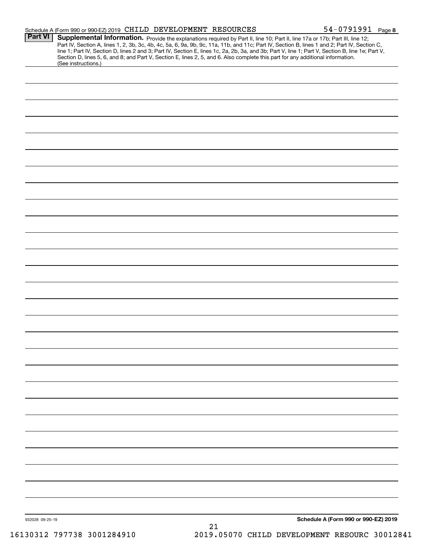| Part VI         | Schedule A (Form 990 or 990-EZ) 2019 CHILD DEVELOPMENT RESOURCES                                                                                                                                                               |                                               | $54 - 0791991$ Page 8                |  |
|-----------------|--------------------------------------------------------------------------------------------------------------------------------------------------------------------------------------------------------------------------------|-----------------------------------------------|--------------------------------------|--|
|                 | Supplemental Information. Provide the explanations required by Part II, line 10; Part II, line 17a or 17b; Part III, line 12;                                                                                                  |                                               |                                      |  |
|                 | Part IV, Section A, lines 1, 2, 3b, 3c, 4b, 4c, 5a, 6, 9a, 9b, 9c, 11a, 11b, and 11c; Part IV, Section B, lines 1 and 2; Part IV, Section C, line 1; Part IV, Section D, lines 2 and 3; Part IV, Section E, lines 2, 5, and 6. |                                               |                                      |  |
|                 |                                                                                                                                                                                                                                |                                               |                                      |  |
|                 | (See instructions.)                                                                                                                                                                                                            |                                               |                                      |  |
|                 |                                                                                                                                                                                                                                |                                               |                                      |  |
|                 |                                                                                                                                                                                                                                |                                               |                                      |  |
|                 |                                                                                                                                                                                                                                |                                               |                                      |  |
|                 |                                                                                                                                                                                                                                |                                               |                                      |  |
|                 |                                                                                                                                                                                                                                |                                               |                                      |  |
|                 |                                                                                                                                                                                                                                |                                               |                                      |  |
|                 |                                                                                                                                                                                                                                |                                               |                                      |  |
|                 |                                                                                                                                                                                                                                |                                               |                                      |  |
|                 |                                                                                                                                                                                                                                |                                               |                                      |  |
|                 |                                                                                                                                                                                                                                |                                               |                                      |  |
|                 |                                                                                                                                                                                                                                |                                               |                                      |  |
|                 |                                                                                                                                                                                                                                |                                               |                                      |  |
|                 |                                                                                                                                                                                                                                |                                               |                                      |  |
|                 |                                                                                                                                                                                                                                |                                               |                                      |  |
|                 |                                                                                                                                                                                                                                |                                               |                                      |  |
|                 |                                                                                                                                                                                                                                |                                               |                                      |  |
|                 |                                                                                                                                                                                                                                |                                               |                                      |  |
|                 |                                                                                                                                                                                                                                |                                               |                                      |  |
|                 |                                                                                                                                                                                                                                |                                               |                                      |  |
|                 |                                                                                                                                                                                                                                |                                               |                                      |  |
|                 |                                                                                                                                                                                                                                |                                               |                                      |  |
|                 |                                                                                                                                                                                                                                |                                               |                                      |  |
|                 |                                                                                                                                                                                                                                |                                               |                                      |  |
|                 |                                                                                                                                                                                                                                |                                               |                                      |  |
|                 |                                                                                                                                                                                                                                |                                               |                                      |  |
|                 |                                                                                                                                                                                                                                |                                               |                                      |  |
|                 |                                                                                                                                                                                                                                |                                               |                                      |  |
|                 |                                                                                                                                                                                                                                |                                               |                                      |  |
|                 |                                                                                                                                                                                                                                |                                               |                                      |  |
|                 |                                                                                                                                                                                                                                |                                               |                                      |  |
|                 |                                                                                                                                                                                                                                |                                               |                                      |  |
|                 |                                                                                                                                                                                                                                |                                               |                                      |  |
|                 |                                                                                                                                                                                                                                |                                               |                                      |  |
|                 |                                                                                                                                                                                                                                |                                               |                                      |  |
|                 |                                                                                                                                                                                                                                |                                               |                                      |  |
|                 |                                                                                                                                                                                                                                |                                               |                                      |  |
|                 |                                                                                                                                                                                                                                |                                               |                                      |  |
|                 |                                                                                                                                                                                                                                |                                               |                                      |  |
|                 |                                                                                                                                                                                                                                |                                               |                                      |  |
|                 |                                                                                                                                                                                                                                |                                               |                                      |  |
|                 |                                                                                                                                                                                                                                |                                               |                                      |  |
|                 |                                                                                                                                                                                                                                |                                               |                                      |  |
|                 |                                                                                                                                                                                                                                |                                               |                                      |  |
|                 |                                                                                                                                                                                                                                |                                               |                                      |  |
|                 |                                                                                                                                                                                                                                |                                               |                                      |  |
|                 |                                                                                                                                                                                                                                |                                               |                                      |  |
|                 |                                                                                                                                                                                                                                |                                               |                                      |  |
|                 |                                                                                                                                                                                                                                |                                               |                                      |  |
|                 |                                                                                                                                                                                                                                |                                               |                                      |  |
|                 |                                                                                                                                                                                                                                |                                               |                                      |  |
|                 |                                                                                                                                                                                                                                |                                               |                                      |  |
|                 |                                                                                                                                                                                                                                |                                               |                                      |  |
| 932028 09-25-19 |                                                                                                                                                                                                                                | 21                                            | Schedule A (Form 990 or 990-EZ) 2019 |  |
|                 | 16130312 797738 3001284910                                                                                                                                                                                                     | 2019.05070 CHILD DEVELOPMENT RESOURC 30012841 |                                      |  |
|                 |                                                                                                                                                                                                                                |                                               |                                      |  |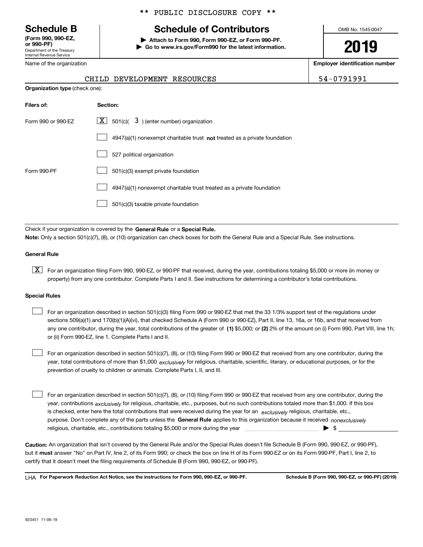Department of the Treasury Internal Revenue Service **(Form 990, 990-EZ, or 990-PF)**

Name of the organization

#### \*\* PUBLIC DISCLOSURE COPY \*\*

## **Schedule B Schedule of Contributors**

**| Attach to Form 990, Form 990-EZ, or Form 990-PF. | Go to www.irs.gov/Form990 for the latest information.** OMB No. 1545-0047

**2019**

**Employer identification number**

| $\mathbf{A}$ | 17919 | Ω |  |
|--------------|-------|---|--|
|              |       |   |  |

| $\alpha$ increase the contract $\alpha$ |                             | Linployer luchtilleat |            |
|-----------------------------------------|-----------------------------|-----------------------|------------|
|                                         | CHILD DEVELOPMENT RESOURCES |                       | 54-0791991 |
| <b>Organization type</b> (check one):   |                             |                       |            |

| Filers of:         | Section:                                                                  |
|--------------------|---------------------------------------------------------------------------|
| Form 990 or 990-EZ | $\lfloor x \rfloor$ 501(c)( 3) (enter number) organization                |
|                    | 4947(a)(1) nonexempt charitable trust not treated as a private foundation |
|                    | 527 political organization                                                |
| Form 990-PF        | 501(c)(3) exempt private foundation                                       |
|                    | 4947(a)(1) nonexempt charitable trust treated as a private foundation     |
|                    | 501(c)(3) taxable private foundation                                      |

Check if your organization is covered by the **General Rule** or a **Special Rule. Note:**  Only a section 501(c)(7), (8), or (10) organization can check boxes for both the General Rule and a Special Rule. See instructions.

#### **General Rule**

 $\boxed{\textbf{X}}$  For an organization filing Form 990, 990-EZ, or 990-PF that received, during the year, contributions totaling \$5,000 or more (in money or property) from any one contributor. Complete Parts I and II. See instructions for determining a contributor's total contributions.

#### **Special Rules**

any one contributor, during the year, total contributions of the greater of  $\,$  (1) \$5,000; or **(2)** 2% of the amount on (i) Form 990, Part VIII, line 1h; For an organization described in section 501(c)(3) filing Form 990 or 990-EZ that met the 33 1/3% support test of the regulations under sections 509(a)(1) and 170(b)(1)(A)(vi), that checked Schedule A (Form 990 or 990-EZ), Part II, line 13, 16a, or 16b, and that received from or (ii) Form 990-EZ, line 1. Complete Parts I and II.  $\mathcal{L}^{\text{max}}$ 

year, total contributions of more than \$1,000 *exclusively* for religious, charitable, scientific, literary, or educational purposes, or for the For an organization described in section 501(c)(7), (8), or (10) filing Form 990 or 990-EZ that received from any one contributor, during the prevention of cruelty to children or animals. Complete Parts I, II, and III.  $\mathcal{L}^{\text{max}}$ 

purpose. Don't complete any of the parts unless the **General Rule** applies to this organization because it received *nonexclusively* year, contributions <sub>exclusively</sub> for religious, charitable, etc., purposes, but no such contributions totaled more than \$1,000. If this box is checked, enter here the total contributions that were received during the year for an  $\;$ exclusively religious, charitable, etc., For an organization described in section 501(c)(7), (8), or (10) filing Form 990 or 990-EZ that received from any one contributor, during the religious, charitable, etc., contributions totaling \$5,000 or more during the year  $\Box$ — $\Box$   $\Box$  $\mathcal{L}^{\text{max}}$ 

**Caution:**  An organization that isn't covered by the General Rule and/or the Special Rules doesn't file Schedule B (Form 990, 990-EZ, or 990-PF),  **must** but it answer "No" on Part IV, line 2, of its Form 990; or check the box on line H of its Form 990-EZ or on its Form 990-PF, Part I, line 2, to certify that it doesn't meet the filing requirements of Schedule B (Form 990, 990-EZ, or 990-PF).

**For Paperwork Reduction Act Notice, see the instructions for Form 990, 990-EZ, or 990-PF. Schedule B (Form 990, 990-EZ, or 990-PF) (2019)** LHA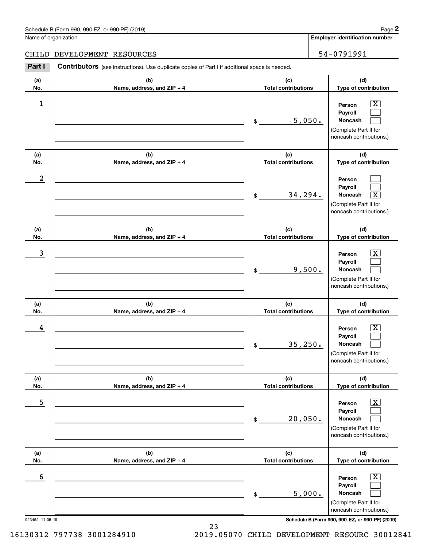#### Schedule B (Form 990, 990-EZ, or 990-PF) (2019) **Page 2** Page 1 and 2011 **Page 2** Page 2 **Page 2** Page 1 and 2011 **Page 2**

Name of organization

**Employer identification number**

#### CHILD DEVELOPMENT RESOURCES **1998** | 54-0791991

**(a)No.(b)Name, address, and ZIP + 4 (c)Total contributions (d)Type of contribution PersonPayrollNoncash (a)No.(b)Name, address, and ZIP + 4 (c)Total contributions (d)Type of contribution PersonPayrollNoncash (a)No.(b)Name, address, and ZIP + 4 (c)Total contributions (d)Type of contribution PersonPayrollNoncash (a) No.(b) Name, address, and ZIP + 4 (c) Total contributions (d) Type of contribution PersonPayrollNoncash (a) No.(b) Name, address, and ZIP + 4 (c) Total contributions (d) Type of contribution PersonPayrollNoncash (a) No.(b)Name, address, and ZIP + 4 (c) Total contributions (d)Type of contribution PersonPayrollNoncash Contributors** (see instructions). Use duplicate copies of Part I if additional space is needed. \$(Complete Part II for noncash contributions.) \$(Complete Part II for noncash contributions.) \$(Complete Part II for noncash contributions.) \$(Complete Part II for noncash contributions.) \$(Complete Part II for noncash contributions.) \$(Complete Part II for noncash contributions.) Chedule B (Form 990, 990-EZ, or 990-PF) (2019)<br>Iame of organization<br>**2PART I 2PART DEVELOPMENT RESOURCES**<br>**2PART I Contributors** (see instructions). Use duplicate copies of Part I if additional space is needed.  $|X|$  $\mathcal{L}^{\text{max}}$  $\mathcal{L}^{\text{max}}$  $\mathcal{L}^{\text{max}}$  $\mathcal{L}^{\text{max}}$  $\overline{\mathbf{X}}$  $|X|$  $\mathcal{L}^{\text{max}}$  $\mathcal{L}^{\text{max}}$  $\boxed{\text{X}}$  $\mathcal{L}^{\text{max}}$  $\mathcal{L}^{\text{max}}$  $\boxed{\text{X}}$  $\mathcal{L}^{\text{max}}$  $\mathcal{L}^{\text{max}}$  $\boxed{\text{X}}$  $\mathcal{L}^{\text{max}}$  $\mathcal{L}^{\text{max}}$  $\begin{array}{c|c|c|c|c|c} 1 & \hspace{1.5cm} & \hspace{1.5cm} & \hspace{1.5cm} & \hspace{1.5cm} & \hspace{1.5cm} & \hspace{1.5cm} & \hspace{1.5cm} & \hspace{1.5cm} & \hspace{1.5cm} & \hspace{1.5cm} & \hspace{1.5cm} & \hspace{1.5cm} & \hspace{1.5cm} & \hspace{1.5cm} & \hspace{1.5cm} & \hspace{1.5cm} & \hspace{1.5cm} & \hspace{1.5cm} & \hspace{1.5cm} & \hspace{1.5cm} &$ 5,050. 2 34,294. X  $\overline{3}$  | Person  $\overline{X}$ 9,500.  $4$  | Person  $\overline{\text{X}}$ 35,250.  $\sim$  5 | Person X 20,050.  $\sim$  6 | Person X 5,000.

23

923452 11-06-19 **Schedule B (Form 990, 990-EZ, or 990-PF) (2019)**

16130312 797738 3001284910 2019.05070 CHILD DEVELOPMENT RESOURC 30012841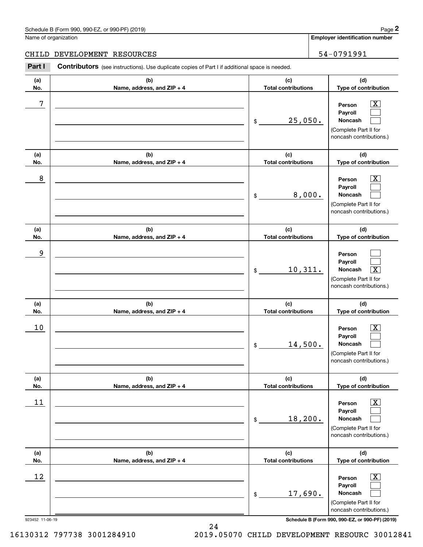#### Schedule B (Form 990, 990-EZ, or 990-PF) (2019) **Page 2** Page 1 and 2011 **Page 2** Page 2 **Page 2** Page 1 and 2011 **Page 2**

Name of organization

**Employer identification number**

#### CHILD DEVELOPMENT RESOURCES **1998** | 54-0791991

**(a)No.(b)Name, address, and ZIP + 4 (c)Total contributions (d)Type of contribution PersonPayrollNoncash (a)No.(b)Name, address, and ZIP + 4 (c)Total contributions (d)Type of contribution PersonPayrollNoncash (a)No.(b)Name, address, and ZIP + 4 (c)Total contributions (d)Type of contribution PersonPayrollNoncash (a) No.(b) Name, address, and ZIP + 4 (c) Total contributions (d) Type of contribution PersonPayrollNoncash (a) No.(b) Name, address, and ZIP + 4 (c) Total contributions (d) Type of contribution PersonPayrollNoncash (a) No.(b)Name, address, and ZIP + 4 (c) Total contributions (d)Type of contribution PersonPayrollNoncash Contributors** (see instructions). Use duplicate copies of Part I if additional space is needed. \$(Complete Part II for noncash contributions.) \$(Complete Part II for noncash contributions.) \$(Complete Part II for noncash contributions.) \$(Complete Part II for noncash contributions.) \$(Complete Part II for noncash contributions.) \$(Complete Part II for noncash contributions.) Chedule B (Form 990, 990-EZ, or 990-PF) (2019)<br>Iame of organization<br>**2PART I 2PART DEVELOPMENT RESOURCES**<br>**2PART I Contributors** (see instructions). Use duplicate copies of Part I if additional space is needed.  $|X|$  $\mathcal{L}^{\text{max}}$  $\mathcal{L}^{\text{max}}$  $\boxed{\text{X}}$  $\mathcal{L}^{\text{max}}$  $\mathcal{L}^{\text{max}}$  $\mathcal{L}^{\text{max}}$  $\mathcal{L}^{\text{max}}$  $\boxed{\text{X}}$  $\boxed{\text{X}}$  $\mathcal{L}^{\text{max}}$  $\mathcal{L}^{\text{max}}$  $\boxed{\text{X}}$  $\mathcal{L}^{\text{max}}$  $\mathcal{L}^{\text{max}}$  $\boxed{\text{X}}$  $\mathcal{L}^{\text{max}}$  $\mathcal{L}^{\text{max}}$ 7 X 25,050. 8 X 8,000. 9 10,311. X  $10$  Person  $\overline{\text{X}}$ 14,500.  $11$  Person X 18,200.  $12$  Person X 17,690.

923452 11-06-19 **Schedule B (Form 990, 990-EZ, or 990-PF) (2019)**

16130312 797738 3001284910 2019.05070 CHILD DEVELOPMENT RESOURC 30012841

24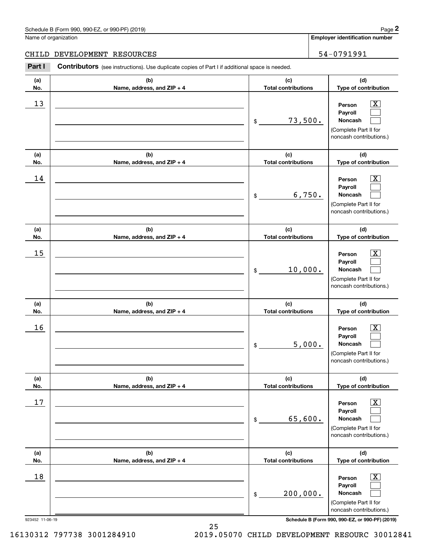#### Schedule B (Form 990, 990-EZ, or 990-PF) (2019) **Page 2** Page 1 and 2011 **Page 2** Page 2 **Page 2** Page 1 and 2011 **Page 2**

Name of organization

**Employer identification number**

#### CHILD DEVELOPMENT RESOURCES **1998** | 54-0791991

**(a)No.(b)Name, address, and ZIP + 4 (c)Total contributions (d)Type of contribution PersonPayrollNoncash (a)No.(b)Name, address, and ZIP + 4 (c)Total contributions (d)Type of contribution PersonPayrollNoncash (a)No.(b)Name, address, and ZIP + 4 (c)Total contributions (d)Type of contribution PersonPayrollNoncash (a) No.(b) Name, address, and ZIP + 4 (c) Total contributions (d) Type of contribution PersonPayrollNoncash (a) No.(b) Name, address, and ZIP + 4 (c) Total contributions (d) Type of contribution PersonPayrollNoncash (a) No.(b)Name, address, and ZIP + 4 (c) Total contributions (d)Type of contribution PersonPayrollNoncash Contributors** (see instructions). Use duplicate copies of Part I if additional space is needed. \$(Complete Part II for noncash contributions.) \$(Complete Part II for noncash contributions.) \$(Complete Part II for noncash contributions.) \$(Complete Part II for noncash contributions.) \$(Complete Part II for noncash contributions.) \$(Complete Part II for noncash contributions.) Chedule B (Form 990, 990-EZ, or 990-PF) (2019)<br>Iame of organization<br>**2PART I 2PART DEVELOPMENT RESOURCES**<br>**2PART I Contributors** (see instructions). Use duplicate copies of Part I if additional space is needed.  $|X|$  $\mathcal{L}^{\text{max}}$  $\mathcal{L}^{\text{max}}$  $\boxed{\text{X}}$  $\mathcal{L}^{\text{max}}$  $\mathcal{L}^{\text{max}}$  $|X|$  $\mathcal{L}^{\text{max}}$  $\mathcal{L}^{\text{max}}$  $\boxed{\text{X}}$  $\mathcal{L}^{\text{max}}$  $\mathcal{L}^{\text{max}}$  $\boxed{\text{X}}$  $\mathcal{L}^{\text{max}}$  $\mathcal{L}^{\text{max}}$  $\boxed{\text{X}}$  $\mathcal{L}^{\text{max}}$  $\mathcal{L}^{\text{max}}$  $13$  Person X 73,500.  $14$  Person X 6,750.  $15$  Person X 10,000.  $16$  Person X 5,000.  $17$  | Person  $\overline{\text{X}}$ 65,600.  $18$  Person  $\overline{\text{X}}$ 200,000.

923452 11-06-19 **Schedule B (Form 990, 990-EZ, or 990-PF) (2019)**

16130312 797738 3001284910 2019.05070 CHILD DEVELOPMENT RESOURC 30012841

25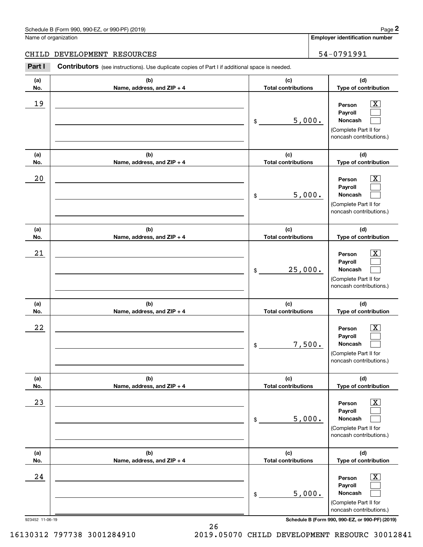## Schedule B (Form 990, 990-EZ, or 990-PF) (2019) Page 2

#### CHILD DEVELOPMENT RESOURCES | 54-0791991

|                      | Schedule B (Form 990, 990-EZ, or 990-PF) (2019)                                                |                                   | Page 2                                                                                                      |
|----------------------|------------------------------------------------------------------------------------------------|-----------------------------------|-------------------------------------------------------------------------------------------------------------|
| Name of organization |                                                                                                |                                   | <b>Employer identification number</b>                                                                       |
| CHILD                | DEVELOPMENT RESOURCES                                                                          |                                   | 54-0791991                                                                                                  |
| Part I               | Contributors (see instructions). Use duplicate copies of Part I if additional space is needed. |                                   |                                                                                                             |
| (a)<br>No.           | (b)<br>Name, address, and ZIP + 4                                                              | (c)<br><b>Total contributions</b> | (d)<br>Type of contribution                                                                                 |
| 19                   |                                                                                                | \$<br>5,000.                      | $\overline{\mathbf{X}}$<br>Person<br>Payroll<br>Noncash<br>(Complete Part II for<br>noncash contributions.) |
| (a)<br>No.           | (b)<br>Name, address, and ZIP + 4                                                              | (c)<br><b>Total contributions</b> | (d)<br>Type of contribution                                                                                 |
| 20                   |                                                                                                | \$<br>5,000.                      | $\overline{\text{X}}$<br>Person<br>Payroll<br>Noncash<br>(Complete Part II for<br>noncash contributions.)   |
| (a)<br>No.           | (b)<br>Name, address, and ZIP + 4                                                              | (c)<br><b>Total contributions</b> | (d)<br>Type of contribution                                                                                 |
| 21                   |                                                                                                | \$<br>25,000.                     | $\overline{\text{X}}$<br>Person<br>Payroll<br>Noncash<br>(Complete Part II for<br>noncash contributions.)   |
| (a)<br>No.           | (b)<br>Name, address, and ZIP + 4                                                              | (c)<br><b>Total contributions</b> | (d)<br>Type of contribution                                                                                 |
| 22                   |                                                                                                | \$<br>7,500.                      | $\overline{\mathbf{X}}$<br>Person<br>Payroll<br>Noncash<br>(Complete Part II for<br>noncash contributions.) |
| (a)<br>No.           | (b)<br>Name, address, and ZIP + 4                                                              | (c)<br><b>Total contributions</b> | (d)<br>Type of contribution                                                                                 |
| 23                   |                                                                                                | \$<br>5,000.                      | $\overline{\mathbf{X}}$<br>Person<br>Payroll<br>Noncash<br>(Complete Part II for<br>noncash contributions.) |
| (a)<br>No.           | (b)<br>Name, address, and ZIP + 4                                                              | (c)<br><b>Total contributions</b> | (d)<br>Type of contribution                                                                                 |
| 24                   |                                                                                                | \$<br>5,000.                      | $\overline{\mathbf{X}}$<br>Person<br>Payroll<br>Noncash<br>(Complete Part II for<br>noncash contributions.) |
| 923452 11-06-19      |                                                                                                |                                   | Schedule B (Form 990, 990-EZ, or 990-PF) (2019)                                                             |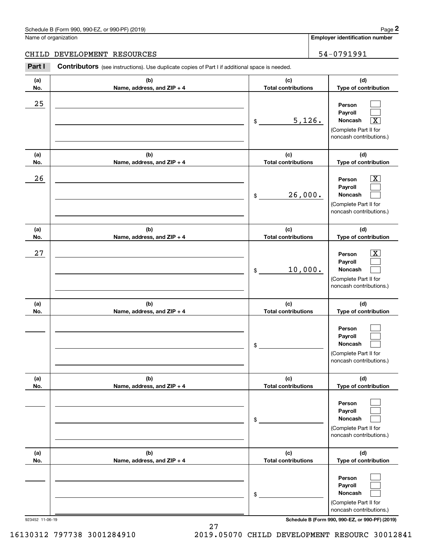## Schedule B (Form 990, 990-EZ, or 990-PF) (2019) Page 2

#### CHILD DEVELOPMENT RESOURCES | 54-0791991

|                      | Schedule B (Form 990, 990-EZ, or 990-PF) (2019)                                                |                                   | Page 2                                                                                                                        |
|----------------------|------------------------------------------------------------------------------------------------|-----------------------------------|-------------------------------------------------------------------------------------------------------------------------------|
| Name of organization |                                                                                                |                                   | <b>Employer identification number</b>                                                                                         |
| CHILD                | DEVELOPMENT RESOURCES                                                                          |                                   | 54-0791991                                                                                                                    |
| Part I               | Contributors (see instructions). Use duplicate copies of Part I if additional space is needed. |                                   |                                                                                                                               |
| (a)<br>No.           | (b)<br>Name, address, and ZIP + 4                                                              | (c)<br><b>Total contributions</b> | (d)<br>Type of contribution                                                                                                   |
| 25                   |                                                                                                | \$                                | Person<br>Payroll<br>5,126.<br>Noncash<br>$\overline{\text{X}}$<br>(Complete Part II for<br>noncash contributions.)           |
| (a)<br>No.           | (b)<br>Name, address, and ZIP + 4                                                              | (c)<br><b>Total contributions</b> | (d)<br>Type of contribution                                                                                                   |
| 26                   |                                                                                                | \$                                | $\overline{\mathbf{X}}$<br>Person<br>Payroll<br>26,000.<br><b>Noncash</b><br>(Complete Part II for<br>noncash contributions.) |
| (a)<br>No.           | (b)<br>Name, address, and ZIP + 4                                                              | (c)<br><b>Total contributions</b> | (d)<br>Type of contribution                                                                                                   |
| 27                   |                                                                                                | \$                                | $\overline{\mathbf{X}}$<br>Person<br>Payroll<br>10,000.<br>Noncash<br>(Complete Part II for<br>noncash contributions.)        |
| (a)<br>No.           | (b)<br>Name, address, and ZIP + 4                                                              | (c)<br><b>Total contributions</b> | (d)<br>Type of contribution                                                                                                   |
|                      |                                                                                                | \$                                | Person<br>Payroll<br>Noncash<br>(Complete Part II for<br>noncash contributions.)                                              |
| (a)<br>No.           | (b)<br>Name, address, and ZIP + 4                                                              | (c)<br><b>Total contributions</b> | (d)<br>Type of contribution                                                                                                   |
|                      |                                                                                                | \$                                | Person<br>Payroll<br>Noncash<br>(Complete Part II for<br>noncash contributions.)                                              |
| (a)<br>No.           | (b)<br>Name, address, and ZIP + 4                                                              | (c)<br><b>Total contributions</b> | (d)<br>Type of contribution                                                                                                   |
|                      |                                                                                                | \$                                | Person<br>Payroll<br>Noncash<br>(Complete Part II for<br>noncash contributions.)                                              |

923452 11-06-19 **Schedule B (Form 990, 990-EZ, or 990-PF) (2019)**

16130312 797738 3001284910 2019.05070 CHILD DEVELOPMENT RESOURC 30012841

27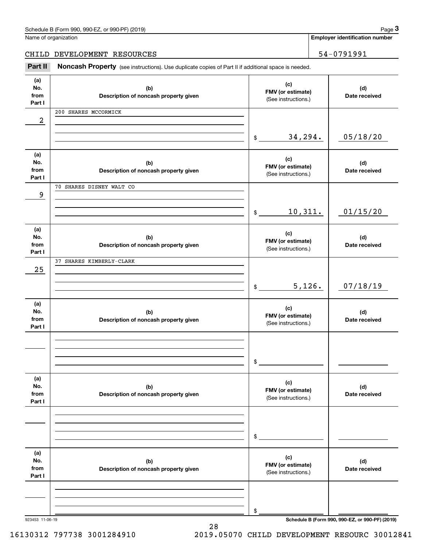| Schedule B (Form 990, 990-EZ, or 990-PF) (2019) | Page |
|-------------------------------------------------|------|
|-------------------------------------------------|------|

Name of organization

**Employer identification number**

CHILD DEVELOPMENT RESOURCES | 54-0791991

(see instructions). Use duplicate copies of Part II if additional space is needed.<br> **2Part II Noncash Property** (see instructions). Use duplicate copies of Part II if additional space is needed.<br>
3Part II **Noncash Proper** 

| (a)<br>No.<br>from<br>Part I | (b)<br>Description of noncash property given | (c)<br>FMV (or estimate)<br>(See instructions.) | (d)<br>Date received                            |
|------------------------------|----------------------------------------------|-------------------------------------------------|-------------------------------------------------|
| 2                            | 200 SHARES MCCORMICK                         |                                                 |                                                 |
|                              |                                              |                                                 |                                                 |
|                              |                                              | 34,294.<br>$\frac{1}{2}$                        | 05/18/20                                        |
| (a)                          |                                              | (c)                                             |                                                 |
| No.<br>from                  | (b)<br>Description of noncash property given | FMV (or estimate)<br>(See instructions.)        | (d)<br>Date received                            |
| Part I                       | 70 SHARES DISNEY WALT CO                     |                                                 |                                                 |
| 9                            |                                              |                                                 |                                                 |
|                              |                                              |                                                 |                                                 |
|                              |                                              | 10,311.<br>$\frac{1}{2}$                        | 01/15/20                                        |
| (a)                          |                                              | (c)                                             |                                                 |
| No.<br>from                  | (b)<br>Description of noncash property given | FMV (or estimate)                               | (d)<br>Date received                            |
| Part I                       |                                              | (See instructions.)                             |                                                 |
| 25                           | 37 SHARES KIMBERLY-CLARK                     |                                                 |                                                 |
|                              |                                              |                                                 |                                                 |
|                              |                                              | 5,126.<br>\$                                    | 07/18/19                                        |
| (a)                          |                                              | (c)                                             |                                                 |
| No.<br>from                  | (b)<br>Description of noncash property given | FMV (or estimate)                               | (d)<br>Date received                            |
| Part I                       |                                              | (See instructions.)                             |                                                 |
|                              |                                              |                                                 |                                                 |
|                              |                                              |                                                 |                                                 |
|                              |                                              | \$                                              |                                                 |
| (a)                          |                                              | (c)                                             |                                                 |
| No.<br>from                  | (b)<br>Description of noncash property given | FMV (or estimate)                               | (d)<br>Date received                            |
| Part I                       |                                              | (See instructions.)                             |                                                 |
|                              |                                              |                                                 |                                                 |
|                              |                                              |                                                 |                                                 |
|                              |                                              | \$                                              |                                                 |
| (a)                          |                                              | (c)                                             |                                                 |
| No.<br>from                  | (b)<br>Description of noncash property given | FMV (or estimate)                               | (d)<br>Date received                            |
| Part I                       |                                              | (See instructions.)                             |                                                 |
|                              |                                              |                                                 |                                                 |
|                              |                                              |                                                 |                                                 |
| 923453 11-06-19              |                                              | \$                                              | Schedule B (Form 990, 990-EZ, or 990-PF) (2019) |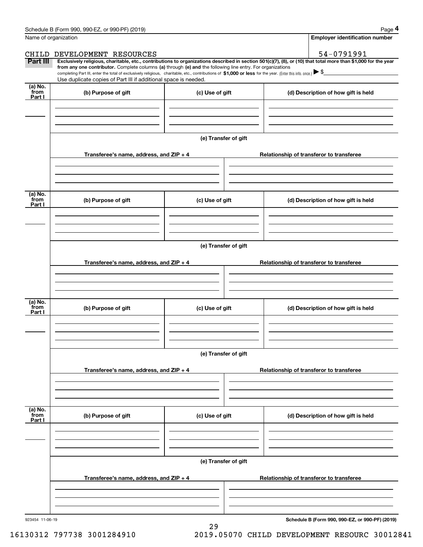|                 | Schedule B (Form 990, 990-EZ, or 990-PF) (2019)                                                                                                                                                                                                                              |                      |  | Page 4                                   |  |  |  |
|-----------------|------------------------------------------------------------------------------------------------------------------------------------------------------------------------------------------------------------------------------------------------------------------------------|----------------------|--|------------------------------------------|--|--|--|
|                 | Name of organization                                                                                                                                                                                                                                                         |                      |  | <b>Employer identification number</b>    |  |  |  |
| CHILD           | DEVELOPMENT RESOURCES                                                                                                                                                                                                                                                        |                      |  | 54-0791991                               |  |  |  |
| Part III        | Exclusively religious, charitable, etc., contributions to organizations described in section 501(c)(7), (8), or (10) that total more than \$1,000 for the year<br>from any one contributor. Complete columns (a) through (e) and the following line entry. For organizations |                      |  |                                          |  |  |  |
|                 | completing Part III, enter the total of exclusively religious, charitable, etc., contributions of \$1,000 or less for the year. (Enter this info. once.) $\blacktriangleright$ \$<br>Use duplicate copies of Part III if additional space is needed.                         |                      |  |                                          |  |  |  |
| (a) No.<br>from |                                                                                                                                                                                                                                                                              |                      |  |                                          |  |  |  |
| Part I          | (b) Purpose of gift                                                                                                                                                                                                                                                          | (c) Use of gift      |  | (d) Description of how gift is held      |  |  |  |
|                 |                                                                                                                                                                                                                                                                              |                      |  |                                          |  |  |  |
|                 |                                                                                                                                                                                                                                                                              |                      |  |                                          |  |  |  |
|                 |                                                                                                                                                                                                                                                                              |                      |  |                                          |  |  |  |
|                 |                                                                                                                                                                                                                                                                              | (e) Transfer of gift |  |                                          |  |  |  |
|                 |                                                                                                                                                                                                                                                                              |                      |  |                                          |  |  |  |
|                 | Transferee's name, address, and ZIP + 4                                                                                                                                                                                                                                      |                      |  | Relationship of transferor to transferee |  |  |  |
|                 |                                                                                                                                                                                                                                                                              |                      |  |                                          |  |  |  |
|                 |                                                                                                                                                                                                                                                                              |                      |  |                                          |  |  |  |
| (a) No.         |                                                                                                                                                                                                                                                                              |                      |  |                                          |  |  |  |
| from<br>Part I  | (b) Purpose of gift                                                                                                                                                                                                                                                          | (c) Use of gift      |  | (d) Description of how gift is held      |  |  |  |
|                 |                                                                                                                                                                                                                                                                              |                      |  |                                          |  |  |  |
|                 |                                                                                                                                                                                                                                                                              |                      |  |                                          |  |  |  |
|                 |                                                                                                                                                                                                                                                                              |                      |  |                                          |  |  |  |
|                 |                                                                                                                                                                                                                                                                              |                      |  |                                          |  |  |  |
|                 | (e) Transfer of gift                                                                                                                                                                                                                                                         |                      |  |                                          |  |  |  |
|                 | Transferee's name, address, and ZIP + 4                                                                                                                                                                                                                                      |                      |  | Relationship of transferor to transferee |  |  |  |
|                 |                                                                                                                                                                                                                                                                              |                      |  |                                          |  |  |  |
|                 |                                                                                                                                                                                                                                                                              |                      |  |                                          |  |  |  |
|                 |                                                                                                                                                                                                                                                                              |                      |  |                                          |  |  |  |
| (a) No.<br>from | (b) Purpose of gift                                                                                                                                                                                                                                                          | (c) Use of gift      |  | (d) Description of how gift is held      |  |  |  |
| Part I          |                                                                                                                                                                                                                                                                              |                      |  |                                          |  |  |  |
|                 |                                                                                                                                                                                                                                                                              |                      |  |                                          |  |  |  |
|                 |                                                                                                                                                                                                                                                                              |                      |  |                                          |  |  |  |
|                 |                                                                                                                                                                                                                                                                              |                      |  |                                          |  |  |  |
|                 |                                                                                                                                                                                                                                                                              | (e) Transfer of gift |  |                                          |  |  |  |
|                 | Transferee's name, address, and ZIP + 4                                                                                                                                                                                                                                      |                      |  | Relationship of transferor to transferee |  |  |  |
|                 |                                                                                                                                                                                                                                                                              |                      |  |                                          |  |  |  |
|                 |                                                                                                                                                                                                                                                                              |                      |  |                                          |  |  |  |
|                 |                                                                                                                                                                                                                                                                              |                      |  |                                          |  |  |  |
| (a) No.<br>from |                                                                                                                                                                                                                                                                              |                      |  |                                          |  |  |  |
| Part I          | (b) Purpose of gift                                                                                                                                                                                                                                                          | (c) Use of gift      |  | (d) Description of how gift is held      |  |  |  |
|                 |                                                                                                                                                                                                                                                                              |                      |  |                                          |  |  |  |
|                 |                                                                                                                                                                                                                                                                              |                      |  |                                          |  |  |  |
|                 |                                                                                                                                                                                                                                                                              |                      |  |                                          |  |  |  |
|                 |                                                                                                                                                                                                                                                                              | (e) Transfer of gift |  |                                          |  |  |  |
|                 |                                                                                                                                                                                                                                                                              |                      |  |                                          |  |  |  |
|                 | Transferee's name, address, and ZIP + 4                                                                                                                                                                                                                                      |                      |  | Relationship of transferor to transferee |  |  |  |
|                 |                                                                                                                                                                                                                                                                              |                      |  |                                          |  |  |  |
|                 |                                                                                                                                                                                                                                                                              |                      |  |                                          |  |  |  |
|                 |                                                                                                                                                                                                                                                                              |                      |  |                                          |  |  |  |

29

923454 11-06-19

**Schedule B (Form 990, 990-EZ, or 990-PF) (2019)**

16130312 797738 3001284910 2019.05070 CHILD DEVELOPMENT RESOURC 30012841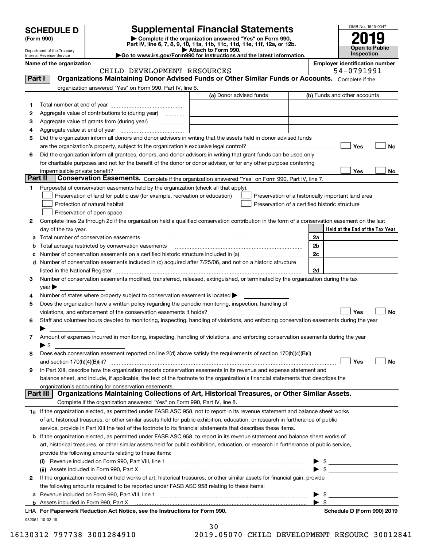| <b>SCHEDULE D</b> |  |
|-------------------|--|
|-------------------|--|

## **Supplemental Financial Statements**

(Form 990)<br>
Pepartment of the Treasury<br>
Department of the Treasury<br>
Department of the Treasury<br>
Department of the Treasury<br> **Co to www.irs.gov/Form990 for instructions and the latest information.**<br> **Co to www.irs.gov/Form9** 



Department of the Treasury Internal Revenue Service

**Name of the organization Employer identification number**

|          | CHILD DEVELOPMENT RESOURCES                                                                                                                    |                         | 54-0791991                                         |
|----------|------------------------------------------------------------------------------------------------------------------------------------------------|-------------------------|----------------------------------------------------|
| Part I   | Organizations Maintaining Donor Advised Funds or Other Similar Funds or Accounts. Complete if the                                              |                         |                                                    |
|          | organization answered "Yes" on Form 990, Part IV, line 6.                                                                                      |                         |                                                    |
|          |                                                                                                                                                | (a) Donor advised funds | (b) Funds and other accounts                       |
| 1        |                                                                                                                                                |                         |                                                    |
| 2        | Aggregate value of contributions to (during year)                                                                                              |                         |                                                    |
|          |                                                                                                                                                |                         |                                                    |
| з        |                                                                                                                                                |                         |                                                    |
| 4        |                                                                                                                                                |                         |                                                    |
| 5        | Did the organization inform all donors and donor advisors in writing that the assets held in donor advised funds                               |                         |                                                    |
|          |                                                                                                                                                |                         | Yes<br>No                                          |
| 6        | Did the organization inform all grantees, donors, and donor advisors in writing that grant funds can be used only                              |                         |                                                    |
|          | for charitable purposes and not for the benefit of the donor or donor advisor, or for any other purpose conferring                             |                         |                                                    |
|          | impermissible private benefit?                                                                                                                 |                         | Yes<br>No                                          |
| Part II  | Conservation Easements. Complete if the organization answered "Yes" on Form 990, Part IV, line 7.                                              |                         |                                                    |
| 1        | Purpose(s) of conservation easements held by the organization (check all that apply).                                                          |                         |                                                    |
|          | Preservation of land for public use (for example, recreation or education)                                                                     |                         | Preservation of a historically important land area |
|          | Protection of natural habitat                                                                                                                  |                         | Preservation of a certified historic structure     |
|          | Preservation of open space                                                                                                                     |                         |                                                    |
| 2        | Complete lines 2a through 2d if the organization held a qualified conservation contribution in the form of a conservation easement on the last |                         |                                                    |
|          | day of the tax year.                                                                                                                           |                         | Held at the End of the Tax Year                    |
| a        |                                                                                                                                                |                         | 2a                                                 |
| b        | Total acreage restricted by conservation easements                                                                                             |                         | 2b                                                 |
| с        |                                                                                                                                                |                         | 2c                                                 |
|          | d Number of conservation easements included in (c) acquired after 7/25/06, and not on a historic structure                                     |                         |                                                    |
|          |                                                                                                                                                |                         | 2d                                                 |
| 3        | Number of conservation easements modified, transferred, released, extinguished, or terminated by the organization during the tax               |                         |                                                    |
|          |                                                                                                                                                |                         |                                                    |
|          | $year \blacktriangleright$<br>Number of states where property subject to conservation easement is located $\blacktriangleright$                |                         |                                                    |
| 4        |                                                                                                                                                |                         |                                                    |
| 5        | Does the organization have a written policy regarding the periodic monitoring, inspection, handling of                                         |                         |                                                    |
|          | violations, and enforcement of the conservation easements it holds?                                                                            |                         | Yes<br><b>No</b>                                   |
| 6        | Staff and volunteer hours devoted to monitoring, inspecting, handling of violations, and enforcing conservation easements during the year      |                         |                                                    |
|          |                                                                                                                                                |                         |                                                    |
| 7        | Amount of expenses incurred in monitoring, inspecting, handling of violations, and enforcing conservation easements during the year            |                         |                                                    |
|          | $\blacktriangleright$ s                                                                                                                        |                         |                                                    |
| 8        | Does each conservation easement reported on line 2(d) above satisfy the requirements of section 170(h)(4)(B)(i)                                |                         |                                                    |
|          |                                                                                                                                                |                         | Yes<br>No                                          |
| 9        | In Part XIII, describe how the organization reports conservation easements in its revenue and expense statement and                            |                         |                                                    |
|          | balance sheet, and include, if applicable, the text of the footnote to the organization's financial statements that describes the              |                         |                                                    |
|          | organization's accounting for conservation easements.                                                                                          |                         |                                                    |
| Part III | Organizations Maintaining Collections of Art, Historical Treasures, or Other Similar Assets.                                                   |                         |                                                    |
|          | Complete if the organization answered "Yes" on Form 990, Part IV, line 8.                                                                      |                         |                                                    |
|          | 1a If the organization elected, as permitted under FASB ASC 958, not to report in its revenue statement and balance sheet works                |                         |                                                    |
|          | of art, historical treasures, or other similar assets held for public exhibition, education, or research in furtherance of public              |                         |                                                    |
|          | service, provide in Part XIII the text of the footnote to its financial statements that describes these items.                                 |                         |                                                    |
|          | <b>b</b> If the organization elected, as permitted under FASB ASC 958, to report in its revenue statement and balance sheet works of           |                         |                                                    |
|          | art, historical treasures, or other similar assets held for public exhibition, education, or research in furtherance of public service,        |                         |                                                    |
|          | provide the following amounts relating to these items:                                                                                         |                         |                                                    |
|          |                                                                                                                                                |                         | $\frac{1}{2}$                                      |
|          | (ii) Assets included in Form 990, Part X                                                                                                       |                         | $\triangleright$ \$                                |
| 2        | If the organization received or held works of art, historical treasures, or other similar assets for financial gain, provide                   |                         |                                                    |
|          | the following amounts required to be reported under FASB ASC 958 relating to these items:                                                      |                         |                                                    |
| a        |                                                                                                                                                |                         | $\frac{1}{\sqrt{2}}$                               |
|          | <b>b</b> Assets included in Form 990, Part X                                                                                                   |                         | $\blacktriangleright$ \$                           |
|          | LHA For Paperwork Reduction Act Notice, see the Instructions for Form 990.                                                                     |                         | Schedule D (Form 990) 2019                         |

932051 10-02-19

| -30 |              |  |
|-----|--------------|--|
|     | 0.05070.0117 |  |

 $\sim$ 

16130312 797738 3001284910 2019.05070 CHILD DEVELOPMENT RESOURC 30012841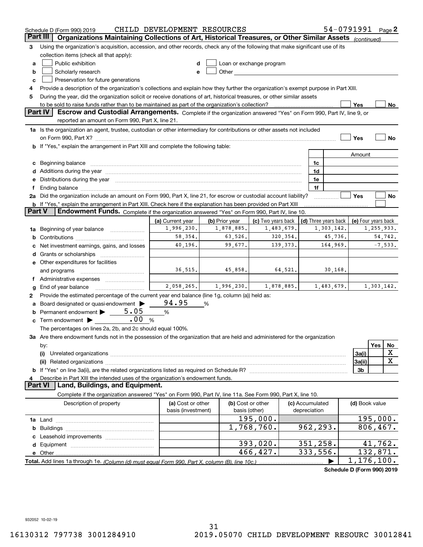|        | Schedule D (Form 990) 2019                                                                                                                                                                                                    | CHILD DEVELOPMENT RESOURCES    |                              |                                                                                                                                                                                                                               |                 |                                    | 54-0791991 Page 2          |     |            |
|--------|-------------------------------------------------------------------------------------------------------------------------------------------------------------------------------------------------------------------------------|--------------------------------|------------------------------|-------------------------------------------------------------------------------------------------------------------------------------------------------------------------------------------------------------------------------|-----------------|------------------------------------|----------------------------|-----|------------|
|        | Part III<br>Organizations Maintaining Collections of Art, Historical Treasures, or Other Similar Assets (continued)                                                                                                           |                                |                              |                                                                                                                                                                                                                               |                 |                                    |                            |     |            |
| 3      | Using the organization's acquisition, accession, and other records, check any of the following that make significant use of its                                                                                               |                                |                              |                                                                                                                                                                                                                               |                 |                                    |                            |     |            |
|        | collection items (check all that apply):                                                                                                                                                                                      |                                |                              |                                                                                                                                                                                                                               |                 |                                    |                            |     |            |
| a      | Public exhibition                                                                                                                                                                                                             |                                |                              | Loan or exchange program                                                                                                                                                                                                      |                 |                                    |                            |     |            |
| b      | Scholarly research                                                                                                                                                                                                            | e                              |                              | Other and the contract of the contract of the contract of the contract of the contract of the contract of the contract of the contract of the contract of the contract of the contract of the contract of the contract of the |                 |                                    |                            |     |            |
| c      | Preservation for future generations                                                                                                                                                                                           |                                |                              |                                                                                                                                                                                                                               |                 |                                    |                            |     |            |
| 4      | Provide a description of the organization's collections and explain how they further the organization's exempt purpose in Part XIII.                                                                                          |                                |                              |                                                                                                                                                                                                                               |                 |                                    |                            |     |            |
| 5      | During the year, did the organization solicit or receive donations of art, historical treasures, or other similar assets                                                                                                      |                                |                              |                                                                                                                                                                                                                               |                 |                                    |                            |     |            |
|        | to be sold to raise funds rather than to be maintained as part of the organization's collection?                                                                                                                              |                                |                              |                                                                                                                                                                                                                               |                 |                                    | Yes                        |     | No         |
|        | <b>Part IV</b><br>Escrow and Custodial Arrangements. Complete if the organization answered "Yes" on Form 990, Part IV, line 9, or                                                                                             |                                |                              |                                                                                                                                                                                                                               |                 |                                    |                            |     |            |
|        | reported an amount on Form 990, Part X, line 21.                                                                                                                                                                              |                                |                              |                                                                                                                                                                                                                               |                 |                                    |                            |     |            |
|        | 1a Is the organization an agent, trustee, custodian or other intermediary for contributions or other assets not included                                                                                                      |                                |                              |                                                                                                                                                                                                                               |                 |                                    |                            |     |            |
|        |                                                                                                                                                                                                                               |                                |                              |                                                                                                                                                                                                                               |                 |                                    | Yes                        |     | No         |
|        | <b>b</b> If "Yes," explain the arrangement in Part XIII and complete the following table:                                                                                                                                     |                                |                              |                                                                                                                                                                                                                               |                 |                                    |                            |     |            |
|        |                                                                                                                                                                                                                               |                                |                              |                                                                                                                                                                                                                               |                 |                                    | Amount                     |     |            |
| c      | Beginning balance <b>contract to the contract of the contract of the contract of the contract of the contract of t</b>                                                                                                        |                                |                              |                                                                                                                                                                                                                               |                 | 1c                                 |                            |     |            |
|        |                                                                                                                                                                                                                               |                                |                              |                                                                                                                                                                                                                               |                 | 1d                                 |                            |     |            |
| е      | Distributions during the year manufactured and contain an account of the state of the state of the state of the state of the state of the state of the state of the state of the state of the state of the state of the state |                                |                              |                                                                                                                                                                                                                               |                 | 1e                                 |                            |     |            |
|        |                                                                                                                                                                                                                               |                                |                              |                                                                                                                                                                                                                               |                 | 1f                                 |                            |     |            |
|        | 2a Did the organization include an amount on Form 990, Part X, line 21, for escrow or custodial account liability?                                                                                                            |                                |                              |                                                                                                                                                                                                                               |                 |                                    | Yes                        |     | No         |
| Part V | <b>b</b> If "Yes," explain the arrangement in Part XIII. Check here if the explanation has been provided on Part XIII                                                                                                         |                                |                              |                                                                                                                                                                                                                               |                 |                                    |                            |     |            |
|        | Endowment Funds. Complete if the organization answered "Yes" on Form 990, Part IV, line 10.                                                                                                                                   |                                |                              |                                                                                                                                                                                                                               |                 |                                    |                            |     |            |
|        |                                                                                                                                                                                                                               | (a) Current year<br>1,996,230. | (b) Prior year<br>1,878,885. | (c) Two years back<br>1,483,679.                                                                                                                                                                                              |                 | (d) Three years back<br>1,303,142. | (e) Four years back        |     | 1,255,933. |
| 1a     | Beginning of year balance                                                                                                                                                                                                     | 58,354.                        | 63,526.                      | 320, 354.                                                                                                                                                                                                                     |                 | 45,736.                            |                            |     | 54,742.    |
| b      |                                                                                                                                                                                                                               | 40,196.                        | 99,677.                      | 139, 373.                                                                                                                                                                                                                     |                 | 164,969.                           |                            |     | $-7,533.$  |
|        | Net investment earnings, gains, and losses                                                                                                                                                                                    |                                |                              |                                                                                                                                                                                                                               |                 |                                    |                            |     |            |
| d      |                                                                                                                                                                                                                               |                                |                              |                                                                                                                                                                                                                               |                 |                                    |                            |     |            |
|        | e Other expenditures for facilities                                                                                                                                                                                           | 36,515.                        | 45,858.                      | 64,521.                                                                                                                                                                                                                       |                 | 30,168.                            |                            |     |            |
|        | and programs                                                                                                                                                                                                                  |                                |                              |                                                                                                                                                                                                                               |                 |                                    |                            |     |            |
|        |                                                                                                                                                                                                                               | 2,058,265.                     | 1,996,230.                   | 1,878,885.                                                                                                                                                                                                                    |                 | 1,483,679.                         |                            |     | 1,303,142. |
| g<br>2 | End of year balance<br>Provide the estimated percentage of the current year end balance (line 1g, column (a)) held as:                                                                                                        |                                |                              |                                                                                                                                                                                                                               |                 |                                    |                            |     |            |
|        | Board designated or quasi-endowment                                                                                                                                                                                           | 94.95                          | %                            |                                                                                                                                                                                                                               |                 |                                    |                            |     |            |
| а<br>b | 5.05<br>Permanent endowment > ___                                                                                                                                                                                             | $\%$                           |                              |                                                                                                                                                                                                                               |                 |                                    |                            |     |            |
| c      | .00%<br>Term endowment $\blacktriangleright$                                                                                                                                                                                  |                                |                              |                                                                                                                                                                                                                               |                 |                                    |                            |     |            |
|        | The percentages on lines 2a, 2b, and 2c should equal 100%.                                                                                                                                                                    |                                |                              |                                                                                                                                                                                                                               |                 |                                    |                            |     |            |
|        | 3a Are there endowment funds not in the possession of the organization that are held and administered for the organization                                                                                                    |                                |                              |                                                                                                                                                                                                                               |                 |                                    |                            |     |            |
|        | by:                                                                                                                                                                                                                           |                                |                              |                                                                                                                                                                                                                               |                 |                                    |                            | Yes | No         |
|        | (i)                                                                                                                                                                                                                           |                                |                              |                                                                                                                                                                                                                               |                 |                                    | 3a(i)                      |     | х          |
|        |                                                                                                                                                                                                                               |                                |                              |                                                                                                                                                                                                                               |                 |                                    | 3a(ii)                     |     | X          |
|        |                                                                                                                                                                                                                               |                                |                              |                                                                                                                                                                                                                               |                 |                                    | 3b                         |     |            |
|        | Describe in Part XIII the intended uses of the organization's endowment funds.                                                                                                                                                |                                |                              |                                                                                                                                                                                                                               |                 |                                    |                            |     |            |
|        | Land, Buildings, and Equipment.<br>Part VI                                                                                                                                                                                    |                                |                              |                                                                                                                                                                                                                               |                 |                                    |                            |     |            |
|        | Complete if the organization answered "Yes" on Form 990, Part IV, line 11a. See Form 990, Part X, line 10.                                                                                                                    |                                |                              |                                                                                                                                                                                                                               |                 |                                    |                            |     |            |
|        | Description of property                                                                                                                                                                                                       | (a) Cost or other              |                              | (b) Cost or other                                                                                                                                                                                                             | (c) Accumulated |                                    | (d) Book value             |     |            |
|        |                                                                                                                                                                                                                               | basis (investment)             |                              | basis (other)                                                                                                                                                                                                                 | depreciation    |                                    |                            |     |            |
|        |                                                                                                                                                                                                                               |                                |                              | 195,000.                                                                                                                                                                                                                      |                 |                                    |                            |     | 195,000.   |
| b      |                                                                                                                                                                                                                               |                                |                              | 1,768,760.                                                                                                                                                                                                                    |                 | 962,293.                           | 806,467.                   |     |            |
|        |                                                                                                                                                                                                                               |                                |                              |                                                                                                                                                                                                                               |                 |                                    |                            |     |            |
|        |                                                                                                                                                                                                                               |                                |                              | 393,020.                                                                                                                                                                                                                      |                 | 351,258.                           |                            |     | 41,762.    |
|        | e Other                                                                                                                                                                                                                       |                                |                              | 466,427.                                                                                                                                                                                                                      |                 | 333,556.                           | 132,871.                   |     |            |
|        | Total. Add lines 1a through 1e. (Column (d) must equal Form 990. Part X, column (B), line 10c.)                                                                                                                               |                                |                              |                                                                                                                                                                                                                               |                 |                                    | 1, 176, 100.               |     |            |
|        |                                                                                                                                                                                                                               |                                |                              |                                                                                                                                                                                                                               |                 |                                    | Schedule D (Form 990) 2019 |     |            |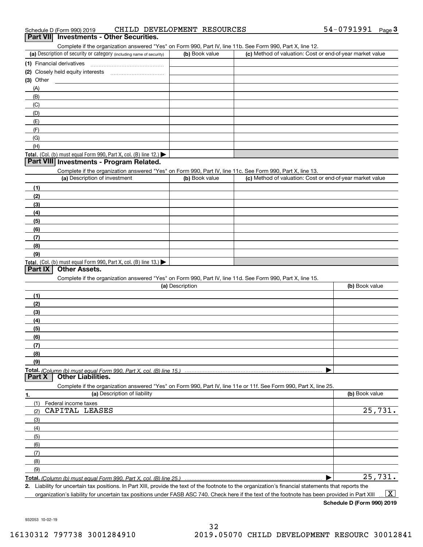|  | Schedule D (Form 990) 2019 |  | CHILD DEVELOPMENT RESOURCES |  | 54-0791991 | Page |  |
|--|----------------------------|--|-----------------------------|--|------------|------|--|
|--|----------------------------|--|-----------------------------|--|------------|------|--|

#### **Part VII Investments - Other Securities.**

Complete if the organization answered "Yes" on Form 990, Part IV, line 11b. See Form 990, Part X, line 12.

| (a) Description of security or category (including name of security)       | (b) Book value | (c) Method of valuation: Cost or end-of-year market value |
|----------------------------------------------------------------------------|----------------|-----------------------------------------------------------|
| (1) Financial derivatives                                                  |                |                                                           |
| (2) Closely held equity interests                                          |                |                                                           |
| $(3)$ Other                                                                |                |                                                           |
| (A)                                                                        |                |                                                           |
| (B)                                                                        |                |                                                           |
| (C)                                                                        |                |                                                           |
| (D)                                                                        |                |                                                           |
| (E)                                                                        |                |                                                           |
| (F)                                                                        |                |                                                           |
| (G)                                                                        |                |                                                           |
| (H)                                                                        |                |                                                           |
| <b>Total.</b> (Col. (b) must equal Form 990, Part X, col. (B) line $12$ .) |                |                                                           |

#### **Part VIII Investments - Program Related.**

Complete if the organization answered "Yes" on Form 990, Part IV, line 11c. See Form 990, Part X, line 13.

| (a) Description of investment                                       | (b) Book value | (c) Method of valuation: Cost or end-of-year market value |
|---------------------------------------------------------------------|----------------|-----------------------------------------------------------|
| (1)                                                                 |                |                                                           |
| (2)                                                                 |                |                                                           |
| $\frac{1}{2}$                                                       |                |                                                           |
| (4)                                                                 |                |                                                           |
| $\left(5\right)$                                                    |                |                                                           |
| (6)                                                                 |                |                                                           |
| (7)                                                                 |                |                                                           |
| (8)                                                                 |                |                                                           |
| (9)                                                                 |                |                                                           |
| Total. (Col. (b) must equal Form 990, Part X, col. (B) line $13.$ ) |                |                                                           |

#### **Part IX Other Assets.**

Complete if the organization answered "Yes" on Form 990, Part IV, line 11d. See Form 990, Part X, line 15.

| (a) Description | (b) Book value |
|-----------------|----------------|
| (1)             |                |
| (2)             |                |
| (3)             |                |
| (4)             |                |
| (5)             |                |
| (6)             |                |
|                 |                |
| (8)             |                |
| (9)             |                |
|                 |                |
|                 |                |

**1.(a)** Description of liability **Book value** Book value Book value Book value Book value **Total.**  *(Column (b) must equal Form 990, Part X, col. (B) line 25.)* Complete if the organization answered "Yes" on Form 990, Part IV, line 11e or 11f. See Form 990, Part X, line 25. (1)Federal income taxes (2)(3)(4)(5) (6)(7)(8)(9) $\blacktriangleright$ CAPITAL LEASES 25,731. 25,731.

**2.**Liability for uncertain tax positions. In Part XIII, provide the text of the footnote to the organization's financial statements that reports the organization's liability for uncertain tax positions under FASB ASC 740. Check here if the text of the footnote has been provided in Part XIII  $\boxed{\text{X}}$ 

**Schedule D (Form 990) 2019**

932053 10-02-19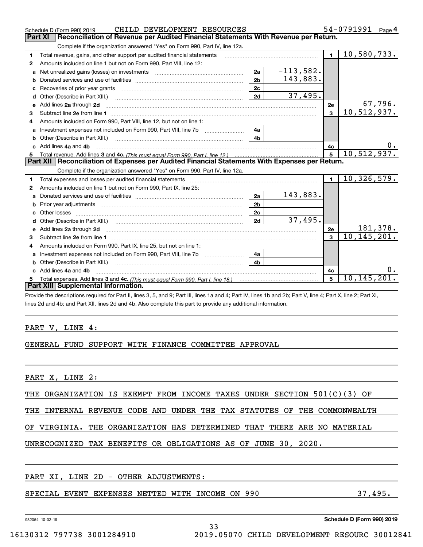|   | CHILD DEVELOPMENT RESOURCES<br>Schedule D (Form 990) 2019                                                                                                                                                                           |                |             |                         | 54-0791991<br>Page $4$ |
|---|-------------------------------------------------------------------------------------------------------------------------------------------------------------------------------------------------------------------------------------|----------------|-------------|-------------------------|------------------------|
|   | <b>Part XI</b><br>Reconciliation of Revenue per Audited Financial Statements With Revenue per Return.                                                                                                                               |                |             |                         |                        |
|   | Complete if the organization answered "Yes" on Form 990, Part IV, line 12a.                                                                                                                                                         |                |             |                         |                        |
| 1 | Total revenue, gains, and other support per audited financial statements                                                                                                                                                            |                |             | $\blacksquare$          | 10,580,733.            |
| 2 | Amounts included on line 1 but not on Form 990, Part VIII, line 12:                                                                                                                                                                 |                |             |                         |                        |
| a | Net unrealized gains (losses) on investments [11] matter contracts and the unrealized gains (losses) on investments                                                                                                                 | 2a             | $-113,582.$ |                         |                        |
| b |                                                                                                                                                                                                                                     | 2 <sub>b</sub> | 143,883.    |                         |                        |
|   |                                                                                                                                                                                                                                     | 2c             |             |                         |                        |
| d | Other (Describe in Part XIII.) <b>Construction Contract Construction</b> [                                                                                                                                                          | 2d             | 37,495.     |                         |                        |
| е | Add lines 2a through 2d                                                                                                                                                                                                             |                |             | <b>2e</b>               | 67,796.                |
| 3 |                                                                                                                                                                                                                                     |                |             | $\overline{\mathbf{3}}$ | 10,512,937.            |
| 4 | Amounts included on Form 990, Part VIII, line 12, but not on line 1:                                                                                                                                                                |                |             |                         |                        |
| a | Investment expenses not included on Form 990, Part VIII, line 7b [100] [100] [100] [100] [100] [100] [100] [10                                                                                                                      | 4a             |             |                         |                        |
|   | Other (Describe in Part XIII.) <b>Construction Contract Construction</b> Chemical Construction Chemical Chemical Chemical Chemical Chemical Chemical Chemical Chemical Chemical Chemical Chemical Chemical Chemical Chemical Chemic | 4 <sub>b</sub> |             |                         |                        |
|   | c Add lines 4a and 4b                                                                                                                                                                                                               | 4c             |             |                         |                        |
|   |                                                                                                                                                                                                                                     |                |             |                         |                        |
|   |                                                                                                                                                                                                                                     |                |             | $\overline{5}$          | 10, 512, 937.          |
|   | Part XII   Reconciliation of Expenses per Audited Financial Statements With Expenses per Return.                                                                                                                                    |                |             |                         |                        |
|   | Complete if the organization answered "Yes" on Form 990, Part IV, line 12a.                                                                                                                                                         |                |             |                         |                        |
| 1 | Total expenses and losses per audited financial statements                                                                                                                                                                          |                |             | $\blacksquare$          | 10, 326, 579.          |
| 2 | Amounts included on line 1 but not on Form 990, Part IX, line 25:                                                                                                                                                                   |                |             |                         |                        |
| a |                                                                                                                                                                                                                                     | 2a             | 143,883.    |                         |                        |
| b |                                                                                                                                                                                                                                     | 2 <sub>b</sub> |             |                         |                        |
|   |                                                                                                                                                                                                                                     | 2c             |             |                         |                        |
| d |                                                                                                                                                                                                                                     | 2d             | 37,495.     |                         |                        |
| е | Add lines 2a through 2d                                                                                                                                                                                                             |                |             | 2e                      | 181,378.               |
| з |                                                                                                                                                                                                                                     |                |             | $\overline{3}$          | 10, 145, 201.          |
| 4 | Amounts included on Form 990, Part IX, line 25, but not on line 1:                                                                                                                                                                  |                |             |                         |                        |
| a | Investment expenses not included on Form 990, Part VIII, line 7b [1000000000000000000000000000000000                                                                                                                                | 4a             |             |                         |                        |
|   | Other (Describe in Part XIII.)                                                                                                                                                                                                      | 4 <sub>b</sub> |             |                         |                        |
|   | c Add lines 4a and 4b                                                                                                                                                                                                               |                |             | 4c                      |                        |
|   |                                                                                                                                                                                                                                     |                |             | 5                       | 10, 145, 201.          |
|   | Part XIII Supplemental Information.                                                                                                                                                                                                 |                |             |                         |                        |

Provide the descriptions required for Part II, lines 3, 5, and 9; Part III, lines 1a and 4; Part IV, lines 1b and 2b; Part V, line 4; Part X, line 2; Part XI, lines 2d and 4b; and Part XII, lines 2d and 4b. Also complete this part to provide any additional information.

#### PART V, LINE 4:

### GENERAL FUND SUPPORT WITH FINANCE COMMITTEE APPROVAL

PART X, LINE 2:

THE ORGANIZATION IS EXEMPT FROM INCOME TAXES UNDER SECTION 501(C)(3) OF

THE INTERNAL REVENUE CODE AND UNDER THE TAX STATUTES OF THE COMMONWEALTH

OF VIRGINIA. THE ORGANIZATION HAS DETERMINED THAT THERE ARE NO MATERIAL

33

## UNRECOGNIZED TAX BENEFITS OR OBLIGATIONS AS OF JUNE 30, 2020.

### PART XI, LINE 2D - OTHER ADJUSTMENTS:

### SPECIAL EVENT EXPENSES NETTED WITH INCOME ON 990 37,495.

932054 10-02-19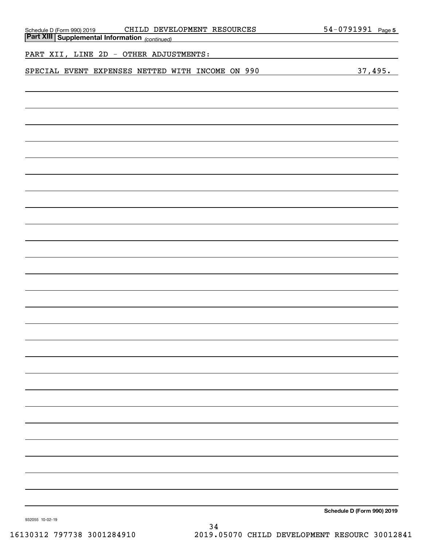| CHILD DEVELOPMENT RESOURCES<br>Schedule D (Form 990) 2019 CHILD DEVE!<br>Part XIII Supplemental Information (continued) | 54-0791991 Page 5          |
|-------------------------------------------------------------------------------------------------------------------------|----------------------------|
| the control of the control of the control of the control of the control of<br>PART XII, LINE 2D - OTHER ADJUSTMENTS:    |                            |
| SPECIAL EVENT EXPENSES NETTED WITH INCOME ON 990                                                                        | 37,495.                    |
|                                                                                                                         |                            |
|                                                                                                                         |                            |
|                                                                                                                         |                            |
|                                                                                                                         |                            |
|                                                                                                                         |                            |
|                                                                                                                         |                            |
|                                                                                                                         |                            |
|                                                                                                                         |                            |
|                                                                                                                         |                            |
|                                                                                                                         |                            |
|                                                                                                                         |                            |
|                                                                                                                         |                            |
|                                                                                                                         |                            |
|                                                                                                                         |                            |
|                                                                                                                         |                            |
|                                                                                                                         |                            |
|                                                                                                                         |                            |
|                                                                                                                         |                            |
|                                                                                                                         |                            |
|                                                                                                                         |                            |
|                                                                                                                         |                            |
|                                                                                                                         |                            |
|                                                                                                                         |                            |
|                                                                                                                         |                            |
|                                                                                                                         | Schedule D (Form 990) 2019 |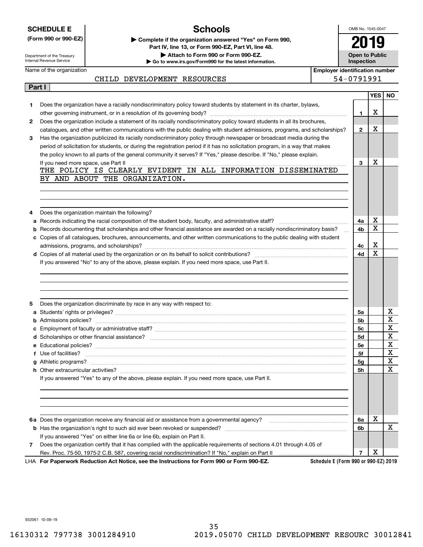|  |  | <b>SCHEDULE E</b> |  |
|--|--|-------------------|--|
|  |  |                   |  |

Name of the organization

## **Schools**

OMB No. 1545-0047 **2019**

**Open to Public Inspection**

> $\overline{\phantom{a}}$  $\overline{a}$

Department of the Treasury Internal Revenue Service

**(Form 990 or 990-EZ) | Complete if the organization answered "Yes" on Form 990, Part IV, line 13, or Form 990-EZ, Part VI, line 48. | Attach to Form 990 or Form 990-EZ.**

**| Go to www.irs.gov/Form990 for the latest information.**

**Employer identification number** CHILD DEVELOPMENT RESOURCES 54-0791991

|   | Part I                                                                                                                                                                                                                                                                                                |              |                  |     |
|---|-------------------------------------------------------------------------------------------------------------------------------------------------------------------------------------------------------------------------------------------------------------------------------------------------------|--------------|------------------|-----|
|   |                                                                                                                                                                                                                                                                                                       |              | YES <sup>I</sup> | NO. |
| 1 | Does the organization have a racially nondiscriminatory policy toward students by statement in its charter, bylaws,                                                                                                                                                                                   |              |                  |     |
|   |                                                                                                                                                                                                                                                                                                       | 1            | х                |     |
| 2 | Does the organization include a statement of its racially nondiscriminatory policy toward students in all its brochures,                                                                                                                                                                              |              | х                |     |
|   | catalogues, and other written communications with the public dealing with student admissions, programs, and scholarships?                                                                                                                                                                             | $\mathbf{2}$ |                  |     |
| З | Has the organization publicized its racially nondiscriminatory policy through newspaper or broadcast media during the                                                                                                                                                                                 |              |                  |     |
|   | period of solicitation for students, or during the registration period if it has no solicitation program, in a way that makes<br>the policy known to all parts of the general community it serves? If "Yes," please describe. If "No," please explain.                                                |              |                  |     |
|   | If you need more space, use Part II                                                                                                                                                                                                                                                                   | 3            | х                |     |
|   | <u> 1999 - Johann Harry Harry Harry Harry Harry Harry Harry Harry Harry Harry Harry Harry Harry Harry Harry Harry Harry Harry Harry Harry Harry Harry Harry Harry Harry Harry Harry Harry Harry Harry Harry Harry Harry Harry Ha</u><br>THE POLICY IS CLEARLY EVIDENT IN ALL INFORMATION DISSEMINATED |              |                  |     |
|   | BY AND ABOUT THE ORGANIZATION.                                                                                                                                                                                                                                                                        |              |                  |     |
|   |                                                                                                                                                                                                                                                                                                       |              |                  |     |
|   |                                                                                                                                                                                                                                                                                                       |              |                  |     |
|   |                                                                                                                                                                                                                                                                                                       |              |                  |     |
| 4 | Does the organization maintain the following?                                                                                                                                                                                                                                                         |              |                  |     |
|   |                                                                                                                                                                                                                                                                                                       | 4a           | х                |     |
|   | <b>b</b> Records documenting that scholarships and other financial assistance are awarded on a racially nondiscriminatory basis?                                                                                                                                                                      | 4b           | х                |     |
|   | c Copies of all catalogues, brochures, announcements, and other written communications to the public dealing with student                                                                                                                                                                             |              |                  |     |
|   |                                                                                                                                                                                                                                                                                                       | 4с           | х                |     |
|   |                                                                                                                                                                                                                                                                                                       |              | X                |     |
|   |                                                                                                                                                                                                                                                                                                       | 4d           |                  |     |
|   | If you answered "No" to any of the above, please explain. If you need more space, use Part II.                                                                                                                                                                                                        |              |                  |     |
| 5 | Does the organization discriminate by race in any way with respect to:                                                                                                                                                                                                                                |              |                  |     |
|   |                                                                                                                                                                                                                                                                                                       | 5a           |                  | х   |
| b |                                                                                                                                                                                                                                                                                                       | 5b           |                  | X   |
| c |                                                                                                                                                                                                                                                                                                       | 5c           |                  | X   |
|   |                                                                                                                                                                                                                                                                                                       | <b>5d</b>    |                  | X   |
|   |                                                                                                                                                                                                                                                                                                       | 5e           |                  | X   |
|   |                                                                                                                                                                                                                                                                                                       | 5f           |                  | X   |
|   |                                                                                                                                                                                                                                                                                                       | 5g           |                  | X   |
|   |                                                                                                                                                                                                                                                                                                       | 5h           |                  | х   |
|   | If you answered "Yes" to any of the above, please explain. If you need more space, use Part II.                                                                                                                                                                                                       |              |                  |     |
|   | 6a Does the organization receive any financial aid or assistance from a governmental agency? manufactured and the organization receive any financial distance from a governmental agency?                                                                                                             | 6a           | х                |     |
|   |                                                                                                                                                                                                                                                                                                       | 6b           |                  | х   |
|   | If you answered "Yes" on either line 6a or line 6b, explain on Part II.                                                                                                                                                                                                                               |              |                  |     |
| 7 | Does the organization certify that it has complied with the applicable requirements of sections 4.01 through 4.05 of<br>Rev. Proc. 75-50, 1975-2 C.B. 587, covering racial nondiscrimination? If "No," explain on Part II                                                                             |              | X                |     |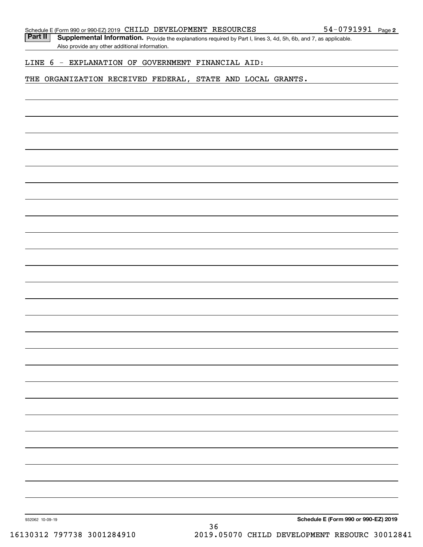Part II | Supplemental Information. Provide the explanations required by Part I, lines 3, 4d, 5h, 6b, and 7, as applicable. Also provide any other additional information.

#### LINE 6 - EXPLANATION OF GOVERNMENT FINANCIAL AID:

#### THE ORGANIZATION RECEIVED FEDERAL, STATE AND LOCAL GRANTS.

932062 10-09-19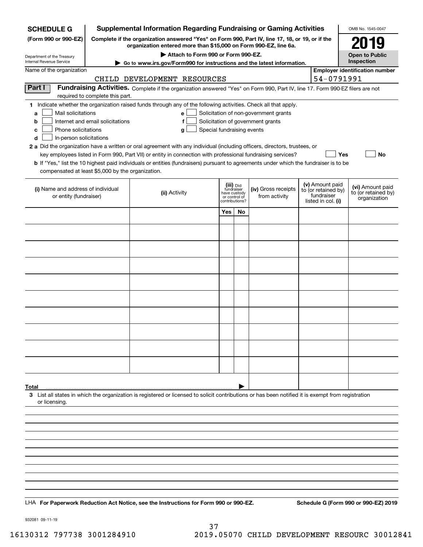| <b>SCHEDULE G</b>                                            | <b>Supplemental Information Regarding Fundraising or Gaming Activities</b><br>OMB No. 1545-0047                                                                     |                                                                                                                                                    |                                                 |    |                                       |  |                                                         |                                       |
|--------------------------------------------------------------|---------------------------------------------------------------------------------------------------------------------------------------------------------------------|----------------------------------------------------------------------------------------------------------------------------------------------------|-------------------------------------------------|----|---------------------------------------|--|---------------------------------------------------------|---------------------------------------|
| (Form 990 or 990-EZ)                                         | Complete if the organization answered "Yes" on Form 990, Part IV, line 17, 18, or 19, or if the<br>organization entered more than \$15,000 on Form 990-EZ, line 6a. |                                                                                                                                                    |                                                 |    |                                       |  |                                                         | 2019                                  |
| Department of the Treasury                                   | Attach to Form 990 or Form 990-EZ.                                                                                                                                  |                                                                                                                                                    |                                                 |    |                                       |  |                                                         | <b>Open to Public</b>                 |
| Internal Revenue Service                                     |                                                                                                                                                                     | Go to www.irs.gov/Form990 for instructions and the latest information.                                                                             |                                                 |    |                                       |  |                                                         | Inspection                            |
| Name of the organization                                     |                                                                                                                                                                     | CHILD DEVELOPMENT RESOURCES                                                                                                                        |                                                 |    |                                       |  | 54-0791991                                              | <b>Employer identification number</b> |
| Part I                                                       |                                                                                                                                                                     | Fundraising Activities. Complete if the organization answered "Yes" on Form 990, Part IV, line 17. Form 990-EZ filers are not                      |                                                 |    |                                       |  |                                                         |                                       |
|                                                              | required to complete this part.                                                                                                                                     | 1 Indicate whether the organization raised funds through any of the following activities. Check all that apply.                                    |                                                 |    |                                       |  |                                                         |                                       |
| Mail solicitations<br>a                                      |                                                                                                                                                                     | e l                                                                                                                                                |                                                 |    | Solicitation of non-government grants |  |                                                         |                                       |
| b                                                            | Internet and email solicitations                                                                                                                                    | f                                                                                                                                                  |                                                 |    | Solicitation of government grants     |  |                                                         |                                       |
| Phone solicitations<br>с                                     |                                                                                                                                                                     | Special fundraising events<br>g                                                                                                                    |                                                 |    |                                       |  |                                                         |                                       |
| d<br>In-person solicitations                                 |                                                                                                                                                                     | 2 a Did the organization have a written or oral agreement with any individual (including officers, directors, trustees, or                         |                                                 |    |                                       |  |                                                         |                                       |
|                                                              |                                                                                                                                                                     | key employees listed in Form 990, Part VII) or entity in connection with professional fundraising services?                                        |                                                 |    |                                       |  | Yes                                                     | No                                    |
| compensated at least \$5,000 by the organization.            |                                                                                                                                                                     | <b>b</b> If "Yes," list the 10 highest paid individuals or entities (fundraisers) pursuant to agreements under which the fundraiser is to be       |                                                 |    |                                       |  |                                                         |                                       |
|                                                              |                                                                                                                                                                     |                                                                                                                                                    | (iii) Did<br>fundraiser                         |    |                                       |  | (v) Amount paid                                         | (vi) Amount paid                      |
| (i) Name and address of individual<br>or entity (fundraiser) |                                                                                                                                                                     | (ii) Activity                                                                                                                                      | have custody<br>or control of<br>contributions? |    | (iv) Gross receipts<br>from activity  |  | to (or retained by)<br>fundraiser<br>listed in col. (i) | to (or retained by)<br>organization   |
|                                                              |                                                                                                                                                                     |                                                                                                                                                    | Yes                                             | No |                                       |  |                                                         |                                       |
|                                                              |                                                                                                                                                                     |                                                                                                                                                    |                                                 |    |                                       |  |                                                         |                                       |
|                                                              |                                                                                                                                                                     |                                                                                                                                                    |                                                 |    |                                       |  |                                                         |                                       |
|                                                              |                                                                                                                                                                     |                                                                                                                                                    |                                                 |    |                                       |  |                                                         |                                       |
|                                                              |                                                                                                                                                                     |                                                                                                                                                    |                                                 |    |                                       |  |                                                         |                                       |
|                                                              |                                                                                                                                                                     |                                                                                                                                                    |                                                 |    |                                       |  |                                                         |                                       |
|                                                              |                                                                                                                                                                     |                                                                                                                                                    |                                                 |    |                                       |  |                                                         |                                       |
|                                                              |                                                                                                                                                                     |                                                                                                                                                    |                                                 |    |                                       |  |                                                         |                                       |
|                                                              |                                                                                                                                                                     |                                                                                                                                                    |                                                 |    |                                       |  |                                                         |                                       |
|                                                              |                                                                                                                                                                     |                                                                                                                                                    |                                                 |    |                                       |  |                                                         |                                       |
|                                                              |                                                                                                                                                                     |                                                                                                                                                    |                                                 |    |                                       |  |                                                         |                                       |
|                                                              |                                                                                                                                                                     |                                                                                                                                                    |                                                 |    |                                       |  |                                                         |                                       |
|                                                              |                                                                                                                                                                     |                                                                                                                                                    |                                                 |    |                                       |  |                                                         |                                       |
| Total                                                        |                                                                                                                                                                     | 3 List all states in which the organization is registered or licensed to solicit contributions or has been notified it is exempt from registration |                                                 |    |                                       |  |                                                         |                                       |
| or licensing.                                                |                                                                                                                                                                     |                                                                                                                                                    |                                                 |    |                                       |  |                                                         |                                       |
|                                                              |                                                                                                                                                                     |                                                                                                                                                    |                                                 |    |                                       |  |                                                         |                                       |
|                                                              |                                                                                                                                                                     |                                                                                                                                                    |                                                 |    |                                       |  |                                                         |                                       |
|                                                              |                                                                                                                                                                     |                                                                                                                                                    |                                                 |    |                                       |  |                                                         |                                       |
|                                                              |                                                                                                                                                                     |                                                                                                                                                    |                                                 |    |                                       |  |                                                         |                                       |
|                                                              |                                                                                                                                                                     |                                                                                                                                                    |                                                 |    |                                       |  |                                                         |                                       |
|                                                              |                                                                                                                                                                     |                                                                                                                                                    |                                                 |    |                                       |  |                                                         |                                       |
|                                                              |                                                                                                                                                                     | LHA For Paperwork Reduction Act Notice, see the Instructions for Form 990 or 990-EZ.                                                               |                                                 |    |                                       |  |                                                         | Schedule G (Form 990 or 990-EZ) 2019  |
|                                                              |                                                                                                                                                                     |                                                                                                                                                    |                                                 |    |                                       |  |                                                         |                                       |

932081 09-11-19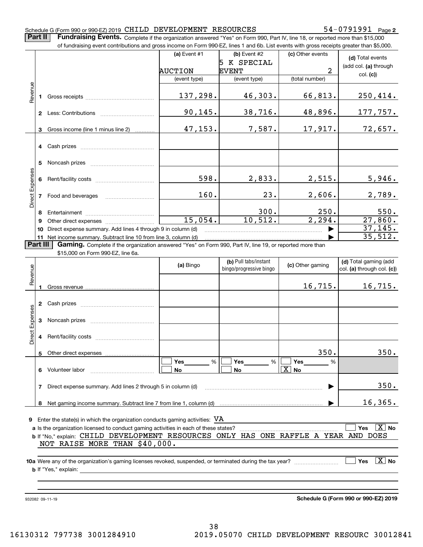#### Schedule G (Form 990 or 990-EZ) 2019 Page CHILD DEVELOPMENT RESOURCES 54-0791991

**2**

**Part II** | Fundraising Events. Complete if the organization answered "Yes" on Form 990, Part IV, line 18, or reported more than \$15,000

|                 |                | of fundraising event contributions and gross income on Form 990-EZ, lines 1 and 6b. List events with gross receipts greater than \$5,000. |                |                         |                   |                              |
|-----------------|----------------|-------------------------------------------------------------------------------------------------------------------------------------------|----------------|-------------------------|-------------------|------------------------------|
|                 |                |                                                                                                                                           | (a) Event #1   | (b) Event #2            | (c) Other events  | (d) Total events             |
|                 |                |                                                                                                                                           |                | 5 K SPECIAL             |                   | (add col. (a) through        |
|                 |                |                                                                                                                                           | <b>AUCTION</b> | <b>EVENT</b>            | 2                 | col. (c)                     |
|                 |                |                                                                                                                                           | (event type)   | (event type)            | (total number)    |                              |
| Revenue         |                |                                                                                                                                           |                |                         |                   |                              |
|                 |                |                                                                                                                                           | 137,298.       | 46,303.                 | 66,813.           | 250, 414.                    |
|                 |                |                                                                                                                                           |                |                         |                   |                              |
|                 |                |                                                                                                                                           | 90, 145.       | 38,716.                 | 48,896.           | 177,757.                     |
|                 |                |                                                                                                                                           |                |                         |                   |                              |
|                 | 3              | Gross income (line 1 minus line 2)                                                                                                        | 47,153.        | 7,587.                  | 17,917.           | 72,657.                      |
|                 |                |                                                                                                                                           |                |                         |                   |                              |
|                 |                |                                                                                                                                           |                |                         |                   |                              |
|                 |                |                                                                                                                                           |                |                         |                   |                              |
|                 | 5              |                                                                                                                                           |                |                         |                   |                              |
|                 |                |                                                                                                                                           |                |                         |                   |                              |
|                 |                |                                                                                                                                           | 598.           | 2,833.                  | 2,515.            | 5,946.                       |
| Direct Expenses |                |                                                                                                                                           |                |                         |                   |                              |
|                 |                | 7 Food and beverages                                                                                                                      | 160.           | 23.                     | 2,606.            | 2,789.                       |
|                 |                |                                                                                                                                           |                |                         |                   |                              |
|                 | 8              |                                                                                                                                           |                | 300.                    | 250.              | 550.                         |
|                 | 9              |                                                                                                                                           | 15,054.        | 10,512.                 | 2,294.            | 27,860.                      |
|                 | 10             | Direct expense summary. Add lines 4 through 9 in column (d)                                                                               |                |                         |                   | 37, 145.                     |
|                 |                | 11 Net income summary. Subtract line 10 from line 3, column (d)                                                                           |                |                         |                   | 35,512.                      |
| <b>Part III</b> |                | Gaming. Complete if the organization answered "Yes" on Form 990, Part IV, line 19, or reported more than                                  |                |                         |                   |                              |
|                 |                | \$15,000 on Form 990-EZ, line 6a.                                                                                                         |                |                         |                   |                              |
|                 |                |                                                                                                                                           |                | (b) Pull tabs/instant   |                   | (d) Total gaming (add        |
|                 |                |                                                                                                                                           | (a) Bingo      | bingo/progressive bingo | (c) Other gaming  | col. (a) through col. (c))   |
| Revenue         |                |                                                                                                                                           |                |                         |                   |                              |
|                 |                |                                                                                                                                           |                |                         | 16,715.           | 16,715.                      |
|                 |                |                                                                                                                                           |                |                         |                   |                              |
|                 |                |                                                                                                                                           |                |                         |                   |                              |
|                 |                |                                                                                                                                           |                |                         |                   |                              |
| Expenses        | 3 <sup>1</sup> |                                                                                                                                           |                |                         |                   |                              |
|                 |                |                                                                                                                                           |                |                         |                   |                              |
| Direct <b>H</b> |                |                                                                                                                                           |                |                         |                   |                              |
|                 |                |                                                                                                                                           |                |                         |                   |                              |
|                 |                | 5 Other direct expenses                                                                                                                   |                |                         | 350.              | 350.                         |
|                 |                |                                                                                                                                           | Yes<br>%       | <b>Yes</b><br>%         | Yes<br>%          |                              |
|                 |                | 6 Volunteer labor                                                                                                                         | No             | No                      | $\overline{X}$ No |                              |
|                 |                |                                                                                                                                           |                |                         |                   |                              |
|                 |                | 7 Direct expense summary. Add lines 2 through 5 in column (d)                                                                             |                |                         |                   | 350.                         |
|                 |                |                                                                                                                                           |                |                         |                   |                              |
|                 |                |                                                                                                                                           |                |                         |                   | 16, 365.                     |
|                 |                |                                                                                                                                           |                |                         |                   |                              |
|                 |                | <b>9</b> Enter the state(s) in which the organization conducts gaming activities: $\mathbf{VA}$                                           |                |                         |                   |                              |
|                 |                |                                                                                                                                           |                |                         |                   | $\boxed{\text{X}}$ No<br>Yes |
|                 |                | b If "No," explain: CHILD DEVELOPMENT RESOURCES ONLY HAS ONE RAFFLE A YEAR AND DOES                                                       |                |                         |                   |                              |
|                 |                | NOT RAISE MORE THAN \$40,000.                                                                                                             |                |                         |                   |                              |
|                 |                |                                                                                                                                           |                |                         |                   |                              |
|                 |                |                                                                                                                                           |                |                         |                   | $\boxed{\text{X}}$ No<br>Yes |
|                 |                |                                                                                                                                           |                |                         |                   |                              |
|                 |                |                                                                                                                                           |                |                         |                   |                              |
|                 |                |                                                                                                                                           |                |                         |                   |                              |
|                 |                |                                                                                                                                           |                |                         |                   |                              |

932082 09-11-19

**Schedule G (Form 990 or 990-EZ) 2019**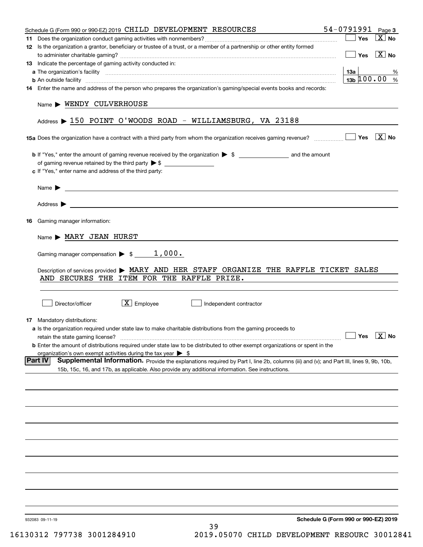|    | Schedule G (Form 990 or 990-EZ) 2019 CHILD DEVELOPMENT RESOURCES                                                                                                                                                    | 54-0791991                                         | Page 3                |
|----|---------------------------------------------------------------------------------------------------------------------------------------------------------------------------------------------------------------------|----------------------------------------------------|-----------------------|
|    |                                                                                                                                                                                                                     | Yes                                                | $\overline{X}$ No     |
|    | 12 Is the organization a grantor, beneficiary or trustee of a trust, or a member of a partnership or other entity formed                                                                                            |                                                    |                       |
|    |                                                                                                                                                                                                                     | Yes                                                | $\vert X \vert$ No    |
|    | 13 Indicate the percentage of gaming activity conducted in:                                                                                                                                                         |                                                    |                       |
|    |                                                                                                                                                                                                                     | 13а                                                | ℅                     |
|    | <b>b</b> An outside facility <i>www.communically.communically.communically.communically.communically.communically.communically.communically.com</i>                                                                 | $13b \ 100.00$ %                                   |                       |
|    | 14 Enter the name and address of the person who prepares the organization's gaming/special events books and records:                                                                                                |                                                    |                       |
|    | Name > WENDY CULVERHOUSE                                                                                                                                                                                            |                                                    |                       |
|    | Address $\triangleright$ 150 POINT O'WOODS ROAD - WILLIAMSBURG, VA 23188                                                                                                                                            |                                                    |                       |
|    | 15a Does the organization have a contract with a third party from whom the organization receives gaming revenue?                                                                                                    | Yes                                                | $\boxed{\text{X}}$ No |
|    |                                                                                                                                                                                                                     |                                                    |                       |
|    | of gaming revenue retained by the third party $\triangleright$ \$                                                                                                                                                   |                                                    |                       |
|    | c If "Yes," enter name and address of the third party:                                                                                                                                                              |                                                    |                       |
|    |                                                                                                                                                                                                                     |                                                    |                       |
|    | <u> 1989 - Johann Barbara, martin amerikan basal dan berasal dan berasal dalam basal dan berasal dalam berasal da</u><br>Name $\blacktriangleright$                                                                 |                                                    |                       |
|    |                                                                                                                                                                                                                     |                                                    |                       |
| 16 | Gaming manager information:                                                                                                                                                                                         |                                                    |                       |
|    |                                                                                                                                                                                                                     |                                                    |                       |
|    | Name > MARY JEAN HURST                                                                                                                                                                                              |                                                    |                       |
|    | Gaming manager compensation $\triangleright$ \$ _______1,000.                                                                                                                                                       |                                                    |                       |
|    | Description of services provided > MARY AND HER STAFF ORGANIZE THE RAFFLE TICKET SALES                                                                                                                              |                                                    |                       |
|    | AND SECURES THE ITEM FOR THE RAFFLE PRIZE.                                                                                                                                                                          |                                                    |                       |
|    |                                                                                                                                                                                                                     |                                                    |                       |
|    |                                                                                                                                                                                                                     |                                                    |                       |
|    | $\boxed{\text{X}}$ Employee<br>Director/officer<br>Independent contractor                                                                                                                                           |                                                    |                       |
|    |                                                                                                                                                                                                                     |                                                    |                       |
|    | 17 Mandatory distributions:                                                                                                                                                                                         |                                                    |                       |
|    | a Is the organization required under state law to make charitable distributions from the gaming proceeds to                                                                                                         |                                                    |                       |
|    | retain the state gaming license?                                                                                                                                                                                    | $\boxed{\phantom{1}}$ Yes $\boxed{\phantom{1}}$ No |                       |
|    | <b>b</b> Enter the amount of distributions required under state law to be distributed to other exempt organizations or spent in the<br>organization's own exempt activities during the tax year $\triangleright$ \$ |                                                    |                       |
|    | <b>Part IV</b><br>Supplemental Information. Provide the explanations required by Part I, line 2b, columns (iii) and (v); and Part III, lines 9, 9b, 10b,                                                            |                                                    |                       |
|    | 15b, 15c, 16, and 17b, as applicable. Also provide any additional information. See instructions.                                                                                                                    |                                                    |                       |
|    |                                                                                                                                                                                                                     |                                                    |                       |
|    |                                                                                                                                                                                                                     |                                                    |                       |
|    |                                                                                                                                                                                                                     |                                                    |                       |
|    |                                                                                                                                                                                                                     |                                                    |                       |
|    |                                                                                                                                                                                                                     |                                                    |                       |
|    |                                                                                                                                                                                                                     |                                                    |                       |
|    |                                                                                                                                                                                                                     |                                                    |                       |
|    |                                                                                                                                                                                                                     |                                                    |                       |
|    |                                                                                                                                                                                                                     |                                                    |                       |
|    |                                                                                                                                                                                                                     |                                                    |                       |
|    |                                                                                                                                                                                                                     |                                                    |                       |
|    |                                                                                                                                                                                                                     |                                                    |                       |
|    |                                                                                                                                                                                                                     |                                                    |                       |
|    |                                                                                                                                                                                                                     |                                                    |                       |
|    | 932083 09-11-19<br>39                                                                                                                                                                                               | Schedule G (Form 990 or 990-EZ) 2019               |                       |
|    |                                                                                                                                                                                                                     |                                                    |                       |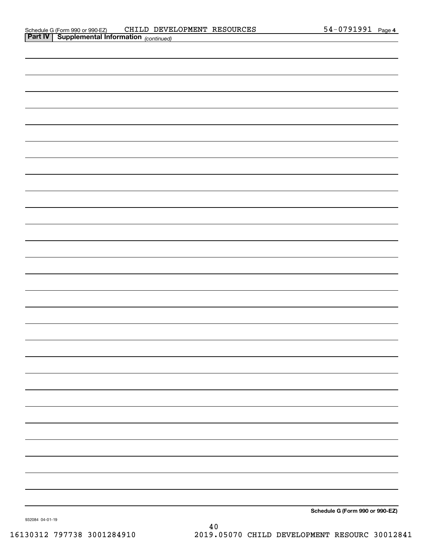| <b>Part IV   Supplemental Information (continued)</b> |                                 |
|-------------------------------------------------------|---------------------------------|
|                                                       |                                 |
|                                                       |                                 |
|                                                       |                                 |
|                                                       |                                 |
|                                                       |                                 |
|                                                       |                                 |
|                                                       |                                 |
|                                                       |                                 |
|                                                       |                                 |
|                                                       |                                 |
|                                                       |                                 |
|                                                       |                                 |
|                                                       |                                 |
|                                                       |                                 |
|                                                       |                                 |
|                                                       |                                 |
|                                                       |                                 |
|                                                       |                                 |
|                                                       |                                 |
|                                                       |                                 |
|                                                       |                                 |
|                                                       |                                 |
|                                                       |                                 |
|                                                       |                                 |
|                                                       |                                 |
|                                                       |                                 |
|                                                       |                                 |
|                                                       |                                 |
|                                                       | Schedule G (Form 990 or 990-EZ) |

932084 04-01-19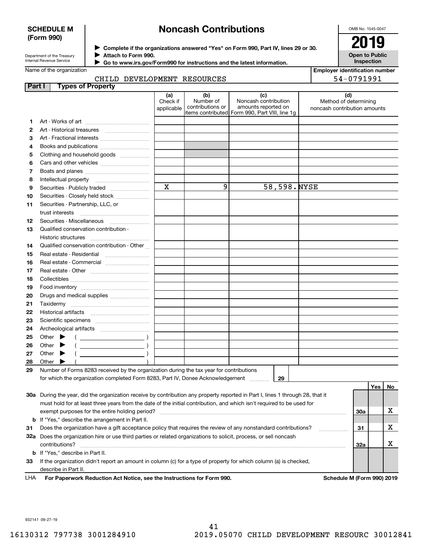#### **SCHEDULE M (Form 990)**

## **Noncash Contributions**

OMB No. 1545-0047

**Open to Public Inspection**

| Department of the Treasury |
|----------------------------|
| Internal Revenue Service   |

**Complete if the organizations answered "Yes" on Form 990, Part IV, lines 29 or 30.** <sup>J</sup>**2019 Attach to Form 990.** J

 **Go to www.irs.gov/Form990 for instructions and the latest information.** J

Name of the organization

| <b>Employer identification number</b> |
|---------------------------------------|
| 54-0791991                            |

#### CHILD DEVELOPMENT RESOURCES

| Part I | <b>Types of Property</b>                                                                                                       |                               |                                      |                                                                                                      |                                                              |     |    |
|--------|--------------------------------------------------------------------------------------------------------------------------------|-------------------------------|--------------------------------------|------------------------------------------------------------------------------------------------------|--------------------------------------------------------------|-----|----|
|        |                                                                                                                                | (a)<br>Check if<br>applicable | (b)<br>Number of<br>contributions or | (c)<br>Noncash contribution<br>amounts reported on<br>items contributed Form 990, Part VIII, line 1g | (d)<br>Method of determining<br>noncash contribution amounts |     |    |
| 1      |                                                                                                                                |                               |                                      |                                                                                                      |                                                              |     |    |
| 2      | Art - Historical treasures                                                                                                     |                               |                                      |                                                                                                      |                                                              |     |    |
| 3      | Art - Fractional interests                                                                                                     |                               |                                      |                                                                                                      |                                                              |     |    |
| 4      |                                                                                                                                |                               |                                      |                                                                                                      |                                                              |     |    |
| 5      | Clothing and household goods                                                                                                   |                               |                                      |                                                                                                      |                                                              |     |    |
| 6      |                                                                                                                                |                               |                                      |                                                                                                      |                                                              |     |    |
| 7      |                                                                                                                                |                               |                                      |                                                                                                      |                                                              |     |    |
| 8      | Intellectual property                                                                                                          |                               |                                      |                                                                                                      |                                                              |     |    |
| 9      | Securities - Publicly traded                                                                                                   | $\mathbf x$                   | 9                                    | 58,598.NYSE                                                                                          |                                                              |     |    |
| 10     | Securities - Closely held stock                                                                                                |                               |                                      |                                                                                                      |                                                              |     |    |
| 11     | Securities - Partnership, LLC, or                                                                                              |                               |                                      |                                                                                                      |                                                              |     |    |
|        | trust interests                                                                                                                |                               |                                      |                                                                                                      |                                                              |     |    |
| 12     |                                                                                                                                |                               |                                      |                                                                                                      |                                                              |     |    |
| 13     | Qualified conservation contribution -                                                                                          |                               |                                      |                                                                                                      |                                                              |     |    |
|        | Historic structures                                                                                                            |                               |                                      |                                                                                                      |                                                              |     |    |
| 14     | Qualified conservation contribution - Other                                                                                    |                               |                                      |                                                                                                      |                                                              |     |    |
| 15     | Real estate - Residential                                                                                                      |                               |                                      |                                                                                                      |                                                              |     |    |
| 16     | Real estate - Commercial                                                                                                       |                               |                                      |                                                                                                      |                                                              |     |    |
| 17     |                                                                                                                                |                               |                                      |                                                                                                      |                                                              |     |    |
| 18     |                                                                                                                                |                               |                                      |                                                                                                      |                                                              |     |    |
| 19     |                                                                                                                                |                               |                                      |                                                                                                      |                                                              |     |    |
| 20     | Drugs and medical supplies                                                                                                     |                               |                                      |                                                                                                      |                                                              |     |    |
| 21     |                                                                                                                                |                               |                                      |                                                                                                      |                                                              |     |    |
| 22     |                                                                                                                                |                               |                                      |                                                                                                      |                                                              |     |    |
| 23     |                                                                                                                                |                               |                                      |                                                                                                      |                                                              |     |    |
| 24     |                                                                                                                                |                               |                                      |                                                                                                      |                                                              |     |    |
| 25     | Other<br>$\left(\begin{array}{ccc}\n\end{array}\right)$                                                                        |                               |                                      |                                                                                                      |                                                              |     |    |
| 26     | Other                                                                                                                          |                               |                                      |                                                                                                      |                                                              |     |    |
| 27     | Other                                                                                                                          |                               |                                      |                                                                                                      |                                                              |     |    |
| 28     | Other                                                                                                                          |                               |                                      |                                                                                                      |                                                              |     |    |
| 29     | Number of Forms 8283 received by the organization during the tax year for contributions                                        |                               |                                      |                                                                                                      |                                                              |     |    |
|        | for which the organization completed Form 8283, Part IV, Donee Acknowledgement                                                 |                               |                                      | 29                                                                                                   |                                                              |     |    |
|        |                                                                                                                                |                               |                                      |                                                                                                      |                                                              | Yes | No |
|        | 30a During the year, did the organization receive by contribution any property reported in Part I, lines 1 through 28, that it |                               |                                      |                                                                                                      |                                                              |     |    |
|        | must hold for at least three years from the date of the initial contribution, and which isn't required to be used for          |                               |                                      |                                                                                                      |                                                              |     |    |
|        | exempt purposes for the entire holding period?                                                                                 |                               |                                      |                                                                                                      |                                                              | 30a | х  |
|        | <b>b</b> If "Yes," describe the arrangement in Part II.                                                                        |                               |                                      |                                                                                                      |                                                              |     |    |
| 31     | Does the organization have a gift acceptance policy that requires the review of any nonstandard contributions?                 |                               |                                      |                                                                                                      |                                                              | 31  | х  |
|        | 32a Does the organization hire or use third parties or related organizations to solicit, process, or sell noncash              |                               |                                      |                                                                                                      |                                                              |     |    |
|        | contributions?                                                                                                                 |                               |                                      |                                                                                                      |                                                              | 32a | х  |
|        | <b>b</b> If "Yes," describe in Part II.                                                                                        |                               |                                      |                                                                                                      |                                                              |     |    |
| 33     | If the organization didn't report an amount in column (c) for a type of property for which column (a) is checked,              |                               |                                      |                                                                                                      |                                                              |     |    |
|        | describe in Part II.                                                                                                           |                               |                                      |                                                                                                      |                                                              |     |    |

**For Paperwork Reduction Act Notice, see the Instructions for Form 990. Schedule M (Form 990) 2019** LHA

932141 09-27-19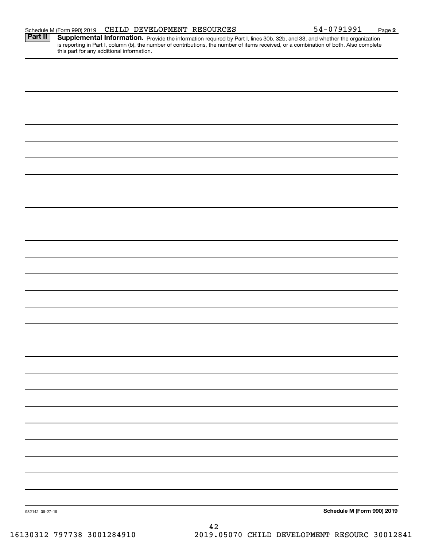| 932142 09-27-19 | Schedule M (Form 990) 2019 |
|-----------------|----------------------------|

Part II | Supplemental Information. Provide the information required by Part I, lines 30b, 32b, and 33, and whether the organization is reporting in Part I, column (b), the number of contributions, the number of items received, or a combination of both. Also complete this part for any additional information.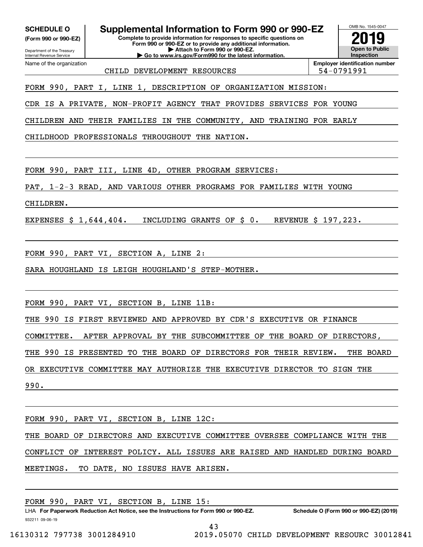**(Form 990 or 990-EZ)**

Department of the Treasury Internal Revenue Service Name of the organization

**SCHEDULE O Supplemental Information to Form 990 or 990-EZ**

**Complete to provide information for responses to specific questions on Form 990 or 990-EZ or to provide any additional information. | Attach to Form 990 or 990-EZ. | Go to www.irs.gov/Form990 for the latest information.**

OMB No. 1545-0047 **Open to Public Inspection2019**

CHILD DEVELOPMENT RESOURCES FOR SALL 54-0791991

**Employer identification number**

FORM 990, PART I, LINE 1, DESCRIPTION OF ORGANIZATION MISSION:

CDR IS A PRIVATE, NON-PROFIT AGENCY THAT PROVIDES SERVICES FOR YOUNG

CHILDREN AND THEIR FAMILIES IN THE COMMUNITY, AND TRAINING FOR EARLY

CHILDHOOD PROFESSIONALS THROUGHOUT THE NATION.

FORM 990, PART III, LINE 4D, OTHER PROGRAM SERVICES:

PAT, 1-2-3 READ, AND VARIOUS OTHER PROGRAMS FOR FAMILIES WITH YOUNG

CHILDREN.

EXPENSES \$ 1,644,404. INCLUDING GRANTS OF \$ 0. REVENUE \$ 197,223.

FORM 990, PART VI, SECTION A, LINE 2:

SARA HOUGHLAND IS LEIGH HOUGHLAND'S STEP-MOTHER.

FORM 990, PART VI, SECTION B, LINE 11B:

THE 990 IS FIRST REVIEWED AND APPROVED BY CDR'S EXECUTIVE OR FINANCE

COMMITTEE. AFTER APPROVAL BY THE SUBCOMMITTEE OF THE BOARD OF DIRECTORS,

THE 990 IS PRESENTED TO THE BOARD OF DIRECTORS FOR THEIR REVIEW. THE BOARD

OR EXECUTIVE COMMITTEE MAY AUTHORIZE THE EXECUTIVE DIRECTOR TO SIGN THE

990.

FORM 990, PART VI, SECTION B, LINE 12C:

THE BOARD OF DIRECTORS AND EXECUTIVE COMMITTEE OVERSEE COMPLIANCE WITH THE CONFLICT OF INTEREST POLICY. ALL ISSUES ARE RAISED AND HANDLED DURING BOARD

MEETINGS. TO DATE, NO ISSUES HAVE ARISEN.

FORM 990, PART VI, SECTION B, LINE 15: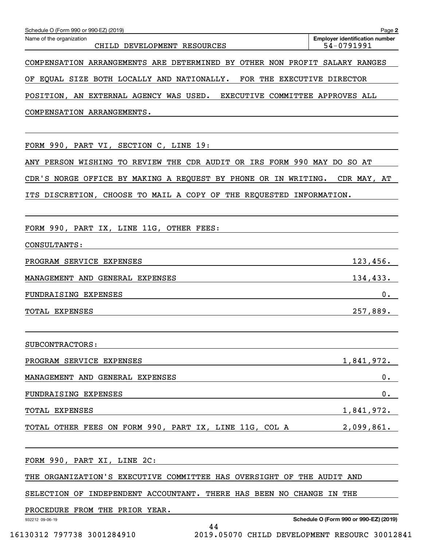| Schedule O (Form 990 or 990-EZ) (2019)                                     | Page 2                                              |
|----------------------------------------------------------------------------|-----------------------------------------------------|
| Name of the organization<br>CHILD DEVELOPMENT RESOURCES                    | <b>Employer identification number</b><br>54-0791991 |
| COMPENSATION ARRANGEMENTS ARE DETERMINED BY OTHER NON PROFIT SALARY RANGES |                                                     |
| OF EQUAL SIZE BOTH LOCALLY AND NATIONALLY.<br>FOR THE EXECUTIVE DIRECTOR   |                                                     |
| POSITION, AN EXTERNAL AGENCY WAS USED. EXECUTIVE COMMITTEE APPROVES ALL    |                                                     |
| COMPENSATION ARRANGEMENTS.                                                 |                                                     |
|                                                                            |                                                     |
| FORM 990, PART VI, SECTION C, LINE 19:                                     |                                                     |
| ANY PERSON WISHING TO REVIEW THE CDR AUDIT OR IRS FORM 990 MAY DO SO AT    |                                                     |
| CDR'S NORGE OFFICE BY MAKING A REQUEST BY PHONE OR IN WRITING.             | CDR MAY, AT                                         |
| ITS DISCRETION, CHOOSE TO MAIL A COPY OF THE REQUESTED INFORMATION.        |                                                     |
|                                                                            |                                                     |
| FORM 990, PART IX, LINE 11G, OTHER FEES:                                   |                                                     |
| CONSULTANTS:                                                               |                                                     |
| PROGRAM SERVICE EXPENSES                                                   | 123,456.                                            |
| MANAGEMENT AND GENERAL EXPENSES                                            | 134,433.                                            |
| FUNDRAISING EXPENSES                                                       | 0.                                                  |
| TOTAL EXPENSES                                                             | 257,889.                                            |
|                                                                            |                                                     |
| SUBCONTRACTORS:                                                            |                                                     |
| PROGRAM SERVICE EXPENSES                                                   | 1,841,972.                                          |
| MANAGEMENT AND GENERAL EXPENSES                                            | 0.                                                  |
| FUNDRAISING EXPENSES                                                       | 0.                                                  |
| TOTAL EXPENSES                                                             | 1,841,972.                                          |
| TOTAL OTHER FEES ON FORM 990, PART IX, LINE 11G, COL A                     | 2,099,861.                                          |
|                                                                            |                                                     |
| FORM 990, PART XI, LINE 2C:                                                |                                                     |
| THE ORGANIZATION'S EXECUTIVE COMMITTEE HAS OVERSIGHT OF THE AUDIT AND      |                                                     |
| SELECTION OF INDEPENDENT ACCOUNTANT. THERE HAS BEEN NO CHANGE IN THE       |                                                     |
| PROCEDURE FROM THE PRIOR YEAR.                                             |                                                     |
| 932212 09-06-19<br>44                                                      | Schedule O (Form 990 or 990-EZ) (2019)              |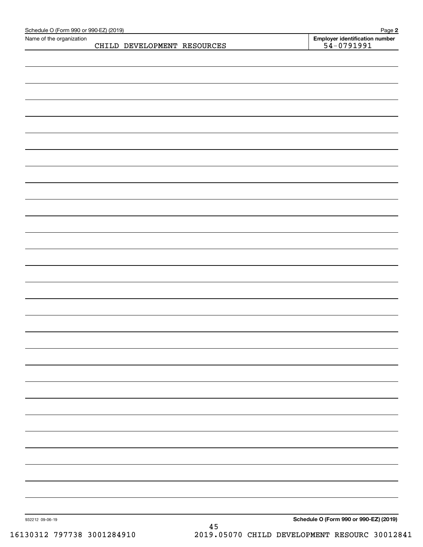| Schedule O (Form 990 or 990-EZ) (2019)<br>Name of the organization |                             |          | Page 2                                         |
|--------------------------------------------------------------------|-----------------------------|----------|------------------------------------------------|
|                                                                    | CHILD DEVELOPMENT RESOURCES |          | Employer identification number<br>$54-0791991$ |
|                                                                    |                             |          |                                                |
|                                                                    |                             |          |                                                |
|                                                                    |                             |          |                                                |
|                                                                    |                             |          |                                                |
|                                                                    |                             |          |                                                |
|                                                                    |                             |          |                                                |
|                                                                    |                             |          |                                                |
|                                                                    |                             |          |                                                |
|                                                                    |                             |          |                                                |
|                                                                    |                             |          |                                                |
|                                                                    |                             |          |                                                |
|                                                                    |                             |          |                                                |
|                                                                    |                             |          |                                                |
|                                                                    |                             |          |                                                |
|                                                                    |                             |          |                                                |
|                                                                    |                             |          |                                                |
|                                                                    |                             |          |                                                |
|                                                                    |                             |          |                                                |
|                                                                    |                             |          |                                                |
|                                                                    |                             |          |                                                |
|                                                                    |                             |          |                                                |
|                                                                    |                             |          |                                                |
|                                                                    |                             |          |                                                |
|                                                                    |                             |          |                                                |
|                                                                    |                             |          |                                                |
|                                                                    |                             |          |                                                |
|                                                                    |                             |          |                                                |
|                                                                    |                             |          |                                                |
|                                                                    |                             |          |                                                |
|                                                                    |                             |          |                                                |
|                                                                    |                             |          |                                                |
|                                                                    |                             |          |                                                |
|                                                                    |                             |          |                                                |
|                                                                    |                             |          |                                                |
|                                                                    |                             |          |                                                |
|                                                                    |                             |          |                                                |
|                                                                    |                             |          |                                                |
|                                                                    |                             |          |                                                |
|                                                                    |                             |          |                                                |
|                                                                    |                             |          |                                                |
|                                                                    |                             |          |                                                |
|                                                                    |                             |          |                                                |
|                                                                    |                             |          |                                                |
|                                                                    |                             |          |                                                |
|                                                                    |                             |          |                                                |
|                                                                    |                             |          |                                                |
|                                                                    |                             |          |                                                |
|                                                                    |                             |          |                                                |
|                                                                    |                             |          |                                                |
| 932212 09-06-19                                                    |                             |          | Schedule O (Form 990 or 990-EZ) (2019)         |
|                                                                    |                             | $\bf 45$ |                                                |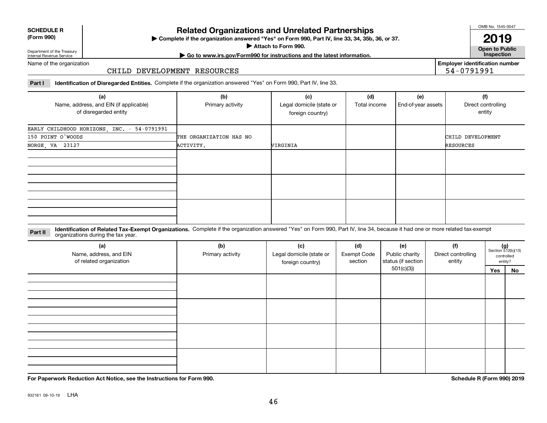| <b>SCHEDULE R</b>                          |  |
|--------------------------------------------|--|
| $\mathbf{r}$ , $\mathbf{r}$ , $\mathbf{r}$ |  |

#### **(Form 990)**

# **Related Organizations and Unrelated Partnerships**

**Complete if the organization answered "Yes" on Form 990, Part IV, line 33, 34, 35b, 36, or 37.** |

**Attach to Form 990.**  |

OMB No. 1545-0047

**Open to Public 2019**

**Employer identification number**

54-0791991

Department of the Treasury Internal Revenue Service

## **| Go to www.irs.gov/Form990 for instructions and the latest information. Inspection**

Name of the organization

#### CHILD DEVELOPMENT RESOURCES

**Part I Identification of Disregarded Entities.**  Complete if the organization answered "Yes" on Form 990, Part IV, line 33.

| (a)<br>Name, address, and EIN (if applicable)<br>of disregarded entity | (b)<br>Primary activity | (c)<br>Legal domicile (state or<br>foreign country) | (d)<br>Total income | (e)<br>End-of-year assets | (f)<br>Direct controlling<br>entity |
|------------------------------------------------------------------------|-------------------------|-----------------------------------------------------|---------------------|---------------------------|-------------------------------------|
| EARLY CHILDHOOD HORIZONS, INC. - 54-0791991                            |                         |                                                     |                     |                           |                                     |
| 150 POINT O'WOODS                                                      | THE ORGANIZATION HAS NO |                                                     |                     |                           | CHILD DEVELOPMENT                   |
| NORGE, VA 23127                                                        | ACTIVITY.               | VIRGINIA                                            |                     |                           | RESOURCES                           |
|                                                                        |                         |                                                     |                     |                           |                                     |
|                                                                        |                         |                                                     |                     |                           |                                     |
|                                                                        |                         |                                                     |                     |                           |                                     |

**Identification of Related Tax-Exempt Organizations.** Complete if the organization answered "Yes" on Form 990, Part IV, line 34, because it had one or more related tax-exempt **Part II** organizations during the tax year.

| (a)<br>Name, address, and EIN<br>of related organization | (b)<br>Primary activity | (c)<br>Legal domicile (state or<br>foreign country) | (d)<br><b>Exempt Code</b><br>section | (e)<br>Public charity<br>status (if section | (f)<br>Direct controlling<br>entity | $(g)$<br>Section 512(b)(13) | controlled<br>entity? |
|----------------------------------------------------------|-------------------------|-----------------------------------------------------|--------------------------------------|---------------------------------------------|-------------------------------------|-----------------------------|-----------------------|
|                                                          |                         |                                                     |                                      | 501(c)(3)                                   |                                     | Yes                         | No                    |
|                                                          |                         |                                                     |                                      |                                             |                                     |                             |                       |
|                                                          |                         |                                                     |                                      |                                             |                                     |                             |                       |
|                                                          |                         |                                                     |                                      |                                             |                                     |                             |                       |

**For Paperwork Reduction Act Notice, see the Instructions for Form 990. Schedule R (Form 990) 2019**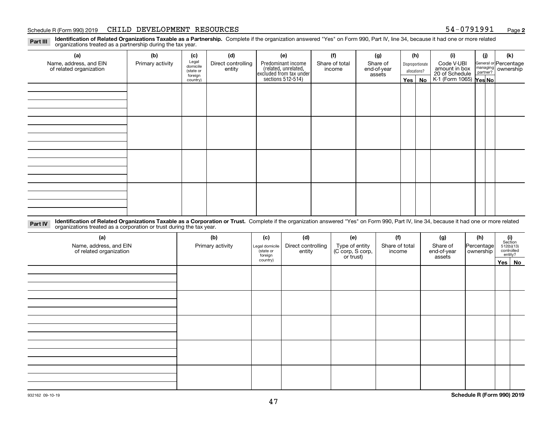#### Schedule R (Form 990) 2019 Page CHILD DEVELOPMENT RESOURCES 54-0791991

**2**

**Identification of Related Organizations Taxable as a Partnership.** Complete if the organization answered "Yes" on Form 990, Part IV, line 34, because it had one or more related **Part III** organizations treated as a partnership during the tax year.

| (a)                     | (b)              | (c)                  | (d)                | (e)                                                                 | (f)            | (g)                   |                  | (h)      | (i)                                               | (i) | (k)                                                     |  |  |  |  |  |  |  |  |  |  |  |  |  |  |  |  |  |  |  |  |  |
|-------------------------|------------------|----------------------|--------------------|---------------------------------------------------------------------|----------------|-----------------------|------------------|----------|---------------------------------------------------|-----|---------------------------------------------------------|--|--|--|--|--|--|--|--|--|--|--|--|--|--|--|--|--|--|--|--|--|
| Name, address, and EIN  | Primary activity | Legal<br>domicile    | Direct controlling | Predominant income                                                  | Share of total | Share of              | Disproportionate |          | Code V-UBI                                        |     | General or Percentage<br>managing ownership<br>partner? |  |  |  |  |  |  |  |  |  |  |  |  |  |  |  |  |  |  |  |  |  |
| of related organization |                  | (state or<br>foreign | entity             | related, unrelated,<br>excluded from tax under<br>sections 512-514) | income         | end-of-year<br>assets | allocations?     |          | amount in box                                     |     |                                                         |  |  |  |  |  |  |  |  |  |  |  |  |  |  |  |  |  |  |  |  |  |
|                         |                  | country)             |                    |                                                                     |                |                       |                  | Yes   No | 20 of Schedule Partner?<br>K-1 (Form 1065) Yes No |     |                                                         |  |  |  |  |  |  |  |  |  |  |  |  |  |  |  |  |  |  |  |  |  |
|                         |                  |                      |                    |                                                                     |                |                       |                  |          |                                                   |     |                                                         |  |  |  |  |  |  |  |  |  |  |  |  |  |  |  |  |  |  |  |  |  |
|                         |                  |                      |                    |                                                                     |                |                       |                  |          |                                                   |     |                                                         |  |  |  |  |  |  |  |  |  |  |  |  |  |  |  |  |  |  |  |  |  |
|                         |                  |                      |                    |                                                                     |                |                       |                  |          |                                                   |     |                                                         |  |  |  |  |  |  |  |  |  |  |  |  |  |  |  |  |  |  |  |  |  |
|                         |                  |                      |                    |                                                                     |                |                       |                  |          |                                                   |     |                                                         |  |  |  |  |  |  |  |  |  |  |  |  |  |  |  |  |  |  |  |  |  |
|                         |                  |                      |                    |                                                                     |                |                       |                  |          |                                                   |     |                                                         |  |  |  |  |  |  |  |  |  |  |  |  |  |  |  |  |  |  |  |  |  |
|                         |                  |                      |                    |                                                                     |                |                       |                  |          |                                                   |     |                                                         |  |  |  |  |  |  |  |  |  |  |  |  |  |  |  |  |  |  |  |  |  |
|                         |                  |                      |                    |                                                                     |                |                       |                  |          |                                                   |     |                                                         |  |  |  |  |  |  |  |  |  |  |  |  |  |  |  |  |  |  |  |  |  |
|                         |                  |                      |                    |                                                                     |                |                       |                  |          |                                                   |     |                                                         |  |  |  |  |  |  |  |  |  |  |  |  |  |  |  |  |  |  |  |  |  |
|                         |                  |                      |                    |                                                                     |                |                       |                  |          |                                                   |     |                                                         |  |  |  |  |  |  |  |  |  |  |  |  |  |  |  |  |  |  |  |  |  |
|                         |                  |                      |                    |                                                                     |                |                       |                  |          |                                                   |     |                                                         |  |  |  |  |  |  |  |  |  |  |  |  |  |  |  |  |  |  |  |  |  |
|                         |                  |                      |                    |                                                                     |                |                       |                  |          |                                                   |     |                                                         |  |  |  |  |  |  |  |  |  |  |  |  |  |  |  |  |  |  |  |  |  |
|                         |                  |                      |                    |                                                                     |                |                       |                  |          |                                                   |     |                                                         |  |  |  |  |  |  |  |  |  |  |  |  |  |  |  |  |  |  |  |  |  |
|                         |                  |                      |                    |                                                                     |                |                       |                  |          |                                                   |     |                                                         |  |  |  |  |  |  |  |  |  |  |  |  |  |  |  |  |  |  |  |  |  |
|                         |                  |                      |                    |                                                                     |                |                       |                  |          |                                                   |     |                                                         |  |  |  |  |  |  |  |  |  |  |  |  |  |  |  |  |  |  |  |  |  |
|                         |                  |                      |                    |                                                                     |                |                       |                  |          |                                                   |     |                                                         |  |  |  |  |  |  |  |  |  |  |  |  |  |  |  |  |  |  |  |  |  |
|                         |                  |                      |                    |                                                                     |                |                       |                  |          |                                                   |     |                                                         |  |  |  |  |  |  |  |  |  |  |  |  |  |  |  |  |  |  |  |  |  |
|                         |                  |                      |                    |                                                                     |                |                       |                  |          |                                                   |     |                                                         |  |  |  |  |  |  |  |  |  |  |  |  |  |  |  |  |  |  |  |  |  |

**Identification of Related Organizations Taxable as a Corporation or Trust.** Complete if the organization answered "Yes" on Form 990, Part IV, line 34, because it had one or more related **Part IV** organizations treated as a corporation or trust during the tax year.

| (a)<br>Name, address, and EIN<br>of related organization | (b)<br>Primary activity | (c)<br>Legal domicile<br>(state or<br>foreign | (d)<br>Direct controlling<br>entity | (e)<br>Type of entity<br>(C corp, S corp,<br>or trust) | (f)<br>Share of total<br>income | (g)<br>Share of<br>end-of-year<br>assets | (h)<br>Percentage<br>ownership | $\begin{array}{c} \textbf{(i)}\\ \text{Section}\\ 512 \text{(b)} \text{(13)}\\ \text{controlled}\end{array}$<br>entity? |  |
|----------------------------------------------------------|-------------------------|-----------------------------------------------|-------------------------------------|--------------------------------------------------------|---------------------------------|------------------------------------------|--------------------------------|-------------------------------------------------------------------------------------------------------------------------|--|
|                                                          |                         | country)                                      |                                     |                                                        |                                 |                                          |                                | Yes No                                                                                                                  |  |
|                                                          |                         |                                               |                                     |                                                        |                                 |                                          |                                |                                                                                                                         |  |
|                                                          |                         |                                               |                                     |                                                        |                                 |                                          |                                |                                                                                                                         |  |
|                                                          |                         |                                               |                                     |                                                        |                                 |                                          |                                |                                                                                                                         |  |
|                                                          |                         |                                               |                                     |                                                        |                                 |                                          |                                |                                                                                                                         |  |
|                                                          |                         |                                               |                                     |                                                        |                                 |                                          |                                |                                                                                                                         |  |
|                                                          |                         |                                               |                                     |                                                        |                                 |                                          |                                |                                                                                                                         |  |
|                                                          |                         |                                               |                                     |                                                        |                                 |                                          |                                |                                                                                                                         |  |
|                                                          |                         |                                               |                                     |                                                        |                                 |                                          |                                |                                                                                                                         |  |
|                                                          |                         |                                               |                                     |                                                        |                                 |                                          |                                |                                                                                                                         |  |
|                                                          |                         |                                               |                                     |                                                        |                                 |                                          |                                |                                                                                                                         |  |
|                                                          |                         |                                               |                                     |                                                        |                                 |                                          |                                |                                                                                                                         |  |
|                                                          |                         |                                               |                                     |                                                        |                                 |                                          |                                |                                                                                                                         |  |
|                                                          |                         |                                               |                                     |                                                        |                                 |                                          |                                |                                                                                                                         |  |
|                                                          |                         |                                               |                                     |                                                        |                                 |                                          |                                |                                                                                                                         |  |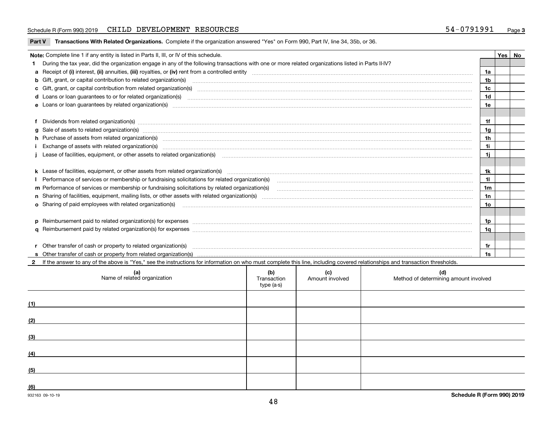#### Schedule R (Form 990) 2019 Page CHILD DEVELOPMENT RESOURCES 54-0791991

|  |  | Part V Transactions With Related Organizations. Complete if the organization answered "Yes" on Form 990, Part IV, line 34, 35b, or 36. |  |  |  |
|--|--|----------------------------------------------------------------------------------------------------------------------------------------|--|--|--|
|--|--|----------------------------------------------------------------------------------------------------------------------------------------|--|--|--|

| Note: Complete line 1 if any entity is listed in Parts II, III, or IV of this schedule.                                                                                                                                                                                                                                                                                                                                                                                                                               |                | Yes   No |
|-----------------------------------------------------------------------------------------------------------------------------------------------------------------------------------------------------------------------------------------------------------------------------------------------------------------------------------------------------------------------------------------------------------------------------------------------------------------------------------------------------------------------|----------------|----------|
| During the tax year, did the organization engage in any of the following transactions with one or more related organizations listed in Parts II-IV?                                                                                                                                                                                                                                                                                                                                                                   |                |          |
|                                                                                                                                                                                                                                                                                                                                                                                                                                                                                                                       | 1a             |          |
| <b>b</b> Gift, grant, or capital contribution to related organization(s)                                                                                                                                                                                                                                                                                                                                                                                                                                              | 1 <sub>b</sub> |          |
| c Gift, grant, or capital contribution from related organization(s) manufaction contribution from related organization(s) manufaction contribution from related organization(s) manufaction manufaction contribution from rela                                                                                                                                                                                                                                                                                        | 1c             |          |
|                                                                                                                                                                                                                                                                                                                                                                                                                                                                                                                       | 1 <sub>d</sub> |          |
|                                                                                                                                                                                                                                                                                                                                                                                                                                                                                                                       | 1e             |          |
|                                                                                                                                                                                                                                                                                                                                                                                                                                                                                                                       |                |          |
|                                                                                                                                                                                                                                                                                                                                                                                                                                                                                                                       | 1f             |          |
| Dividends from related organization(s) manufactured and contract and contract or produced and contract and contract and contract and contract and contract and contract and contract and contract and contract and contract an                                                                                                                                                                                                                                                                                        |                |          |
| g Sale of assets to related organization(s) www.assettion.com/www.assettion.com/www.assettion.com/www.assettion.com/www.assettion.com/www.assettion.com/www.assettion.com/www.assettion.com/www.assettion.com/www.assettion.co                                                                                                                                                                                                                                                                                        | 1g             |          |
| h Purchase of assets from related organization(s) manufactured and content and content and content and content and content and content and content and content and content and content and content and content and content and                                                                                                                                                                                                                                                                                        | 1 <sub>h</sub> |          |
| Exchange of assets with related organization(s) manufactured and content and content and content and content and content and content and content and content and content and content and content and content and content and c                                                                                                                                                                                                                                                                                        | 11             |          |
| Lease of facilities, equipment, or other assets to related organization(s) Chromomeron content in the set of facilities, equipment, or other assets to related organization(s) Chromomeron content in the set of facilities, e                                                                                                                                                                                                                                                                                        | 1j             |          |
|                                                                                                                                                                                                                                                                                                                                                                                                                                                                                                                       |                |          |
|                                                                                                                                                                                                                                                                                                                                                                                                                                                                                                                       | 1k             |          |
|                                                                                                                                                                                                                                                                                                                                                                                                                                                                                                                       | 11             |          |
| m Performance of services or membership or fundraising solicitations by related organization(s)                                                                                                                                                                                                                                                                                                                                                                                                                       | 1 <sub>m</sub> |          |
|                                                                                                                                                                                                                                                                                                                                                                                                                                                                                                                       | 1n             |          |
| <b>o</b> Sharing of paid employees with related organization(s)                                                                                                                                                                                                                                                                                                                                                                                                                                                       | 1o             |          |
|                                                                                                                                                                                                                                                                                                                                                                                                                                                                                                                       |                |          |
| p Reimbursement paid to related organization(s) for expenses [1111] and the content of the content of the content of the content of the content of the content of the content of the content of the content of the content of                                                                                                                                                                                                                                                                                         | 1p             |          |
|                                                                                                                                                                                                                                                                                                                                                                                                                                                                                                                       | 1q             |          |
|                                                                                                                                                                                                                                                                                                                                                                                                                                                                                                                       |                |          |
| Other transfer of cash or property to related organization(s)<br>$\begin{minipage}{0.5\textwidth} \centering \begin{tabular}{ c c c c c } \hline \multicolumn{1}{ c }{\textbf{1}} & \multicolumn{1}{ c }{\textbf{1}} & \multicolumn{1}{ c }{\textbf{1}} & \multicolumn{1}{ c }{\textbf{1}} & \multicolumn{1}{ c }{\textbf{1}} & \multicolumn{1}{ c }{\textbf{1}} & \multicolumn{1}{ c }{\textbf{1}} & \multicolumn{1}{ c }{\textbf{1}} & \multicolumn{1}{ c }{\textbf{1}} & \multicolumn{1}{ c }{\textbf{1}} & \mult$ | 1r             |          |
|                                                                                                                                                                                                                                                                                                                                                                                                                                                                                                                       | 1s             |          |
| If the answer to any of the above is "Yes," see the instructions for information on who must complete this line, including covered relationships and transaction thresholds.                                                                                                                                                                                                                                                                                                                                          |                |          |

| (a)<br>Name of related organization | (b)<br>Transaction<br>type (a-s) | (c)<br>Amount involved | (d)<br>Method of determining amount involved |
|-------------------------------------|----------------------------------|------------------------|----------------------------------------------|
| (1)                                 |                                  |                        |                                              |
| (2)                                 |                                  |                        |                                              |
| (3)                                 |                                  |                        |                                              |
| (4)                                 |                                  |                        |                                              |
| (5)                                 |                                  |                        |                                              |
| (6)<br>932163 09-10-19              |                                  |                        | Schedule R (Form 990) 2019                   |

48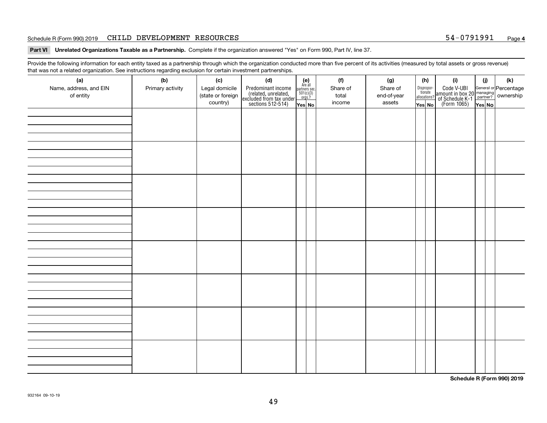#### Schedule R (Form 990) 2019 Page CHILD DEVELOPMENT RESOURCES 54-0791991

**Part VI Unrelated Organizations Taxable as a Partnership. Complete if the organization answered "Yes" on Form 990, Part IV, line 37.** 

Provide the following information for each entity taxed as a partnership through which the organization conducted more than five percent of its activities (measured by total assets or gross revenue) that was not a related organization. See instructions regarding exclusion for certain investment partnerships.

| ັ                      | ັ<br>ັ           |                   |                                                                                            |                                      |          |             |                                       |                                                                                                                                       |        |     |  |  |  |  |  |  |  |  |  |  |  |  |  |  |  |  |
|------------------------|------------------|-------------------|--------------------------------------------------------------------------------------------|--------------------------------------|----------|-------------|---------------------------------------|---------------------------------------------------------------------------------------------------------------------------------------|--------|-----|--|--|--|--|--|--|--|--|--|--|--|--|--|--|--|--|
| (a)                    | (b)              | (c)               | (d)                                                                                        | $(e)$<br>Are all                     | (f)      | (g)         | (h)                                   | (i)                                                                                                                                   | (i)    | (k) |  |  |  |  |  |  |  |  |  |  |  |  |  |  |  |  |
| Name, address, and EIN | Primary activity | Legal domicile    | Predominant income<br>(related, unrelated,<br>excluded from tax under<br>sections 512-514) | partners sec.<br>501(c)(3)<br>orgs.? | Share of | Share of    | Dispropor-<br>tionate<br>allocations? | Code V-UBI<br>  amount in box 20 managing<br>  of Schedule K-1 partner? ownership<br>  of Schedule K-1 partner? ownership<br>  Yes No |        |     |  |  |  |  |  |  |  |  |  |  |  |  |  |  |  |  |
| of entity              |                  | (state or foreign |                                                                                            |                                      | total    | end-of-year |                                       |                                                                                                                                       |        |     |  |  |  |  |  |  |  |  |  |  |  |  |  |  |  |  |
|                        |                  | country)          |                                                                                            | Yes No                               | income   | assets      | Yes No                                |                                                                                                                                       | Yes No |     |  |  |  |  |  |  |  |  |  |  |  |  |  |  |  |  |
|                        |                  |                   |                                                                                            |                                      |          |             |                                       |                                                                                                                                       |        |     |  |  |  |  |  |  |  |  |  |  |  |  |  |  |  |  |
|                        |                  |                   |                                                                                            |                                      |          |             |                                       |                                                                                                                                       |        |     |  |  |  |  |  |  |  |  |  |  |  |  |  |  |  |  |
|                        |                  |                   |                                                                                            |                                      |          |             |                                       |                                                                                                                                       |        |     |  |  |  |  |  |  |  |  |  |  |  |  |  |  |  |  |
|                        |                  |                   |                                                                                            |                                      |          |             |                                       |                                                                                                                                       |        |     |  |  |  |  |  |  |  |  |  |  |  |  |  |  |  |  |
|                        |                  |                   |                                                                                            |                                      |          |             |                                       |                                                                                                                                       |        |     |  |  |  |  |  |  |  |  |  |  |  |  |  |  |  |  |
|                        |                  |                   |                                                                                            |                                      |          |             |                                       |                                                                                                                                       |        |     |  |  |  |  |  |  |  |  |  |  |  |  |  |  |  |  |
|                        |                  |                   |                                                                                            |                                      |          |             |                                       |                                                                                                                                       |        |     |  |  |  |  |  |  |  |  |  |  |  |  |  |  |  |  |
|                        |                  |                   |                                                                                            |                                      |          |             |                                       |                                                                                                                                       |        |     |  |  |  |  |  |  |  |  |  |  |  |  |  |  |  |  |
|                        |                  |                   |                                                                                            |                                      |          |             |                                       |                                                                                                                                       |        |     |  |  |  |  |  |  |  |  |  |  |  |  |  |  |  |  |
|                        |                  |                   |                                                                                            |                                      |          |             |                                       |                                                                                                                                       |        |     |  |  |  |  |  |  |  |  |  |  |  |  |  |  |  |  |
|                        |                  |                   |                                                                                            |                                      |          |             |                                       |                                                                                                                                       |        |     |  |  |  |  |  |  |  |  |  |  |  |  |  |  |  |  |
|                        |                  |                   |                                                                                            |                                      |          |             |                                       |                                                                                                                                       |        |     |  |  |  |  |  |  |  |  |  |  |  |  |  |  |  |  |
|                        |                  |                   |                                                                                            |                                      |          |             |                                       |                                                                                                                                       |        |     |  |  |  |  |  |  |  |  |  |  |  |  |  |  |  |  |
|                        |                  |                   |                                                                                            |                                      |          |             |                                       |                                                                                                                                       |        |     |  |  |  |  |  |  |  |  |  |  |  |  |  |  |  |  |
|                        |                  |                   |                                                                                            |                                      |          |             |                                       |                                                                                                                                       |        |     |  |  |  |  |  |  |  |  |  |  |  |  |  |  |  |  |
|                        |                  |                   |                                                                                            |                                      |          |             |                                       |                                                                                                                                       |        |     |  |  |  |  |  |  |  |  |  |  |  |  |  |  |  |  |
|                        |                  |                   |                                                                                            |                                      |          |             |                                       |                                                                                                                                       |        |     |  |  |  |  |  |  |  |  |  |  |  |  |  |  |  |  |
|                        |                  |                   |                                                                                            |                                      |          |             |                                       |                                                                                                                                       |        |     |  |  |  |  |  |  |  |  |  |  |  |  |  |  |  |  |
|                        |                  |                   |                                                                                            |                                      |          |             |                                       |                                                                                                                                       |        |     |  |  |  |  |  |  |  |  |  |  |  |  |  |  |  |  |
|                        |                  |                   |                                                                                            |                                      |          |             |                                       |                                                                                                                                       |        |     |  |  |  |  |  |  |  |  |  |  |  |  |  |  |  |  |
|                        |                  |                   |                                                                                            |                                      |          |             |                                       |                                                                                                                                       |        |     |  |  |  |  |  |  |  |  |  |  |  |  |  |  |  |  |
|                        |                  |                   |                                                                                            |                                      |          |             |                                       |                                                                                                                                       |        |     |  |  |  |  |  |  |  |  |  |  |  |  |  |  |  |  |
|                        |                  |                   |                                                                                            |                                      |          |             |                                       |                                                                                                                                       |        |     |  |  |  |  |  |  |  |  |  |  |  |  |  |  |  |  |
|                        |                  |                   |                                                                                            |                                      |          |             |                                       |                                                                                                                                       |        |     |  |  |  |  |  |  |  |  |  |  |  |  |  |  |  |  |
|                        |                  |                   |                                                                                            |                                      |          |             |                                       |                                                                                                                                       |        |     |  |  |  |  |  |  |  |  |  |  |  |  |  |  |  |  |
|                        |                  |                   |                                                                                            |                                      |          |             |                                       |                                                                                                                                       |        |     |  |  |  |  |  |  |  |  |  |  |  |  |  |  |  |  |
|                        |                  |                   |                                                                                            |                                      |          |             |                                       |                                                                                                                                       |        |     |  |  |  |  |  |  |  |  |  |  |  |  |  |  |  |  |
|                        |                  |                   |                                                                                            |                                      |          |             |                                       |                                                                                                                                       |        |     |  |  |  |  |  |  |  |  |  |  |  |  |  |  |  |  |
|                        |                  |                   |                                                                                            |                                      |          |             |                                       |                                                                                                                                       |        |     |  |  |  |  |  |  |  |  |  |  |  |  |  |  |  |  |
|                        |                  |                   |                                                                                            |                                      |          |             |                                       |                                                                                                                                       |        |     |  |  |  |  |  |  |  |  |  |  |  |  |  |  |  |  |
|                        |                  |                   |                                                                                            |                                      |          |             |                                       |                                                                                                                                       |        |     |  |  |  |  |  |  |  |  |  |  |  |  |  |  |  |  |
|                        |                  |                   |                                                                                            |                                      |          |             |                                       |                                                                                                                                       |        |     |  |  |  |  |  |  |  |  |  |  |  |  |  |  |  |  |
|                        |                  |                   |                                                                                            |                                      |          |             |                                       |                                                                                                                                       |        |     |  |  |  |  |  |  |  |  |  |  |  |  |  |  |  |  |
|                        |                  |                   |                                                                                            |                                      |          |             |                                       |                                                                                                                                       |        |     |  |  |  |  |  |  |  |  |  |  |  |  |  |  |  |  |
|                        |                  |                   |                                                                                            |                                      |          |             |                                       |                                                                                                                                       |        |     |  |  |  |  |  |  |  |  |  |  |  |  |  |  |  |  |

**Schedule R (Form 990) 2019**